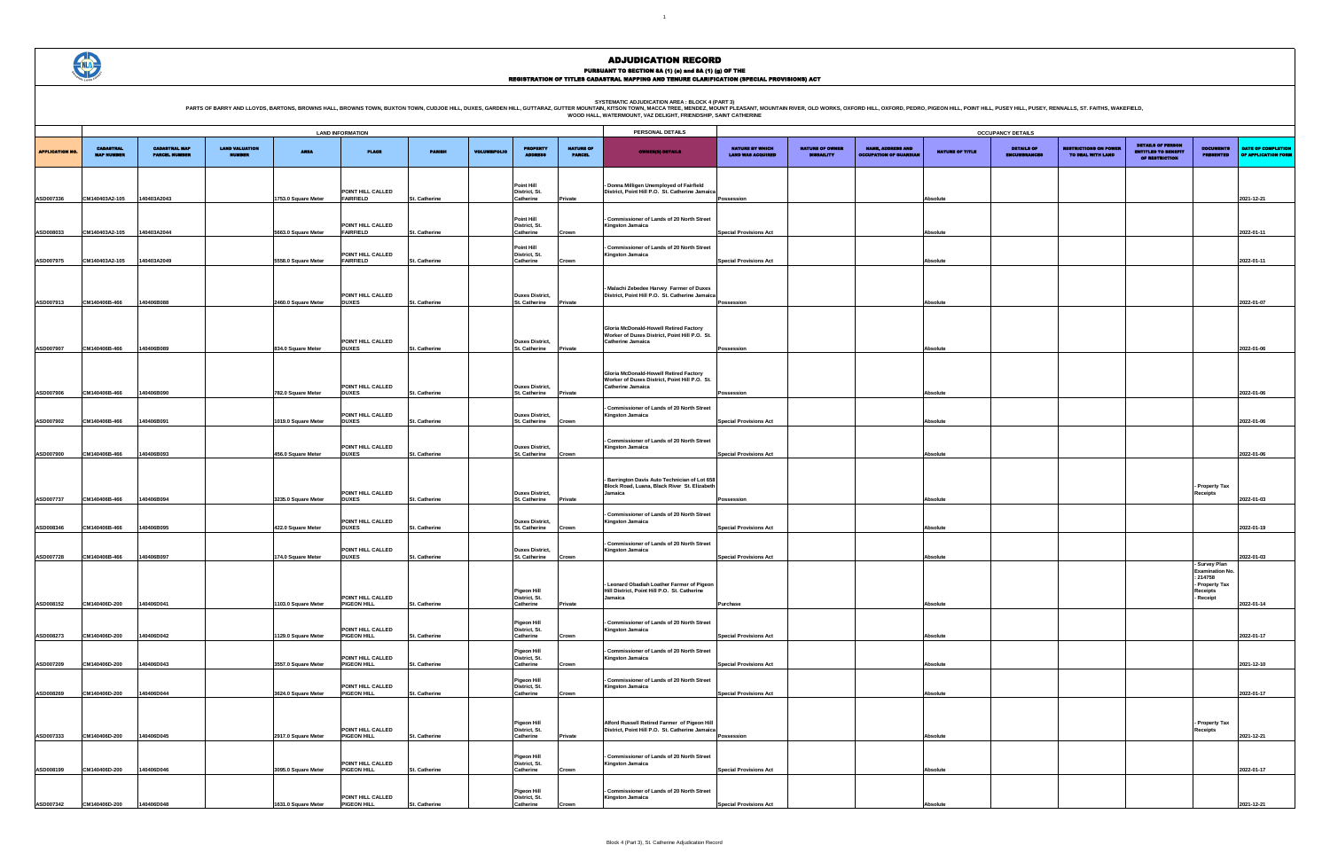SYSTEMATIC ADJUDICATION AREA : BLOCK 4 (PART 3)<br>PARTS OF BARRY AND LLOYDS, BARTONS, BROWNS HALL, BROWNS HALL, BROWNS TOWN, BUXTON TOWN, CUDJOE HILL, DUXES, GARDEN HILL, GUTTARAZ, GUTTER MOUNTAIN (KITSON TOWN, MACCA TREE, M



### ADJUDICATION RECORD PURSUANT TO SECTION 8A (1) (0) and 8A (1) (g) OF THE<br>REGISTRATION OF TITLES CADASTRAL MAPPING AND TENURE CLARIFICATION (SPECIAL PROVISIONS) ACT

| <b>OCCUPANCY DETAILS</b>                    |                                             |                                                           |                 |                                          |                                                   |                                                                          |                                                     |                                           |  |  |  |  |
|---------------------------------------------|---------------------------------------------|-----------------------------------------------------------|-----------------|------------------------------------------|---------------------------------------------------|--------------------------------------------------------------------------|-----------------------------------------------------|-------------------------------------------|--|--|--|--|
| NATURE BY WHICH<br><b>LAND WAS ACQUIRED</b> | <b>NATURE OF OWNER</b><br><b>DISBAILITY</b> | <b>NAME, ADDRESS AND</b><br><b>OCCUPATION OF GUARDIAN</b> | NATURE OF TITLE | <b>DETAILS OF</b><br><b>ENCUMBRANCES</b> | <b>RESTRICTIONS ON POWER</b><br>TO DEAL WITH LAND | <b>DETAILS OF PERSON</b><br><b>ENTITLED TO BENEFIT</b><br>OF RESTRICTION | <b>DOCUMENTS</b><br><b>PRESENTED</b>                | DATE OF COMPLETION<br>OF APPLICATION FORM |  |  |  |  |
|                                             |                                             |                                                           |                 |                                          |                                                   |                                                                          |                                                     |                                           |  |  |  |  |
| Possession                                  |                                             |                                                           | Absolute        |                                          |                                                   |                                                                          |                                                     | 2021-12-21                                |  |  |  |  |
|                                             |                                             |                                                           |                 |                                          |                                                   |                                                                          |                                                     |                                           |  |  |  |  |
| <b>Special Provisions Act</b>               |                                             |                                                           | Absolute        |                                          |                                                   |                                                                          |                                                     | 2022-01-11                                |  |  |  |  |
|                                             |                                             |                                                           |                 |                                          |                                                   |                                                                          |                                                     |                                           |  |  |  |  |
| <b>Special Provisions Act</b>               |                                             |                                                           | Absolute        |                                          |                                                   |                                                                          |                                                     | 2022-01-11                                |  |  |  |  |
|                                             |                                             |                                                           |                 |                                          |                                                   |                                                                          |                                                     |                                           |  |  |  |  |
| Possession                                  |                                             |                                                           | Absolute        |                                          |                                                   |                                                                          |                                                     | 2022-01-07                                |  |  |  |  |
|                                             |                                             |                                                           |                 |                                          |                                                   |                                                                          |                                                     |                                           |  |  |  |  |
|                                             |                                             |                                                           |                 |                                          |                                                   |                                                                          |                                                     |                                           |  |  |  |  |
| Possession                                  |                                             |                                                           | Absolute        |                                          |                                                   |                                                                          |                                                     | 2022-01-06                                |  |  |  |  |
|                                             |                                             |                                                           |                 |                                          |                                                   |                                                                          |                                                     |                                           |  |  |  |  |
| Possession                                  |                                             |                                                           | Absolute        |                                          |                                                   |                                                                          |                                                     | 2022-01-06                                |  |  |  |  |
|                                             |                                             |                                                           |                 |                                          |                                                   |                                                                          |                                                     |                                           |  |  |  |  |
| <b>Special Provisions Act</b>               |                                             |                                                           | Absolute        |                                          |                                                   |                                                                          |                                                     | 2022-01-06                                |  |  |  |  |
|                                             |                                             |                                                           |                 |                                          |                                                   |                                                                          |                                                     |                                           |  |  |  |  |
| <b>Special Provisions Act</b>               |                                             |                                                           | Absolute        |                                          |                                                   |                                                                          |                                                     | 2022-01-06                                |  |  |  |  |
|                                             |                                             |                                                           |                 |                                          |                                                   |                                                                          | - Property Tax                                      |                                           |  |  |  |  |
| Possession                                  |                                             |                                                           | Absolute        |                                          |                                                   |                                                                          | Receipts                                            | 2022-01-03                                |  |  |  |  |
|                                             |                                             |                                                           |                 |                                          |                                                   |                                                                          |                                                     |                                           |  |  |  |  |
| <b>Special Provisions Act</b>               |                                             |                                                           | Absolute        |                                          |                                                   |                                                                          |                                                     | 2022-01-19                                |  |  |  |  |
| <b>Special Provisions Act</b>               |                                             |                                                           | Absolute        |                                          |                                                   |                                                                          |                                                     | 2022-01-03                                |  |  |  |  |
|                                             |                                             |                                                           |                 |                                          |                                                   |                                                                          | - Survey Plan<br><b>Examination No.</b><br>: 214758 |                                           |  |  |  |  |
|                                             |                                             |                                                           |                 |                                          |                                                   |                                                                          | - Property Tax<br>Receipts<br>- Receipt             |                                           |  |  |  |  |
| Purchase                                    |                                             |                                                           | Absolute        |                                          |                                                   |                                                                          |                                                     | 2022-01-14                                |  |  |  |  |
|                                             |                                             |                                                           |                 |                                          |                                                   |                                                                          |                                                     |                                           |  |  |  |  |
| <b>Special Provisions Act</b>               |                                             |                                                           | Absolute        |                                          |                                                   |                                                                          |                                                     | 2022-01-17                                |  |  |  |  |
| <b>Special Provisions Act</b>               |                                             |                                                           | Absolute        |                                          |                                                   |                                                                          |                                                     | 2021-12-10                                |  |  |  |  |
|                                             |                                             |                                                           |                 |                                          |                                                   |                                                                          |                                                     |                                           |  |  |  |  |
| <b>Special Provisions Act</b>               |                                             |                                                           | Absolute        |                                          |                                                   |                                                                          |                                                     | 2022-01-17                                |  |  |  |  |
|                                             |                                             |                                                           |                 |                                          |                                                   |                                                                          | Property Tax                                        |                                           |  |  |  |  |
| Possession                                  |                                             |                                                           | Absolute        |                                          |                                                   |                                                                          | Receipts                                            | 2021-12-21                                |  |  |  |  |
|                                             |                                             |                                                           |                 |                                          |                                                   |                                                                          |                                                     |                                           |  |  |  |  |
| <b>Special Provisions Act</b>               |                                             |                                                           | Absolute        |                                          |                                                   |                                                                          |                                                     | 2022-01-17                                |  |  |  |  |
|                                             |                                             |                                                           |                 |                                          |                                                   |                                                                          |                                                     |                                           |  |  |  |  |
| <b>Special Provisions Act</b>               |                                             |                                                           | Absolute        |                                          |                                                   |                                                                          |                                                     | 2021-12-21                                |  |  |  |  |

|                        |                                       |                                              |                                        |                                           | <b>LAND INFORMATION</b>                           |                                |                     |                                                                 |                                   | PERSONAL DETAILS                                                                                                    |                                                                |                                             |                                                           |                      | <b>OCCUPANCY DETAILS</b>    |
|------------------------|---------------------------------------|----------------------------------------------|----------------------------------------|-------------------------------------------|---------------------------------------------------|--------------------------------|---------------------|-----------------------------------------------------------------|-----------------------------------|---------------------------------------------------------------------------------------------------------------------|----------------------------------------------------------------|---------------------------------------------|-----------------------------------------------------------|----------------------|-----------------------------|
| <b>APPLICATION NO.</b> | <b>CADASTRAL</b><br><b>MAP NUMBER</b> | <b>CADASTRAL MAP</b><br><b>PARCEL NUMBER</b> | <b>LAND VALUATION</b><br><b>NUMBER</b> | <b>AREA</b>                               | <b>PLACE</b>                                      | <b>PARISH</b>                  | <b>VOLUME/FOLIO</b> | <b>PROPERTY</b><br><b>ADDRESS</b>                               | <b>NATURE OF</b><br><b>PARCEL</b> | <b>OWNER(8) DETAILS</b>                                                                                             | <b>NATURE BY WHICH</b><br><b>LAND WAS ACQUIRED</b>             | <b>NATURE OF OWNER</b><br><b>DISBAILITY</b> | <b>NAME, ADDRESS AND</b><br><b>OCCUPATION OF GUARDIAN</b> | NATURE OF TITLE      | <b>DETAILS</b><br>ENCUMBRAN |
| ASD007336              |                                       | 140403A2043                                  |                                        |                                           | POINT HILL CALLED<br><b>FAIRFIELD</b>             |                                |                     | Point Hill<br>District, St.<br>Catherine                        |                                   | Donna Milligen Unemployed of Fairfield<br>District, Point Hill P.O. St. Catherine Jamaica                           |                                                                |                                             |                                                           |                      |                             |
|                        | CM140403A2-105                        |                                              |                                        | 1753.0 Square Meter                       | POINT HILL CALLED                                 | St. Catherine                  |                     | Point Hill<br>District, St.                                     | Private                           | <b>Commissioner of Lands of 20 North Street</b><br><b>Kingston Jamaica</b>                                          | Possession                                                     |                                             |                                                           | Absolute             |                             |
| ASD008033              | CM140403A2-105                        | 140403A2044                                  |                                        | 5663.0 Square Meter                       | FAIRFIELD<br>POINT HILL CALLED                    | St. Catherine                  |                     | Catherine<br><b>Point Hill</b><br>District, St.                 | Crown                             | <b>Commissioner of Lands of 20 North Street</b><br><b>Kingston Jamaica</b>                                          | <b>Special Provisions Act</b>                                  |                                             |                                                           | Absolute             |                             |
| ASD007975              | CM140403A2-105                        | 140403A2049                                  |                                        | 5558.0 Square Meter                       | <b>FAIRFIELD</b>                                  | St. Catherine                  |                     | Catherine                                                       | Crown                             | Malachi Zebedee Harvey Farmer of Duxes                                                                              | <b>Special Provisions Act</b>                                  |                                             |                                                           | Absolute             |                             |
| ASD007913              | CM140406B-466                         | 140406B088                                   |                                        | 2460.0 Square Meter                       | POINT HILL CALLED<br><b>DUXES</b>                 | St. Catherine                  |                     | <b>Duxes District,</b><br><b>St. Catherine</b>                  | Private                           | District, Point Hill P.O. St. Catherine Jamaica                                                                     | Possession                                                     |                                             |                                                           | Absolute             |                             |
| ASD007907              | CM140406B-466                         | 140406B089                                   |                                        | 834.0 Square Meter                        | POINT HILL CALLED<br><b>DUXES</b>                 | St. Catherine                  |                     | <b>Duxes District,</b><br>St. Catherine                         | Private                           | Gloria McDonald-Howell Retired Factory<br>Worker of Duxes District, Point Hill P.O. St.<br>Catherine Jamaica        | Possession                                                     |                                             |                                                           | Absolute             |                             |
|                        |                                       |                                              |                                        |                                           | POINT HILL CALLED                                 |                                |                     | <b>Duxes District,</b>                                          |                                   | <b>Gloria McDonald-Howell Retired Factory</b><br>Worker of Duxes District, Point Hill P.O. St.<br>Catherine Jamaica |                                                                |                                             |                                                           |                      |                             |
| ASD007906<br>ASD007902 | CM140406B-466<br>CM140406B-466        | 140406B090<br>140406B091                     |                                        | 782.0 Square Meter<br>1019.0 Square Meter | <b>DUXES</b><br>POINT HILL CALLED<br><b>DUXES</b> | St. Catherine<br>St. Catherine |                     | St. Catherine<br><b>Duxes District,</b><br><b>St. Catherine</b> | Private<br>Crown                  | Commissioner of Lands of 20 North Street<br><b>Kingston Jamaica</b>                                                 | Possession<br><b>Special Provisions Act</b>                    |                                             |                                                           | Absolute<br>Absolute |                             |
| ASD007900              | CM140406B-466                         | 140406B093                                   |                                        | 456.0 Square Meter                        | POINT HILL CALLED<br><b>DUXES</b>                 | St. Catherine                  |                     | <b>Duxes District,</b><br>St. Catherine                         | Crown                             | <b>Commissioner of Lands of 20 North Street</b><br><b>Kingston Jamaica</b>                                          | <b>Special Provisions Act</b>                                  |                                             |                                                           | Absolute             |                             |
|                        |                                       |                                              |                                        |                                           | POINT HILL CALLED                                 |                                |                     | <b>Duxes District,</b>                                          |                                   | Barrington Davis Auto Technician of Lot 658<br>Block Road, Luana, Black River St. Elizabeth<br>Jamaica              |                                                                |                                             |                                                           |                      |                             |
| ASD007737              | CM140406B-466                         | 140406B094                                   |                                        | 3235.0 Square Meter                       | <b>DUXES</b><br>POINT HILL CALLED                 | St. Catherine                  |                     | St. Catherine<br><b>Duxes District,</b>                         | Private                           | Commissioner of Lands of 20 North Street<br>Kingston Jamaica                                                        | Possession                                                     |                                             |                                                           | Absolute             |                             |
| ASD008346<br>ASD007728 | CM140406B-466<br>CM140406B-466        | 140406B095<br>140406B097                     |                                        | 422.0 Square Meter<br>174.0 Square Meter  | <b>DUXES</b><br>POINT HILL CALLED<br><b>DUXES</b> | St. Catherine<br>St. Catherine |                     | <b>St. Catherine</b><br><b>Duxes District,</b><br>St. Catherine | Crown                             | Commissioner of Lands of 20 North Street<br><b>Kingston Jamaica</b>                                                 | <b>Special Provisions Act</b><br><b>Special Provisions Act</b> |                                             |                                                           | Absolute<br>Absolute |                             |
|                        |                                       |                                              |                                        |                                           |                                                   |                                |                     |                                                                 | Crown                             | Leonard Obadiah Loather Farmer of Pigeon                                                                            |                                                                |                                             |                                                           |                      |                             |
| ASD008152              | CM140406D-200                         | 140406D041                                   |                                        | 1103.0 Square Meter                       | POINT HILL CALLED<br>PIGEON HILL                  | St. Catherine                  |                     | Pigeon Hill<br>District, St.<br>Catherine                       | Private                           | Hill District, Point Hill P.O. St. Catherine<br>Jamaica                                                             | Purchase                                                       |                                             |                                                           | Absolute             |                             |
| ASD008273              | CM140406D-200                         | 140406D042                                   |                                        | 1129.0 Square Meter                       | POINT HILL CALLED<br>PIGEON HILL                  | St. Catherine                  |                     | Pigeon Hill<br>District, St.<br>Catherine                       | Crown                             | <b>Commissioner of Lands of 20 North Street</b><br>Kingston Jamaica                                                 | <b>Special Provisions Act</b>                                  |                                             |                                                           | Absolute             |                             |
| ASD007209              | CM140406D-200                         | 140406D043                                   |                                        | 3557.0 Square Meter                       | POINT HILL CALLED<br>PIGEON HILL                  | St. Catherine                  |                     | Pigeon Hill<br>District, St.<br>Catherine                       | Crown                             | Commissioner of Lands of 20 North Street<br>Kingston Jamaica                                                        | <b>Special Provisions Act</b>                                  |                                             |                                                           | Absolute             |                             |
| ASD008269              | CM140406D-200                         | 140406D044                                   |                                        | 3624.0 Square Meter                       | POINT HILL CALLED<br>PIGEON HILL                  | St. Catherine                  |                     | Pigeon Hill<br>District, St.<br>Catherine                       | Crown                             | <b>Commissioner of Lands of 20 North Street</b><br>Kingston Jamaica                                                 | <b>Special Provisions Act</b>                                  |                                             |                                                           | Absolute             |                             |
| ASD007333              | CM140406D-200                         | 140406D045                                   |                                        | 2917.0 Square Meter                       | POINT HILL CALLED<br>PIGEON HILL                  | St. Catherine                  |                     | Pigeon Hill<br>District, St.<br>Catherine                       | Private                           | Alford Russell Retired Farmer of Pigeon Hill<br>District, Point Hill P.O. St. Catherine Jamaica                     | Possession                                                     |                                             |                                                           | Absolute             |                             |
| ASD008199              | CM140406D-200                         | 140406D046                                   |                                        | 3095.0 Square Meter                       | POINT HILL CALLED<br><b>PIGEON HILL</b>           | St. Catherine                  |                     | Pigeon Hill<br>District, St.<br>Catherine                       |                                   | Commissioner of Lands of 20 North Street<br>Kingston Jamaica                                                        | <b>Special Provisions Act</b>                                  |                                             |                                                           |                      |                             |
|                        |                                       |                                              |                                        |                                           | POINT HILL CALLED                                 |                                |                     | Pigeon Hill<br>District, St.                                    | Crown                             | <b>Commissioner of Lands of 20 North Street</b><br>Kingston Jamaica                                                 |                                                                |                                             |                                                           | Absolute             |                             |
| ASD007342              | CM140406D-200                         | 140406D048                                   |                                        | 1631.0 Square Meter                       | PIGEON HILL                                       | St. Catherine                  |                     | Catherine                                                       | Crown                             |                                                                                                                     | <b>Special Provisions Act</b>                                  |                                             |                                                           | Absolute             |                             |

|  |  | ' HILL, PUSEY HILL, PUSEY, RENNALLS, ST. FAITHS, WAKEFIELD, |  |  |
|--|--|-------------------------------------------------------------|--|--|
|  |  |                                                             |  |  |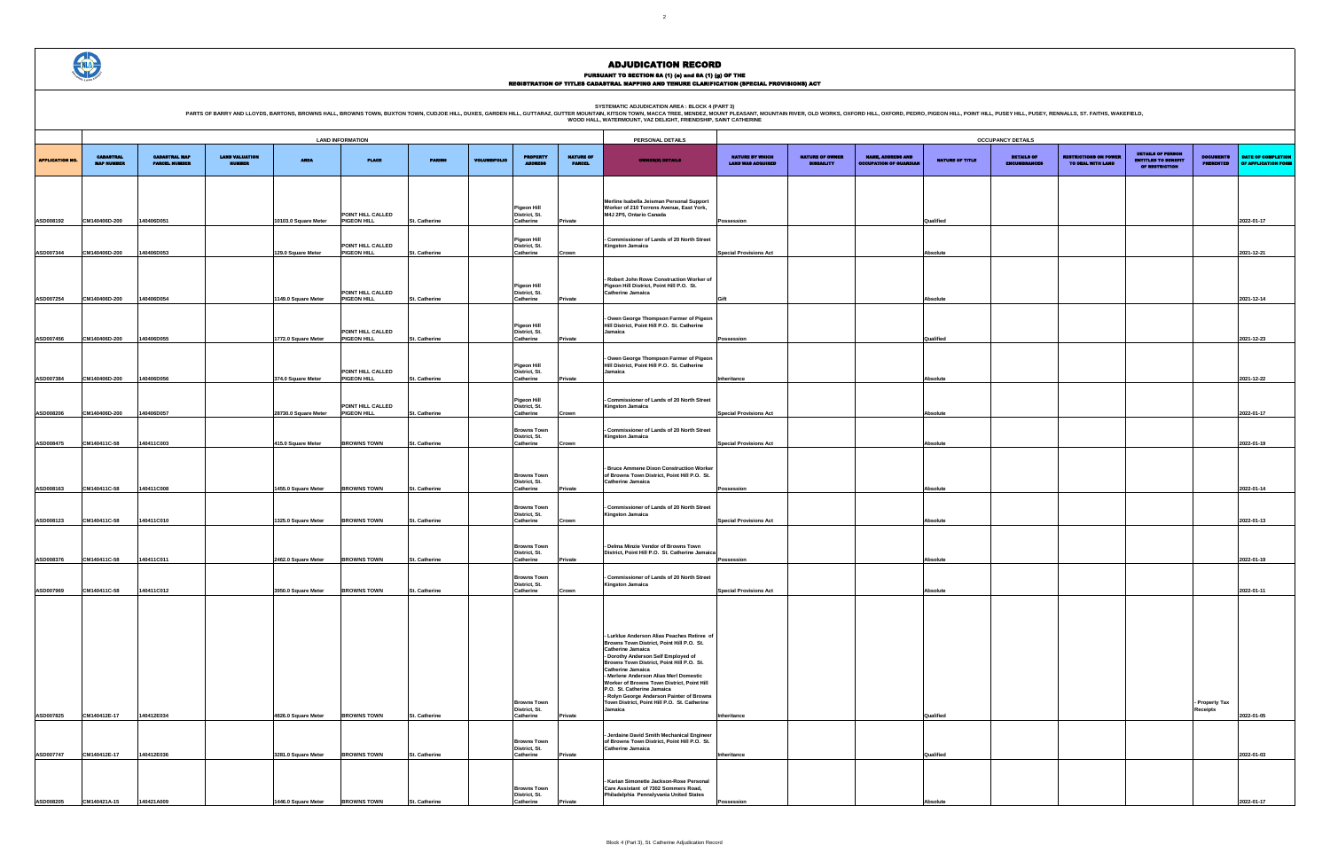PURSUANT TO SECTION 8A (1) (0) and 8A (1) (g) OF THE<br>REGISTRATION OF TITLES CADASTRAL MAPPING AND TENURE CLARIFICATION (SPECIAL PROVISIONS) ACT

SYSTEMATIC ADJUDICATION AREA : BLOCK 4 (PART 3)<br>PARTS OF BARRY AND LLOYDS, BARTONS, BROWNS HALL, BROWNS HALL, BROWNS TOWN, BUXTON TOWN, CUDJOE HILL, DUXES, GARDEN HILL, GUTTARAZ, GUTTER MOUNTAIN (KITSON TOWN, MACCA TREE, M

| OCCUPANCY DETAILS                           |                                      |                                                           |                 |                                          |                                                   |                                                                          |                                      |                                           |  |  |  |  |
|---------------------------------------------|--------------------------------------|-----------------------------------------------------------|-----------------|------------------------------------------|---------------------------------------------------|--------------------------------------------------------------------------|--------------------------------------|-------------------------------------------|--|--|--|--|
| NATURE BY WHICH<br><b>LAND WAS ACQUIRED</b> | <b>NATURE OF OWNER</b><br>DISBAILITY | <b>NAME, ADDRESS AND</b><br><b>OCCUPATION OF GUARDIAN</b> | NATURE OF TITLE | <b>DETAILS OF</b><br><b>ENCUMBRANCES</b> | <b>RESTRICTIONS ON POWER</b><br>TO DEAL WITH LAND | <b>DETAILS OF PERSON</b><br><b>ENTITLED TO BENEFIT</b><br>OF RESTRICTION | <b>DOCUMENTS</b><br><b>PRESENTED</b> | DATE OF COMPLETION<br>OF APPLICATION FORM |  |  |  |  |
|                                             |                                      |                                                           |                 |                                          |                                                   |                                                                          |                                      |                                           |  |  |  |  |
|                                             |                                      |                                                           |                 |                                          |                                                   |                                                                          |                                      |                                           |  |  |  |  |
| Possession                                  |                                      |                                                           | Qualified       |                                          |                                                   |                                                                          |                                      | 2022-01-17                                |  |  |  |  |
|                                             |                                      |                                                           |                 |                                          |                                                   |                                                                          |                                      |                                           |  |  |  |  |
| <b>Special Provisions Act</b>               |                                      |                                                           | Absolute        |                                          |                                                   |                                                                          |                                      | 2021-12-21                                |  |  |  |  |
|                                             |                                      |                                                           |                 |                                          |                                                   |                                                                          |                                      |                                           |  |  |  |  |
|                                             |                                      |                                                           | Absolute        |                                          |                                                   |                                                                          |                                      | 2021-12-14                                |  |  |  |  |
| Gift                                        |                                      |                                                           |                 |                                          |                                                   |                                                                          |                                      |                                           |  |  |  |  |
|                                             |                                      |                                                           |                 |                                          |                                                   |                                                                          |                                      |                                           |  |  |  |  |
| Possession                                  |                                      |                                                           | Qualified       |                                          |                                                   |                                                                          |                                      | 2021-12-23                                |  |  |  |  |
|                                             |                                      |                                                           |                 |                                          |                                                   |                                                                          |                                      |                                           |  |  |  |  |
| Inheritance                                 |                                      |                                                           | Absolute        |                                          |                                                   |                                                                          |                                      | 2021-12-22                                |  |  |  |  |
|                                             |                                      |                                                           |                 |                                          |                                                   |                                                                          |                                      |                                           |  |  |  |  |
| <b>Special Provisions Act</b>               |                                      |                                                           | <b>Absolute</b> |                                          |                                                   |                                                                          |                                      | 2022-01-17                                |  |  |  |  |
| <b>Special Provisions Act</b>               |                                      |                                                           | <b>Absolute</b> |                                          |                                                   |                                                                          |                                      | 2022-01-19                                |  |  |  |  |
|                                             |                                      |                                                           |                 |                                          |                                                   |                                                                          |                                      |                                           |  |  |  |  |
|                                             |                                      |                                                           |                 |                                          |                                                   |                                                                          |                                      |                                           |  |  |  |  |
| Possession                                  |                                      |                                                           | Absolute        |                                          |                                                   |                                                                          |                                      | 2022-01-14                                |  |  |  |  |
|                                             |                                      |                                                           |                 |                                          |                                                   |                                                                          |                                      |                                           |  |  |  |  |
| <b>Special Provisions Act</b>               |                                      |                                                           | Absolute        |                                          |                                                   |                                                                          |                                      | 2022-01-13                                |  |  |  |  |
|                                             |                                      |                                                           |                 |                                          |                                                   |                                                                          |                                      |                                           |  |  |  |  |
| Possession                                  |                                      |                                                           | Absolute        |                                          |                                                   |                                                                          |                                      | 2022-01-19                                |  |  |  |  |
|                                             |                                      |                                                           |                 |                                          |                                                   |                                                                          |                                      |                                           |  |  |  |  |
| <b>Special Provisions Act</b>               |                                      |                                                           | Absolute        |                                          |                                                   |                                                                          |                                      | 2022-01-11                                |  |  |  |  |
|                                             |                                      |                                                           |                 |                                          |                                                   |                                                                          |                                      |                                           |  |  |  |  |
|                                             |                                      |                                                           |                 |                                          |                                                   |                                                                          |                                      |                                           |  |  |  |  |
|                                             |                                      |                                                           |                 |                                          |                                                   |                                                                          |                                      |                                           |  |  |  |  |
|                                             |                                      |                                                           |                 |                                          |                                                   |                                                                          |                                      |                                           |  |  |  |  |
|                                             |                                      |                                                           |                 |                                          |                                                   |                                                                          |                                      |                                           |  |  |  |  |
|                                             |                                      |                                                           |                 |                                          |                                                   |                                                                          | - Property Tax<br>Receipts           |                                           |  |  |  |  |
| Inheritance                                 |                                      |                                                           | Qualified       |                                          |                                                   |                                                                          |                                      | 2022-01-05                                |  |  |  |  |
|                                             |                                      |                                                           |                 |                                          |                                                   |                                                                          |                                      |                                           |  |  |  |  |
| Inheritance                                 |                                      |                                                           | Qualified       |                                          |                                                   |                                                                          |                                      | 2022-01-03                                |  |  |  |  |
|                                             |                                      |                                                           |                 |                                          |                                                   |                                                                          |                                      |                                           |  |  |  |  |
| Possession                                  |                                      |                                                           | Absolute        |                                          |                                                   |                                                                          |                                      | 2022-01-17                                |  |  |  |  |

|                        | <b>LAND INFORMATION</b>               |                                              |                                        |                                            |                                                        |                                | PERSONAL DETAILS    |                                                        |                                   |                                                                                                                                                                                                                                                                                                                                                                                                                                                                    | <b>OCCUPANCY DETAILS</b>                           |                                             |                                                           |                      |                                    |
|------------------------|---------------------------------------|----------------------------------------------|----------------------------------------|--------------------------------------------|--------------------------------------------------------|--------------------------------|---------------------|--------------------------------------------------------|-----------------------------------|--------------------------------------------------------------------------------------------------------------------------------------------------------------------------------------------------------------------------------------------------------------------------------------------------------------------------------------------------------------------------------------------------------------------------------------------------------------------|----------------------------------------------------|---------------------------------------------|-----------------------------------------------------------|----------------------|------------------------------------|
| <b>APPLICATION NO.</b> | <b>CADASTRAL</b><br><b>MAP NUMBER</b> | <b>CADASTRAL MAP</b><br><b>PARCEL NUMBER</b> | <b>LAND VALUATION</b><br><b>NUMBER</b> | <b>AREA</b>                                | <b>PLACE</b>                                           | <b>PARISH</b>                  | <b>VOLUME/FOLIO</b> | <b>PROPERTY</b><br><b>ADDRESS</b>                      | <b>NATURE OF</b><br><b>PARCEL</b> | <b>OWNER(S) DETAILS</b>                                                                                                                                                                                                                                                                                                                                                                                                                                            | <b>NATURE BY WHICH</b><br><b>LAND WAS ACQUIRED</b> | <b>NATURE OF OWNER</b><br><b>DISBAILITY</b> | <b>NAME, ADDRESS AND</b><br><b>OCCUPATION OF GUARDIAL</b> | NATURE OF TITLE      | <b>DETAILS</b><br><b>ENCUMBRAN</b> |
| ASD008192              | CM140406D-200                         | 140406D051                                   |                                        | 10103.0 Square Meter                       | POINT HILL CALLED<br><b>PIGEON HILL</b>                | St. Catherine                  |                     | Pigeon Hill<br>District, St.<br>Catherine              | Private                           | Merline Isabella Jeisman Personal Support<br>Worker of 210 Torrens Avenue, East York,<br>M4J 2P5, Ontario Canada                                                                                                                                                                                                                                                                                                                                                   | Possession                                         |                                             |                                                           | Qualified            |                                    |
| ASD007344              | CM140406D-200                         | 140406D053                                   |                                        | 129.0 Square Meter                         | POINT HILL CALLED<br><b>PIGEON HILL</b>                | St. Catherine                  |                     | <b>Pigeon Hill</b><br>District, St.<br>Catherine       | Crown                             | - Commissioner of Lands of 20 North Street<br>Kingston Jamaica                                                                                                                                                                                                                                                                                                                                                                                                     | <b>Special Provisions Act</b>                      |                                             |                                                           | <b>Absolute</b>      |                                    |
|                        |                                       |                                              |                                        |                                            | POINT HILL CALLED                                      |                                |                     | <b>Pigeon Hill</b><br>District, St.                    |                                   | - Robert John Rowe Construction Worker of<br>Pigeon Hill District, Point Hill P.O. St.<br>Catherine Jamaica                                                                                                                                                                                                                                                                                                                                                        |                                                    |                                             |                                                           |                      |                                    |
| ASD007254              | CM140406D-200                         | 140406D054                                   |                                        | 1149.0 Square Meter                        | PIGEON HILL<br>POINT HILL CALLED                       | St. Catherine                  |                     | Catherine<br>Pigeon Hill<br>District, St.              | Private                           | - Owen George Thompson Farmer of Pigeon<br>Hill District, Point Hill P.O. St. Catherine<br>Jamaica                                                                                                                                                                                                                                                                                                                                                                 | Gift                                               |                                             |                                                           | <b>Absolute</b>      |                                    |
| ASD007456              | CM140406D-200                         | 140406D055                                   |                                        | 1772.0 Square Meter                        | PIGEON HILL<br>POINT HILL CALLED                       | St. Catherine                  |                     | Catherine<br>Pigeon Hill<br>District, St.              | Private                           | - Owen George Thompson Farmer of Pigeon<br>Hill District, Point Hill P.O. St. Catherine<br>Jamaica                                                                                                                                                                                                                                                                                                                                                                 | Possession                                         |                                             |                                                           | Qualified            |                                    |
| ASD007384<br>ASD008206 | CM140406D-200<br>CM140406D-200        | 140406D056<br>140406D057                     |                                        | 374.0 Square Meter<br>28730.0 Square Meter | PIGEON HILL<br>POINT HILL CALLED<br><b>PIGEON HILL</b> | St. Catherine<br>St. Catherine |                     | Catherine<br>Pigeon Hill<br>District, St.<br>Catherine | Private<br>Crown                  | - Commissioner of Lands of 20 North Street<br><b>Kingston Jamaica</b>                                                                                                                                                                                                                                                                                                                                                                                              | Inheritance<br><b>Special Provisions Act</b>       |                                             |                                                           | Absolute<br>Absolute |                                    |
| ASD008475              | CM140411C-58                          | 140411C003                                   |                                        | 415.0 Square Meter                         | <b>BROWNS TOWN</b>                                     | St. Catherine                  |                     | <b>Browns Town</b><br>District, St.<br>Catherine       | Crown                             | - Commissioner of Lands of 20 North Street<br>Kingston Jamaica                                                                                                                                                                                                                                                                                                                                                                                                     | <b>Special Provisions Act</b>                      |                                             |                                                           | Absolute             |                                    |
| ASD008163              | CM140411C-58                          | 140411C008                                   |                                        | 1455.0 Square Meter                        | <b>BROWNS TOWN</b>                                     | St. Catherine                  |                     | <b>Browns Town</b><br>District, St.<br>Catherine       | Private                           | - Bruce Ammene Dixon Construction Worker<br>of Browns Town District, Point Hill P.O. St.<br>Catherine Jamaica                                                                                                                                                                                                                                                                                                                                                      | Possession                                         |                                             |                                                           | Absolute             |                                    |
| ASD008123              | CM140411C-58                          | 140411C010                                   |                                        | 1325.0 Square Meter                        | <b>BROWNS TOWN</b>                                     | St. Catherine                  |                     | <b>Browns Town</b><br>District, St.<br>Catherine       | Crown                             | - Commissioner of Lands of 20 North Street<br>Kingston Jamaica                                                                                                                                                                                                                                                                                                                                                                                                     | <b>Special Provisions Act</b>                      |                                             |                                                           | <b>Absolute</b>      |                                    |
| ASD008376              | CM140411C-58                          | 140411C011                                   |                                        | 2462.0 Square Meter                        | <b>BROWNS TOWN</b>                                     | St. Catherine                  |                     | <b>Browns Town</b><br>District, St.<br>Catherine       | Private                           | - Delma Minzie Vendor of Browns Town<br>District, Point Hill P.O. St. Catherine Jamaica                                                                                                                                                                                                                                                                                                                                                                            | Possession                                         |                                             |                                                           | <b>Absolute</b>      |                                    |
| ASD007969              | CM140411C-58                          | 140411C012                                   |                                        | 3950.0 Square Meter                        | <b>BROWNS TOWN</b>                                     | St. Catherine                  |                     | <b>Browns Town</b><br>District, St.<br>Catherine       | Crown                             | - Commissioner of Lands of 20 North Street<br><b>Kingston Jamaica</b>                                                                                                                                                                                                                                                                                                                                                                                              | <b>Special Provisions Act</b>                      |                                             |                                                           | <b>Absolute</b>      |                                    |
| ASD007825              | CM140412E-17                          | 140412E034                                   |                                        | 4826.0 Square Meter                        | <b>BROWNS TOWN</b>                                     | St. Catherine                  |                     | <b>Browns Town</b><br>District, St.<br>Catherine       | Private                           | - Lurklue Anderson Alias Peaches Retiree of<br>Browns Town District, Point Hill P.O. St.<br><b>Catherine Jamaica</b><br>- Dorothy Anderson Self Employed of<br>Browns Town District, Point Hill P.O. St.<br><b>Catherine Jamaica</b><br>- Merlene Anderson Alias Merl Domestic<br>Worker of Browns Town District. Point Hill<br>P.O. St. Catherine Jamaica<br>- Rolyn George Anderson Painter of Browns<br>Town District, Point Hill P.O. St. Catherine<br>Jamaica | Inheritance                                        |                                             |                                                           | Qualified            |                                    |
| ASD007747              | CM140412E-17                          | 140412E036                                   |                                        | 3281.0 Square Meter                        | <b>BROWNS TOWN</b>                                     | St. Catherine                  |                     | <b>Browns Town</b><br>District, St.<br>Catherine       | Private                           | - Jerdaine David Smith Mechanical Engineer<br>of Browns Town District, Point Hill P.O. St.<br><b>Catherine Jamaica</b>                                                                                                                                                                                                                                                                                                                                             | Inheritance                                        |                                             |                                                           | Qualified            |                                    |
| ASD008205              | CM140421A-15                          | 140421A009                                   |                                        | 1446.0 Square Meter                        | <b>BROWNS TOWN</b>                                     | St. Catherine                  |                     | <b>Browns Town</b><br>District, St.<br>Catherine       |                                   | Karian Simonette Jackson-Rose Personal<br>Care Assistant of 7302 Sommers Road,<br>Philadelphia Pennslyvania United States                                                                                                                                                                                                                                                                                                                                          | Possession                                         |                                             |                                                           | Absolute             |                                    |



#### ADJUDICATION RECORD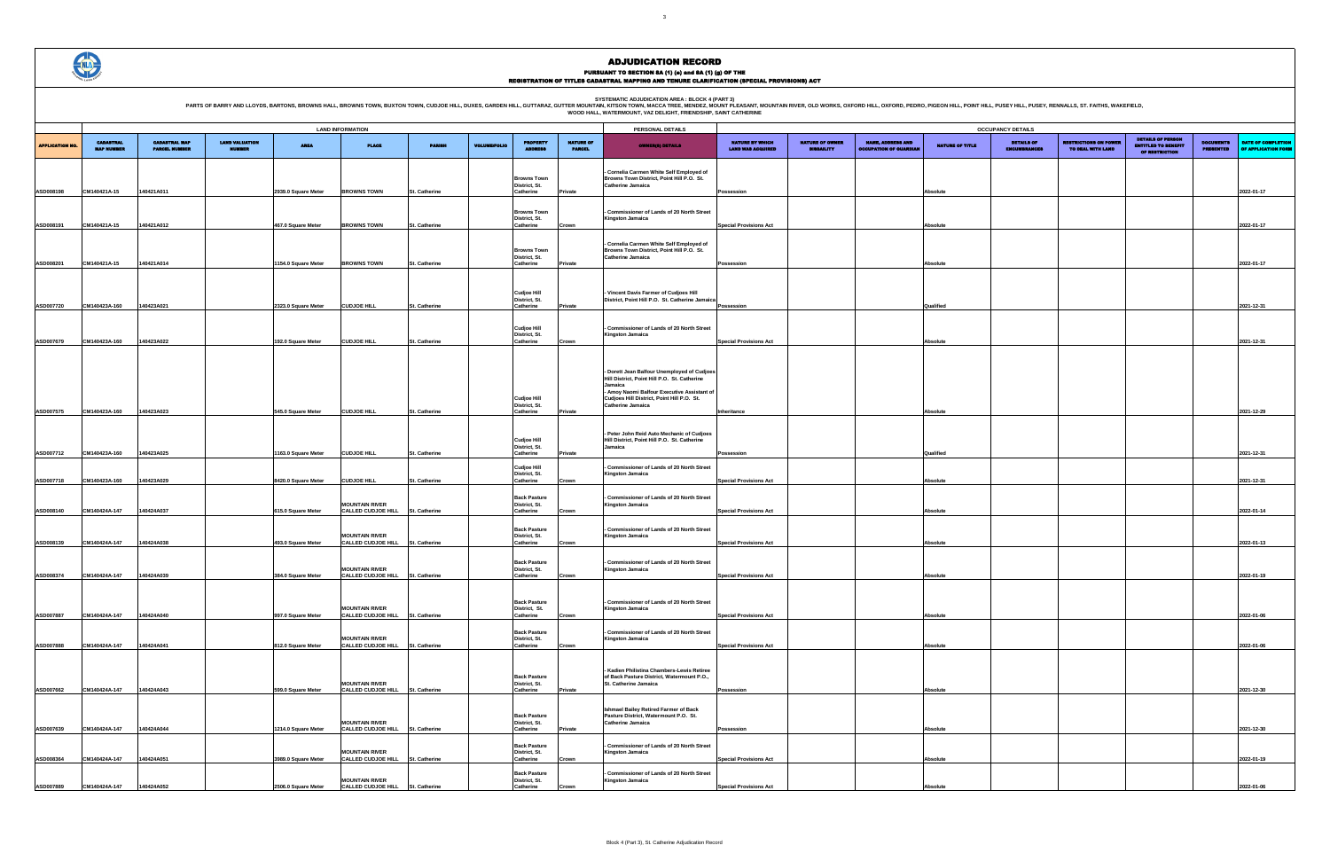PURSUANT TO SECTION 8A (1) (0) and 8A (1) (g) OF THE<br>REGISTRATION OF TITLES CADASTRAL MAPPING AND TENURE CLARIFICATION (SPECIAL PROVISIONS) ACT

SYSTEMATIC ADJUDICATION AREA : BLOCK 4 (PART 3)<br>PARTS OF BARRY AND LLOYDS, BARTONS, BROWNS HALL, BROWNS HALL, BROWNS TOWN, BUXTON TOWN, CUDJOE HILL, DUXES, GARDEN HILL, GUTTARAZ, GUTTER MOUNTAIN (KITSON TOWN, MACCA TREE, M

|                                                    | <b>OCCUPANCY DETAILS</b>                    |                                                           |                        |                                          |                                                   |                                                                          |                                      |                                                  |  |  |  |  |  |
|----------------------------------------------------|---------------------------------------------|-----------------------------------------------------------|------------------------|------------------------------------------|---------------------------------------------------|--------------------------------------------------------------------------|--------------------------------------|--------------------------------------------------|--|--|--|--|--|
| <b>NATURE BY WHICH</b><br><b>LAND WAS ACQUIRED</b> | <b>NATURE OF OWNER</b><br><b>DISBAILITY</b> | <b>NAME, ADDRESS AND</b><br><b>OCCUPATION OF GUARDIAN</b> | <b>NATURE OF TITLE</b> | <b>DETAILS OF</b><br><b>ENCUMBRANCES</b> | <b>RESTRICTIONS ON POWER</b><br>TO DEAL WITH LAND | <b>DETAILS OF PERSON</b><br><b>ENTITLED TO BENEFIT</b><br>OF RESTRICTION | <b>DOCUMENTS</b><br><b>PRESENTED</b> | <b>DATE OF COMPLETION</b><br>OF APPLICATION FORM |  |  |  |  |  |
|                                                    |                                             |                                                           |                        |                                          |                                                   |                                                                          |                                      |                                                  |  |  |  |  |  |
|                                                    |                                             |                                                           |                        |                                          |                                                   |                                                                          |                                      |                                                  |  |  |  |  |  |
| Possession                                         |                                             |                                                           | Absolute               |                                          |                                                   |                                                                          |                                      | 2022-01-17                                       |  |  |  |  |  |
|                                                    |                                             |                                                           |                        |                                          |                                                   |                                                                          |                                      |                                                  |  |  |  |  |  |
|                                                    |                                             |                                                           |                        |                                          |                                                   |                                                                          |                                      |                                                  |  |  |  |  |  |
| <b>Special Provisions Act</b>                      |                                             |                                                           | <b>Absolute</b>        |                                          |                                                   |                                                                          |                                      | 2022-01-17                                       |  |  |  |  |  |
|                                                    |                                             |                                                           |                        |                                          |                                                   |                                                                          |                                      |                                                  |  |  |  |  |  |
| Possession                                         |                                             |                                                           | <b>Absolute</b>        |                                          |                                                   |                                                                          |                                      | 2022-01-17                                       |  |  |  |  |  |
|                                                    |                                             |                                                           |                        |                                          |                                                   |                                                                          |                                      |                                                  |  |  |  |  |  |
|                                                    |                                             |                                                           |                        |                                          |                                                   |                                                                          |                                      |                                                  |  |  |  |  |  |
| Possession                                         |                                             |                                                           | Qualified              |                                          |                                                   |                                                                          |                                      | 2021-12-31                                       |  |  |  |  |  |
|                                                    |                                             |                                                           |                        |                                          |                                                   |                                                                          |                                      |                                                  |  |  |  |  |  |
|                                                    |                                             |                                                           |                        |                                          |                                                   |                                                                          |                                      |                                                  |  |  |  |  |  |
| <b>Special Provisions Act</b>                      |                                             |                                                           | Absolute               |                                          |                                                   |                                                                          |                                      | 2021-12-31                                       |  |  |  |  |  |
|                                                    |                                             |                                                           |                        |                                          |                                                   |                                                                          |                                      |                                                  |  |  |  |  |  |
|                                                    |                                             |                                                           |                        |                                          |                                                   |                                                                          |                                      |                                                  |  |  |  |  |  |
|                                                    |                                             |                                                           |                        |                                          |                                                   |                                                                          |                                      |                                                  |  |  |  |  |  |
|                                                    |                                             |                                                           |                        |                                          |                                                   |                                                                          |                                      |                                                  |  |  |  |  |  |
| Inheritance                                        |                                             |                                                           | Absolute               |                                          |                                                   |                                                                          |                                      | 2021-12-29                                       |  |  |  |  |  |
|                                                    |                                             |                                                           |                        |                                          |                                                   |                                                                          |                                      |                                                  |  |  |  |  |  |
|                                                    |                                             |                                                           |                        |                                          |                                                   |                                                                          |                                      |                                                  |  |  |  |  |  |
| Possession                                         |                                             |                                                           | Qualified              |                                          |                                                   |                                                                          |                                      | 2021-12-31                                       |  |  |  |  |  |
|                                                    |                                             |                                                           |                        |                                          |                                                   |                                                                          |                                      |                                                  |  |  |  |  |  |
| <b>Special Provisions Act</b>                      |                                             |                                                           | <b>Absolute</b>        |                                          |                                                   |                                                                          |                                      | 2021-12-31                                       |  |  |  |  |  |
|                                                    |                                             |                                                           |                        |                                          |                                                   |                                                                          |                                      |                                                  |  |  |  |  |  |
| <b>Special Provisions Act</b>                      |                                             |                                                           | Absolute               |                                          |                                                   |                                                                          |                                      | 2022-01-14                                       |  |  |  |  |  |
|                                                    |                                             |                                                           |                        |                                          |                                                   |                                                                          |                                      |                                                  |  |  |  |  |  |
|                                                    |                                             |                                                           |                        |                                          |                                                   |                                                                          |                                      |                                                  |  |  |  |  |  |
| <b>Special Provisions Act</b>                      |                                             |                                                           | Absolute               |                                          |                                                   |                                                                          |                                      | 2022-01-13                                       |  |  |  |  |  |
|                                                    |                                             |                                                           |                        |                                          |                                                   |                                                                          |                                      |                                                  |  |  |  |  |  |
| <b>Special Provisions Act</b>                      |                                             |                                                           | Absolute               |                                          |                                                   |                                                                          |                                      | 2022-01-19                                       |  |  |  |  |  |
|                                                    |                                             |                                                           |                        |                                          |                                                   |                                                                          |                                      |                                                  |  |  |  |  |  |
|                                                    |                                             |                                                           |                        |                                          |                                                   |                                                                          |                                      |                                                  |  |  |  |  |  |
| <b>Special Provisions Act</b>                      |                                             |                                                           | <b>Absolute</b>        |                                          |                                                   |                                                                          |                                      | 2022-01-06                                       |  |  |  |  |  |
|                                                    |                                             |                                                           |                        |                                          |                                                   |                                                                          |                                      |                                                  |  |  |  |  |  |
| <b>Special Provisions Act</b>                      |                                             |                                                           | <b>Absolute</b>        |                                          |                                                   |                                                                          |                                      | 2022-01-06                                       |  |  |  |  |  |
|                                                    |                                             |                                                           |                        |                                          |                                                   |                                                                          |                                      |                                                  |  |  |  |  |  |
|                                                    |                                             |                                                           |                        |                                          |                                                   |                                                                          |                                      |                                                  |  |  |  |  |  |
| Possession                                         |                                             |                                                           | <b>Absolute</b>        |                                          |                                                   |                                                                          |                                      | 2021-12-30                                       |  |  |  |  |  |
|                                                    |                                             |                                                           |                        |                                          |                                                   |                                                                          |                                      |                                                  |  |  |  |  |  |
|                                                    |                                             |                                                           |                        |                                          |                                                   |                                                                          |                                      |                                                  |  |  |  |  |  |
| Possession                                         |                                             |                                                           | Absolute               |                                          |                                                   |                                                                          |                                      | 2021-12-30                                       |  |  |  |  |  |
|                                                    |                                             |                                                           |                        |                                          |                                                   |                                                                          |                                      |                                                  |  |  |  |  |  |
| <b>Special Provisions Act</b>                      |                                             |                                                           | <b>Absolute</b>        |                                          |                                                   |                                                                          |                                      | 2022-01-19                                       |  |  |  |  |  |
|                                                    |                                             |                                                           |                        |                                          |                                                   |                                                                          |                                      |                                                  |  |  |  |  |  |
| <b>Special Provisions Act</b>                      |                                             |                                                           | <b>Absolute</b>        |                                          |                                                   |                                                                          |                                      | 2022-01-06                                       |  |  |  |  |  |

|                        | <b>LAND INFORMATION</b>               |                                              |                                        |                     |                                                           |               |                     |                                      |                                   |                                                                                             |                                                    |                                             |                                                           |                        |                                    |
|------------------------|---------------------------------------|----------------------------------------------|----------------------------------------|---------------------|-----------------------------------------------------------|---------------|---------------------|--------------------------------------|-----------------------------------|---------------------------------------------------------------------------------------------|----------------------------------------------------|---------------------------------------------|-----------------------------------------------------------|------------------------|------------------------------------|
|                        |                                       |                                              |                                        |                     |                                                           |               |                     | PERSONAL DETAILS                     |                                   |                                                                                             |                                                    |                                             | <b>OCCUPANCY DETAILS</b>                                  |                        |                                    |
| <b>APPLICATION NO.</b> | <b>CADASTRAL</b><br><b>MAP NUMBER</b> | <b>CADASTRAL MAP</b><br><b>PARCEL NUMBER</b> | <b>LAND VALUATION</b><br><b>NUMBER</b> | <b>AREA</b>         | <b>PLACE</b>                                              | <b>PARISH</b> | <b>VOLUME/FOLIO</b> | <b>PROPERTY</b>                      | <b>NATURE OF</b><br><b>PARCEL</b> | <b>OWNER(8) DETAILS</b>                                                                     | <b>NATURE BY WHICH</b><br><b>LAND WAS ACQUIRED</b> | <b>NATURE OF OWNER</b><br><b>DISBAILITY</b> | <b>NAME, ADDRESS AND</b><br><b>OCCUPATION OF GUARDIAL</b> | <b>NATURE OF TITLE</b> | <b>DETAILS</b><br><b>ENCUMBRAN</b> |
|                        |                                       |                                              |                                        |                     |                                                           |               |                     |                                      |                                   | - Cornelia Carmen White Self Employed of                                                    |                                                    |                                             |                                                           |                        |                                    |
|                        |                                       |                                              |                                        |                     |                                                           |               |                     | <b>Browns Town</b><br>District, St.  |                                   | Browns Town District, Point Hill P.O. St.<br><b>Catherine Jamaica</b>                       |                                                    |                                             |                                                           |                        |                                    |
| ASD008198              | CM140421A-15                          | 140421A011                                   |                                        | 2939.0 Square Meter | <b>BROWNS TOWN</b>                                        | St. Catherine |                     | Catherine                            | Private                           |                                                                                             | Possession                                         |                                             |                                                           | Absolute               |                                    |
|                        |                                       |                                              |                                        |                     |                                                           |               |                     |                                      |                                   |                                                                                             |                                                    |                                             |                                                           |                        |                                    |
|                        |                                       |                                              |                                        |                     |                                                           |               |                     | <b>Browns Town</b><br>District, St.  |                                   | - Commissioner of Lands of 20 North Street<br>Kingston Jamaica                              |                                                    |                                             |                                                           |                        |                                    |
| ASD008191              | CM140421A-15                          | 140421A012                                   |                                        | 467.0 Square Meter  | <b>BROWNS TOWN</b>                                        | St. Catherine |                     | Catherine                            | Crown                             |                                                                                             | <b>Special Provisions Act</b>                      |                                             |                                                           | Absolute               |                                    |
|                        |                                       |                                              |                                        |                     |                                                           |               |                     |                                      |                                   | - Cornelia Carmen White Self Employed of                                                    |                                                    |                                             |                                                           |                        |                                    |
|                        |                                       |                                              |                                        |                     |                                                           |               |                     | <b>Browns Town</b><br>District, St.  |                                   | Browns Town District, Point Hill P.O. St.<br><b>Catherine Jamaica</b>                       |                                                    |                                             |                                                           |                        |                                    |
| ASD008201              | CM140421A-15                          | 140421A014                                   |                                        | 1154.0 Square Meter | <b>BROWNS TOWN</b>                                        | St. Catherine |                     | Catherine                            | Private                           |                                                                                             | Possession                                         |                                             |                                                           | Absolute               |                                    |
|                        |                                       |                                              |                                        |                     |                                                           |               |                     |                                      |                                   |                                                                                             |                                                    |                                             |                                                           |                        |                                    |
|                        |                                       |                                              |                                        |                     |                                                           |               |                     | <b>Cudjoe Hill</b>                   |                                   | Vincent Davis Farmer of Cudjoes Hill                                                        |                                                    |                                             |                                                           |                        |                                    |
| ASD007720              | CM140423A-160                         | 140423A021                                   |                                        | 2323.0 Square Meter | <b>CUDJOE HILL</b>                                        | St. Catherine |                     | District, St.<br>Catherine           | Private                           | District, Point Hill P.O. St. Catherine Jamaica                                             | Possession                                         |                                             |                                                           | Qualified              |                                    |
|                        |                                       |                                              |                                        |                     |                                                           |               |                     |                                      |                                   |                                                                                             |                                                    |                                             |                                                           |                        |                                    |
|                        |                                       |                                              |                                        |                     |                                                           |               |                     | <b>Cudjoe Hill</b>                   |                                   | - Commissioner of Lands of 20 North Street                                                  |                                                    |                                             |                                                           |                        |                                    |
| ASD007679              | CM140423A-160                         | 140423A022                                   |                                        | 192.0 Square Meter  | <b>CUDJOE HILL</b>                                        | St. Catherine |                     | District, St.<br>Catherine           | Crown                             | <b>Kingston Jamaica</b>                                                                     | <b>Special Provisions Act</b>                      |                                             |                                                           | <b>Absolute</b>        |                                    |
|                        |                                       |                                              |                                        |                     |                                                           |               |                     |                                      |                                   |                                                                                             |                                                    |                                             |                                                           |                        |                                    |
|                        |                                       |                                              |                                        |                     |                                                           |               |                     |                                      |                                   |                                                                                             |                                                    |                                             |                                                           |                        |                                    |
|                        |                                       |                                              |                                        |                     |                                                           |               |                     |                                      |                                   | - Dorett Jean Balfour Unemployed of Cudjoes<br>Hill District. Point Hill P.O. St. Catherine |                                                    |                                             |                                                           |                        |                                    |
|                        |                                       |                                              |                                        |                     |                                                           |               |                     |                                      |                                   | Jamaica                                                                                     |                                                    |                                             |                                                           |                        |                                    |
|                        |                                       |                                              |                                        |                     |                                                           |               |                     | <b>Cudjoe Hill</b>                   |                                   | - Amoy Naomi Balfour Executive Assistant of<br>Cudjoes Hill District, Point Hill P.O. St.   |                                                    |                                             |                                                           |                        |                                    |
| ASD007575              | CM140423A-160                         | 140423A023                                   |                                        | 545.0 Square Meter  | <b>CUDJOE HILL</b>                                        | St. Catherine |                     | District, St.<br>Catherine           | Private                           | Catherine Jamaica                                                                           | Inheritance                                        |                                             |                                                           | Absolute               |                                    |
|                        |                                       |                                              |                                        |                     |                                                           |               |                     |                                      |                                   |                                                                                             |                                                    |                                             |                                                           |                        |                                    |
|                        |                                       |                                              |                                        |                     |                                                           |               |                     |                                      |                                   | Peter John Reid Auto Mechanic of Cudjoes                                                    |                                                    |                                             |                                                           |                        |                                    |
|                        |                                       |                                              |                                        |                     |                                                           |               |                     | <b>Cudjoe Hill</b><br>District, St.  |                                   | Hill District, Point Hill P.O. St. Catherine<br>Jamaica                                     |                                                    |                                             |                                                           |                        |                                    |
| ASD007712              | CM140423A-160                         | 140423A025                                   |                                        | 1163.0 Square Meter | <b>CUDJOE HILL</b>                                        | St. Catherine |                     | Catherine                            | Private                           |                                                                                             | Possession                                         |                                             |                                                           | Qualified              |                                    |
|                        |                                       |                                              |                                        |                     |                                                           |               |                     | <b>Cudjoe Hill</b><br>District, St.  |                                   | - Commissioner of Lands of 20 North Street<br><b>Kingston Jamaica</b>                       |                                                    |                                             |                                                           |                        |                                    |
| ASD007718              | CM140423A-160                         | 140423A029                                   |                                        | 8420.0 Square Meter | <b>CUDJOE HILL</b>                                        | it. Catherine |                     | Catherine                            | Crown                             |                                                                                             | <b>Special Provisions Act</b>                      |                                             |                                                           | Absolute               |                                    |
|                        |                                       |                                              |                                        |                     |                                                           |               |                     | <b>Back Pasture</b>                  |                                   | - Commissioner of Lands of 20 North Street                                                  |                                                    |                                             |                                                           |                        |                                    |
|                        |                                       | 140424A037                                   |                                        |                     | <b>MOUNTAIN RIVER</b>                                     |               |                     | District, St.                        |                                   | <b>Kingston Jamaica</b>                                                                     | <b>Special Provisions Act</b>                      |                                             |                                                           | <b>Absolute</b>        |                                    |
| ASD008140              | CM140424A-147                         |                                              |                                        | 615.0 Square Meter  | <b>CALLED CUDJOE HILL</b>                                 | St. Catherine |                     | Catherine                            | Crown                             |                                                                                             |                                                    |                                             |                                                           |                        |                                    |
|                        |                                       |                                              |                                        |                     |                                                           |               |                     | <b>Back Pasture</b>                  |                                   | - Commissioner of Lands of 20 North Street                                                  |                                                    |                                             |                                                           |                        |                                    |
| ASD008139              | CM140424A-147                         | 140424A038                                   |                                        | 493.0 Square Meter  | <b>MOUNTAIN RIVER</b><br><b>CALLED CUDJOE HILL</b>        | St. Catherine |                     | District, St.<br>Catherine           | Crown                             | Kingston Jamaica                                                                            | <b>Special Provisions Act</b>                      |                                             |                                                           | <b>Absolute</b>        |                                    |
|                        |                                       |                                              |                                        |                     |                                                           |               |                     |                                      |                                   |                                                                                             |                                                    |                                             |                                                           |                        |                                    |
|                        |                                       |                                              |                                        |                     | <b>MOUNTAIN RIVER</b>                                     |               |                     | <b>Back Pasture</b><br>District, St. |                                   | - Commissioner of Lands of 20 North Street<br><b>Kingston Jamaica</b>                       |                                                    |                                             |                                                           |                        |                                    |
| ASD008374              | CM140424A-147                         | 140424A039                                   |                                        | 384.0 Square Meter  | <b>CALLED CUDJOE HILL</b>                                 | St. Catherine |                     | Catherine                            | Crown                             |                                                                                             | <b>Special Provisions Act</b>                      |                                             |                                                           | <b>Absolute</b>        |                                    |
|                        |                                       |                                              |                                        |                     |                                                           |               |                     |                                      |                                   |                                                                                             |                                                    |                                             |                                                           |                        |                                    |
|                        |                                       |                                              |                                        |                     | <b>MOUNTAIN RIVER</b>                                     |               |                     | <b>Back Pasture</b><br>District, St. |                                   | - Commissioner of Lands of 20 North Street<br><b>Kingston Jamaica</b>                       |                                                    |                                             |                                                           |                        |                                    |
| ASD007887              | CM140424A-147                         | 140424A040                                   |                                        | 997.0 Square Meter  | <b>CALLED CUDJOE HILL</b>                                 | St. Catherine |                     | Catherine                            | Crown                             |                                                                                             | <b>Special Provisions Act</b>                      |                                             |                                                           | Absolute               |                                    |
|                        |                                       |                                              |                                        |                     |                                                           |               |                     | <b>Back Pasture</b>                  |                                   | - Commissioner of Lands of 20 North Street                                                  |                                                    |                                             |                                                           |                        |                                    |
|                        |                                       |                                              |                                        |                     | <b>MOUNTAIN RIVER</b><br>CALLED CUDJOE HILL               |               |                     | District, St.                        |                                   | Kingston Jamaica                                                                            |                                                    |                                             |                                                           |                        |                                    |
| ASD007888              | CM140424A-147                         | 140424A041                                   |                                        | 812.0 Square Meter  |                                                           | St. Catherine |                     | Catherine                            | Crown                             |                                                                                             | <b>Special Provisions Act</b>                      |                                             |                                                           | Absolute               |                                    |
|                        |                                       |                                              |                                        |                     |                                                           |               |                     |                                      |                                   |                                                                                             |                                                    |                                             |                                                           |                        |                                    |
|                        |                                       |                                              |                                        |                     |                                                           |               |                     | <b>Back Pasture</b>                  |                                   | Kadien Philistina Chambers-Lewis Retiree<br>of Back Pasture District, Watermount P.O.,      |                                                    |                                             |                                                           |                        |                                    |
| ASD007662              | CM140424A-147                         | 140424A043                                   |                                        | 599.0 Square Meter  | <b>MOUNTAIN RIVER</b><br><b>CALLED CUDJOE HILL</b>        | St. Catherine |                     | District, St.<br>Catherine           | Private                           | St. Catherine Jamaica                                                                       | Possession                                         |                                             |                                                           | Absolute               |                                    |
|                        |                                       |                                              |                                        |                     |                                                           |               |                     |                                      |                                   |                                                                                             |                                                    |                                             |                                                           |                        |                                    |
|                        |                                       |                                              |                                        |                     |                                                           |               |                     | <b>Back Pasture</b>                  |                                   | Ishmael Bailey Retired Farmer of Back<br>Pasture District, Watermount P.O. St.              |                                                    |                                             |                                                           |                        |                                    |
| ASD007639              | CM140424A-147                         | 140424A044                                   |                                        | 1214.0 Square Meter | <b>MOUNTAIN RIVER</b><br>CALLED CUDJOE HILL               | St. Catherine |                     | District, St.<br>Catherine           | Private                           | Catherine Jamaica                                                                           | Possession                                         |                                             |                                                           | Absolute               |                                    |
|                        |                                       |                                              |                                        |                     |                                                           |               |                     |                                      |                                   |                                                                                             |                                                    |                                             |                                                           |                        |                                    |
|                        |                                       |                                              |                                        |                     | <b>MOUNTAIN RIVER</b>                                     |               |                     | <b>Back Pasture</b><br>District, St. |                                   | - Commissioner of Lands of 20 North Street<br><b>Kingston Jamaica</b>                       |                                                    |                                             |                                                           |                        |                                    |
| ASD008364              | CM140424A-147                         | 140424A051                                   |                                        | 3989.0 Square Meter | <b>CALLED CUDJOE HILL</b>                                 | St. Catherine |                     | Catherine                            | Crown                             |                                                                                             | <b>Special Provisions Act</b>                      |                                             |                                                           | Absolute               |                                    |
|                        |                                       |                                              |                                        |                     |                                                           |               |                     | <b>Back Pasture</b>                  |                                   | - Commissioner of Lands of 20 North Street                                                  |                                                    |                                             |                                                           |                        |                                    |
| ASD007889              | CM140424A-147                         | 140424A052                                   |                                        | 2506.0 Square Meter | <b>MOUNTAIN RIVER</b><br>CALLED CUDJOE HILL St. Catherine |               |                     | District, St.<br>Catherine           | Crown                             | Kingston Jamaica                                                                            | <b>Special Provisions Act</b>                      |                                             |                                                           | Absolute               |                                    |



#### ADJUDICATION RECORD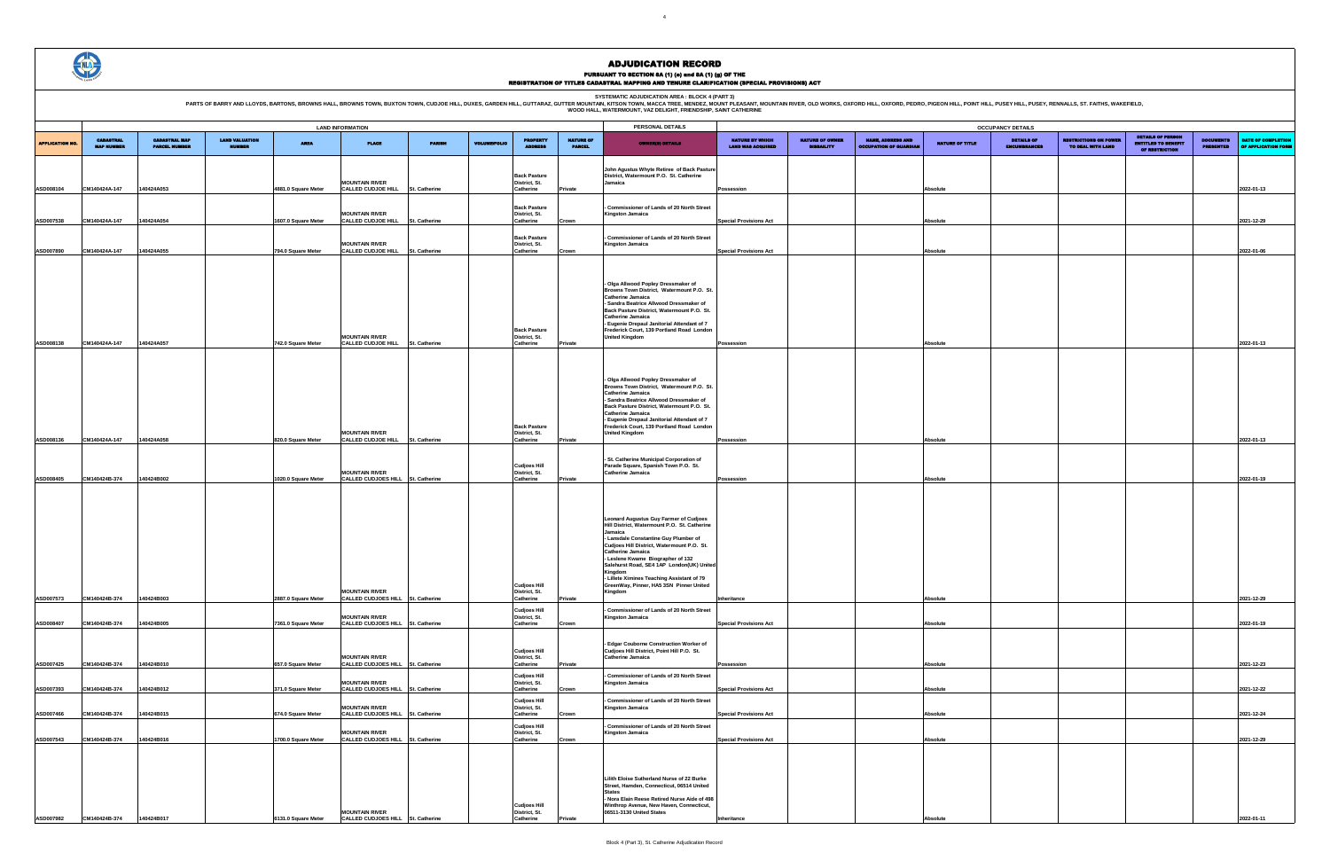SYSTEMATIC ADJUDICATION AREA : BLOCK 4 (PART 3)<br>PARTS OF BARRY AND LLOYDS, BARTONS, BROWNS HALL, BROWNS HALL, BROWNS TOWN, BUXTON TOWN, CUDJOE HILL, DUXES, GARDEN HILL, GUTTARAZ, GUTTER MOUNTAIN (KITSON TOWN, MACCA TREE, M

|                        | <b>LAND INFORMATION</b>               |                                              |                                        |                                           |                                                                                                 |               | PERSONAL DETAILS    | <b>OCCUPANCY DETAILS</b>                                       |                                   |                                                                                                                                                                                                                                                                                                                                                                                                                       |                                                    |                                             |                                                          |                        |                                    |
|------------------------|---------------------------------------|----------------------------------------------|----------------------------------------|-------------------------------------------|-------------------------------------------------------------------------------------------------|---------------|---------------------|----------------------------------------------------------------|-----------------------------------|-----------------------------------------------------------------------------------------------------------------------------------------------------------------------------------------------------------------------------------------------------------------------------------------------------------------------------------------------------------------------------------------------------------------------|----------------------------------------------------|---------------------------------------------|----------------------------------------------------------|------------------------|------------------------------------|
| <b>APPLICATION NO.</b> | <b>CADASTRAL</b><br><b>MAP NUMBER</b> | <b>CADASTRAL MAP</b><br><b>PARCEL NUMBER</b> | <b>LAND VALUATION</b><br><b>NUMBER</b> | <b>AREA</b>                               | <b>PLACE</b>                                                                                    | <b>PARISH</b> | <b>VOLUME/FOLIO</b> | <b>PROPERTY</b>                                                | <b>NATURE OF</b><br><b>PARCEL</b> | <b>OWNER(8) DETAILS</b>                                                                                                                                                                                                                                                                                                                                                                                               | <b>NATURE BY WHICH</b><br><b>LAND WAS ACQUIRED</b> | <b>NATURE OF OWNER</b><br><b>DISBAILITY</b> | <b>NAME, ADDRESS AND</b><br><b>OCCUPATION OF GUARDIA</b> | <b>NATURE OF TITLE</b> | <b>DETAILS</b><br><b>ENCUMBRAN</b> |
| ASD008104              | CM140424A-147                         | 140424A053                                   |                                        | 4881.0 Square Meter                       | <b>MOUNTAIN RIVER</b><br>CALLED CUDJOE HILL                                                     | St. Catherine |                     | <b>Back Pasture</b><br>District, St.<br>Catherine              | Private                           | John Agustus Whyte Retiree of Back Pasture<br>District, Watermount P.O. St. Catherine<br>Jamaica                                                                                                                                                                                                                                                                                                                      | Possession                                         |                                             |                                                          | Absolute               |                                    |
| ASD007538              | CM140424A-147                         | 140424A054                                   |                                        | 1607.0 Square Meter                       | <b>MOUNTAIN RIVER</b><br><b>CALLED CUDJOE HILL</b>                                              | St. Catherine |                     | <b>Back Pasture</b><br>District, St.<br>Catherine              | Crown                             | Commissioner of Lands of 20 North Street<br>Kingston Jamaica                                                                                                                                                                                                                                                                                                                                                          | <b>Special Provisions Act</b>                      |                                             |                                                          | Absolute               |                                    |
| ASD007890              | CM140424A-147                         | 140424A055                                   |                                        | 794.0 Square Meter                        | <b>MOUNTAIN RIVER</b><br>CALLED CUDJOE HILL                                                     | St. Catherine |                     | <b>Back Pasture</b><br>District, St.<br>Catherine              | Crown                             | Commissioner of Lands of 20 North Street<br>Kingston Jamaica                                                                                                                                                                                                                                                                                                                                                          | <b>Special Provisions Act</b>                      |                                             |                                                          | Absolute               |                                    |
| ASD008138              | CM140424A-147                         | 140424A057                                   |                                        | 742.0 Square Meter                        | <b>MOUNTAIN RIVER</b><br>CALLED CUDJOE HILL St. Catherine                                       |               |                     | <b>Back Pasture</b><br>District, St.<br>Catherine              | Private                           | Olga Allwood Popley Dressmaker of<br>Browns Town District, Watermount P.O. St.<br>Catherine Jamaica<br>- Sandra Beatrice Allwood Dressmaker of<br>Back Pasture District, Watermount P.O. St.<br><b>Catherine Jamaica</b><br>- Eugenie Drepaul Janitorial Attendant of 7<br>Frederick Court, 139 Portland Road London<br><b>United Kingdom</b>                                                                         | Possession                                         |                                             |                                                          | Absolute               |                                    |
| ASD008136              | CM140424A-147                         | 140424A058                                   |                                        | 820.0 Square Meter                        | <b>MOUNTAIN RIVER</b><br><b>CALLED CUDJOE HILL</b>                                              | St. Catherine |                     | <b>Back Pasture</b><br>District, St.<br>Catherine              | Private                           | Olga Allwood Popley Dressmaker of<br>Browns Town District. Watermount P.O. St.<br><b>Catherine Jamaica</b><br>- Sandra Beatrice Allwood Dressmaker of<br>Back Pasture District. Watermount P.O. St.<br>Catherine Jamaica<br>- Eugenie Drepaul Janitorial Attendant of 7<br>Frederick Court, 139 Portland Road London<br><b>United Kingdom</b>                                                                         | Possession                                         |                                             |                                                          | Absolute               |                                    |
| ASD008405              | CM140424B-374                         | 140424B002                                   |                                        | 1020.0 Square Meter                       | <b>MOUNTAIN RIVER</b><br>CALLED CUDJOES HILL St. Catherine                                      |               |                     | <b>Cudjoes Hill</b><br>District, St.<br>Catherine              | Private                           | St. Catherine Municipal Corporation of<br>Parade Square, Spanish Town P.O. St.<br><b>Catherine Jamaica</b>                                                                                                                                                                                                                                                                                                            | Possession                                         |                                             |                                                          | Absolute               |                                    |
| ASD007573              | CM140424B-374                         | 140424B003                                   |                                        | 2887.0 Square Meter                       | <b>MOUNTAIN RIVER</b><br>CALLED CUDJOES HILL St. Catherine                                      |               |                     | <b>Cudjoes Hill</b><br>District, St.<br>Catherine              | Private                           | Leonard Augustus Guy Farmer of Cudjoes<br>Hill District, Watermount P.O. St. Catherine<br>Jamaica<br>- Lansdale Constantine Guy Plumber of<br>Cudjoes Hill District, Watermount P.O. St.<br><b>Catherine Jamaica</b><br>- Leslene Kwame Biographer of 132<br>Salehurst Road, SE4 1AP London(UK) United<br>Kingdom<br>- Lillete Ximines Teaching Assistant of 79<br>GreenWay, Pinner, HA5 3SN Pinner United<br>Kingdom | Inheritance                                        |                                             |                                                          | Absolute               |                                    |
|                        |                                       |                                              |                                        |                                           | <b>MOUNTAIN RIVER</b>                                                                           |               |                     | <b>Cudjoes Hill</b><br>District, St.                           |                                   | Commissioner of Lands of 20 North Street<br>Kingston Jamaica                                                                                                                                                                                                                                                                                                                                                          |                                                    |                                             |                                                          |                        |                                    |
| ASD008407<br>ASD007425 | CM140424B-374<br>CM140424B-374        | 140424B005<br>140424B010                     |                                        | 7361.0 Square Meter<br>657.0 Square Meter | CALLED CUDJOES HILL St. Catherine<br><b>MOUNTAIN RIVER</b><br>CALLED CUDJOES HILL St. Catherine |               |                     | Catherine<br><b>Cudjoes Hill</b><br>District, St.<br>Catherine | Crown<br>Private                  | - Edgar Couborne Construction Worker of<br>Cudjoes Hill District, Point Hill P.O. St.<br>Catherine Jamaica                                                                                                                                                                                                                                                                                                            | <b>Special Provisions Act</b><br>Possession        |                                             |                                                          | Absolute<br>Absolute   |                                    |
| ASD007393              | CM140424B-374                         | 140424B012                                   |                                        | 371.0 Square Meter                        | <b>MOUNTAIN RIVER</b><br>CALLED CUDJOES HILL St. Catherine                                      |               |                     | <b>Cudjoes Hill</b><br>District, St.<br>Catherine              | Crown                             | Commissioner of Lands of 20 North Street<br><b>Kingston Jamaica</b>                                                                                                                                                                                                                                                                                                                                                   | <b>Special Provisions Act</b>                      |                                             |                                                          | Absolute               |                                    |
| ASD007466              | CM140424B-374                         | 140424B015                                   |                                        | 674.0 Square Meter                        | <b>MOUNTAIN RIVER</b><br>CALLED CUDJOES HILL St. Catherine                                      |               |                     | <b>Cudjoes Hill</b><br>District, St.<br>Catherine              | Crown                             | <b>Commissioner of Lands of 20 North Street</b><br>Kingston Jamaica                                                                                                                                                                                                                                                                                                                                                   | <b>Special Provisions Act</b>                      |                                             |                                                          | Absolute               |                                    |
| ASD007543              | CM140424B-374                         | 140424B016                                   |                                        | 1700.0 Square Meter                       | <b>MOUNTAIN RIVER</b><br>CALLED CUDJOES HILL St. Catherine                                      |               |                     | <b>Cudjoes Hill</b><br>District, St.<br>Catherine              | Crown                             | <b>Commissioner of Lands of 20 North Street</b><br>Kingston Jamaica                                                                                                                                                                                                                                                                                                                                                   | <b>Special Provisions Act</b>                      |                                             |                                                          | Absolute               |                                    |
| ASD007982              | CM140424B-374                         | 140424B017                                   |                                        | 6131.0 Square Meter                       | <b>MOUNTAIN RIVER</b><br>CALLED CUDJOES HILL St. Catherine                                      |               |                     | <b>Cudjoes Hill</b><br>District, St.<br>Catherine              | Private                           | Lilith Eloise Sutherland Nurse of 22 Burke<br>Street, Hamden, Connecticut, 06514 United<br><b>States</b><br>Nora Elain Reese Retired Nurse Aide of 498<br>Winthrop Avenue, New Haven, Connecticut,<br>06511-3130 United States                                                                                                                                                                                        | Inheritance                                        |                                             |                                                          | Absolute               |                                    |

| <b>OCCUPANCY DETAILS</b>                           |                                             |                                                           |                 |                                          |                                                   |                                                                          |                                      |                                           |  |  |  |  |
|----------------------------------------------------|---------------------------------------------|-----------------------------------------------------------|-----------------|------------------------------------------|---------------------------------------------------|--------------------------------------------------------------------------|--------------------------------------|-------------------------------------------|--|--|--|--|
| <b>NATURE BY WHICH</b><br><b>LAND WAS ACQUIRED</b> | <b>NATURE OF OWNER</b><br><b>DISBAILITY</b> | <b>NAME, ADDRESS AND</b><br><b>OCCUPATION OF GUARDIAN</b> | NATURE OF TITLE | <b>DETAILS OF</b><br><b>ENCUMBRANCES</b> | <b>RESTRICTIONS ON POWER</b><br>TO DEAL WITH LAND | <b>DETAILS OF PERSON</b><br><b>ENTITLED TO BENEFIT</b><br>OF RESTRICTION | <b>DOCUMENTS</b><br><b>PRESENTED</b> | DATE OF COMPLETION<br>OF APPLICATION FORM |  |  |  |  |
|                                                    |                                             |                                                           |                 |                                          |                                                   |                                                                          |                                      |                                           |  |  |  |  |
| Possession                                         |                                             |                                                           | <b>Absolute</b> |                                          |                                                   |                                                                          |                                      | 2022-01-13                                |  |  |  |  |
| <b>Special Provisions Act</b>                      |                                             |                                                           | Absolute        |                                          |                                                   |                                                                          |                                      | 2021-12-29                                |  |  |  |  |
|                                                    |                                             |                                                           |                 |                                          |                                                   |                                                                          |                                      |                                           |  |  |  |  |
| <b>Special Provisions Act</b>                      |                                             |                                                           | Absolute        |                                          |                                                   |                                                                          |                                      | 2022-01-06                                |  |  |  |  |
|                                                    |                                             |                                                           |                 |                                          |                                                   |                                                                          |                                      |                                           |  |  |  |  |
|                                                    |                                             |                                                           |                 |                                          |                                                   |                                                                          |                                      |                                           |  |  |  |  |
|                                                    |                                             |                                                           |                 |                                          |                                                   |                                                                          |                                      |                                           |  |  |  |  |
| Possession                                         |                                             |                                                           | Absolute        |                                          |                                                   |                                                                          |                                      | 2022-01-13                                |  |  |  |  |
|                                                    |                                             |                                                           |                 |                                          |                                                   |                                                                          |                                      |                                           |  |  |  |  |
|                                                    |                                             |                                                           |                 |                                          |                                                   |                                                                          |                                      |                                           |  |  |  |  |
|                                                    |                                             |                                                           |                 |                                          |                                                   |                                                                          |                                      |                                           |  |  |  |  |
|                                                    |                                             |                                                           |                 |                                          |                                                   |                                                                          |                                      |                                           |  |  |  |  |
| Possession                                         |                                             |                                                           | <b>Absolute</b> |                                          |                                                   |                                                                          |                                      | 2022-01-13                                |  |  |  |  |
|                                                    |                                             |                                                           |                 |                                          |                                                   |                                                                          |                                      |                                           |  |  |  |  |
| Possession                                         |                                             |                                                           | Absolute        |                                          |                                                   |                                                                          |                                      | 2022-01-19                                |  |  |  |  |
|                                                    |                                             |                                                           |                 |                                          |                                                   |                                                                          |                                      |                                           |  |  |  |  |
|                                                    |                                             |                                                           |                 |                                          |                                                   |                                                                          |                                      |                                           |  |  |  |  |
|                                                    |                                             |                                                           |                 |                                          |                                                   |                                                                          |                                      |                                           |  |  |  |  |
|                                                    |                                             |                                                           |                 |                                          |                                                   |                                                                          |                                      |                                           |  |  |  |  |
| Inheritance                                        |                                             |                                                           | <b>Absolute</b> |                                          |                                                   |                                                                          |                                      | 2021-12-29                                |  |  |  |  |
| <b>Special Provisions Act</b>                      |                                             |                                                           | Absolute        |                                          |                                                   |                                                                          |                                      | 2022-01-19                                |  |  |  |  |
|                                                    |                                             |                                                           |                 |                                          |                                                   |                                                                          |                                      |                                           |  |  |  |  |
| Possession                                         |                                             |                                                           | Absolute        |                                          |                                                   |                                                                          |                                      | 2021-12-23                                |  |  |  |  |
| <b>Special Provisions Act</b>                      |                                             |                                                           | Absolute        |                                          |                                                   |                                                                          |                                      | 2021-12-22                                |  |  |  |  |
|                                                    |                                             |                                                           |                 |                                          |                                                   |                                                                          |                                      |                                           |  |  |  |  |
| <b>Special Provisions Act</b>                      |                                             |                                                           | <b>Absolute</b> |                                          |                                                   |                                                                          |                                      | 2021-12-24                                |  |  |  |  |
| <b>Special Provisions Act</b>                      |                                             |                                                           | Absolute        |                                          |                                                   |                                                                          |                                      | 2021-12-29                                |  |  |  |  |
|                                                    |                                             |                                                           |                 |                                          |                                                   |                                                                          |                                      |                                           |  |  |  |  |
|                                                    |                                             |                                                           |                 |                                          |                                                   |                                                                          |                                      |                                           |  |  |  |  |
| Inheritance                                        |                                             |                                                           | Absolute        |                                          |                                                   |                                                                          |                                      | 2022-01-11                                |  |  |  |  |



# ADJUDICATION RECORD

PURSUANT TO SECTION 8A (1) (0) and 8A (1) (g) OF THE<br>REGISTRATION OF TITLES CADASTRAL MAPPING AND TENURE CLARIFICATION (SPECIAL PROVISIONS) ACT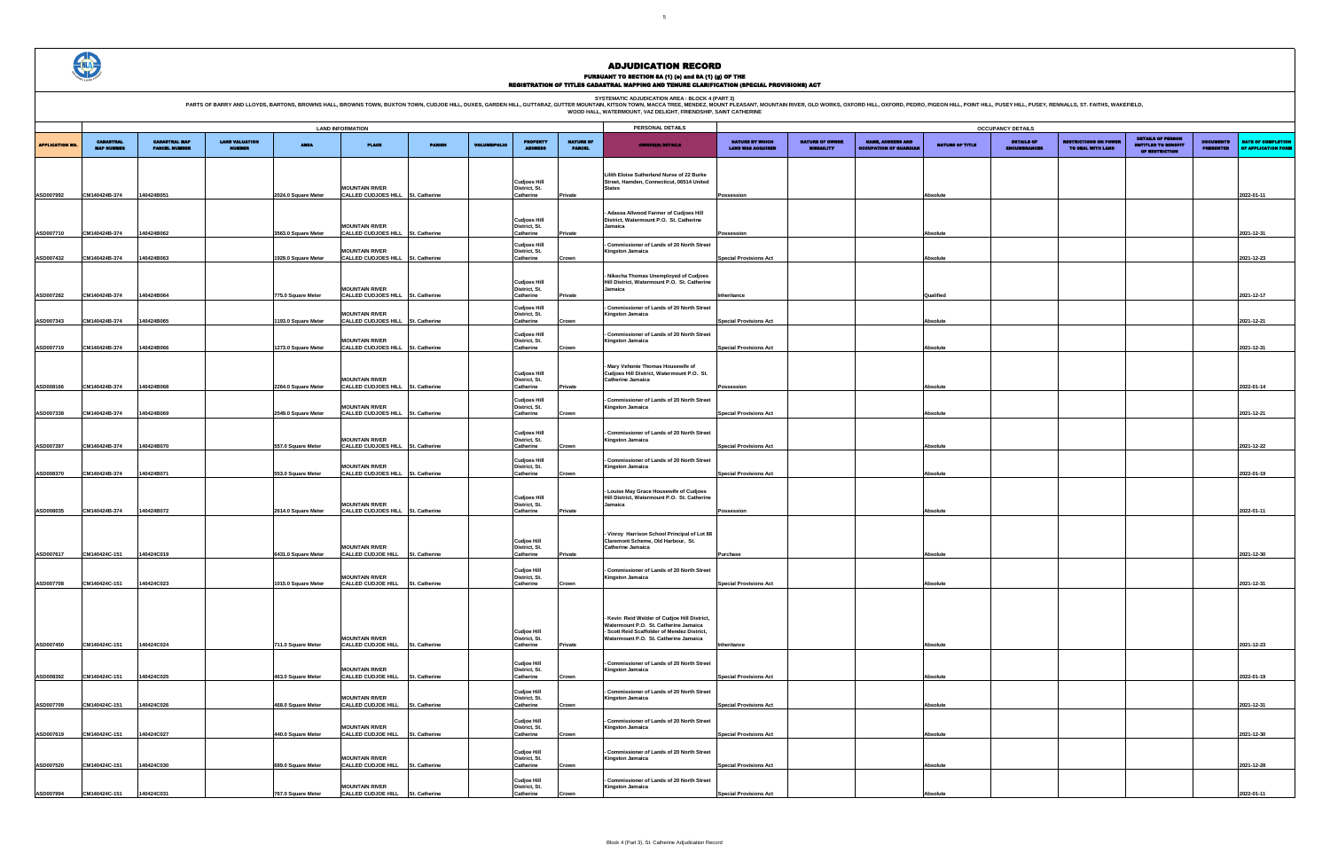

# ADJUDICATION RECORD PURSUANT TO SECTION 8A (1) (e) and 8A (1) (g) OF THE<br>REGISTRATION OF TITLES CADASTRAL MAPPING AND TENURE CLARIFICATION (SPECIAL PROVISIONS) ACT

| <b>OCCUPANCY DETAILS</b>                    |                                             |                                                           |                 |                                          |                                                   |                                                                          |                                      |                                           |  |  |  |  |
|---------------------------------------------|---------------------------------------------|-----------------------------------------------------------|-----------------|------------------------------------------|---------------------------------------------------|--------------------------------------------------------------------------|--------------------------------------|-------------------------------------------|--|--|--|--|
| NATURE BY WHICH<br><b>LAND WAS ACQUIRED</b> | <b>NATURE OF OWNER</b><br><b>DISBAILITY</b> | <b>NAME, ADDRESS AND</b><br><b>OCCUPATION OF GUARDIAN</b> | NATURE OF TITLE | <b>DETAILS OF</b><br><b>ENCUMBRANCES</b> | <b>RESTRICTIONS ON POWER</b><br>TO DEAL WITH LAND | <b>DETAILS OF PERSON</b><br><b>ENTITLED TO BENEFIT</b><br>OF RESTRICTION | <b>DOCUMENTS</b><br><b>PRESENTED</b> | DATE OF COMPLETION<br>OF APPLICATION FORM |  |  |  |  |
|                                             |                                             |                                                           |                 |                                          |                                                   |                                                                          |                                      |                                           |  |  |  |  |
|                                             |                                             |                                                           |                 |                                          |                                                   |                                                                          |                                      |                                           |  |  |  |  |
| Possession                                  |                                             |                                                           | Absolute        |                                          |                                                   |                                                                          |                                      | 2022-01-11                                |  |  |  |  |
|                                             |                                             |                                                           |                 |                                          |                                                   |                                                                          |                                      |                                           |  |  |  |  |
|                                             |                                             |                                                           |                 |                                          |                                                   |                                                                          |                                      |                                           |  |  |  |  |
| Possession                                  |                                             |                                                           | Absolute        |                                          |                                                   |                                                                          |                                      | 2021-12-31                                |  |  |  |  |
|                                             |                                             |                                                           |                 |                                          |                                                   |                                                                          |                                      |                                           |  |  |  |  |
| <b>Special Provisions Act</b>               |                                             |                                                           | Absolute        |                                          |                                                   |                                                                          |                                      | 2021-12-23                                |  |  |  |  |
|                                             |                                             |                                                           |                 |                                          |                                                   |                                                                          |                                      |                                           |  |  |  |  |
|                                             |                                             |                                                           |                 |                                          |                                                   |                                                                          |                                      |                                           |  |  |  |  |
| Inheritance                                 |                                             |                                                           | Qualified       |                                          |                                                   |                                                                          |                                      | 2021-12-17                                |  |  |  |  |
|                                             |                                             |                                                           |                 |                                          |                                                   |                                                                          |                                      |                                           |  |  |  |  |
| <b>Special Provisions Act</b>               |                                             |                                                           | Absolute        |                                          |                                                   |                                                                          |                                      | 2021-12-21                                |  |  |  |  |
| <b>Special Provisions Act</b>               |                                             |                                                           | Absolute        |                                          |                                                   |                                                                          |                                      | 2021-12-31                                |  |  |  |  |
|                                             |                                             |                                                           |                 |                                          |                                                   |                                                                          |                                      |                                           |  |  |  |  |
|                                             |                                             |                                                           |                 |                                          |                                                   |                                                                          |                                      |                                           |  |  |  |  |
| Possession                                  |                                             |                                                           | <b>Absolute</b> |                                          |                                                   |                                                                          |                                      | 2022-01-14                                |  |  |  |  |
|                                             |                                             |                                                           |                 |                                          |                                                   |                                                                          |                                      |                                           |  |  |  |  |
| <b>Special Provisions Act</b>               |                                             |                                                           | Absolute        |                                          |                                                   |                                                                          |                                      | 2021-12-21                                |  |  |  |  |
|                                             |                                             |                                                           |                 |                                          |                                                   |                                                                          |                                      |                                           |  |  |  |  |
|                                             |                                             |                                                           |                 |                                          |                                                   |                                                                          |                                      |                                           |  |  |  |  |
| <b>Special Provisions Act</b>               |                                             |                                                           | Absolute        |                                          |                                                   |                                                                          |                                      | 2021-12-22                                |  |  |  |  |
|                                             |                                             |                                                           |                 |                                          |                                                   |                                                                          |                                      |                                           |  |  |  |  |
| <b>Special Provisions Act</b>               |                                             |                                                           | Absolute        |                                          |                                                   |                                                                          |                                      | 2022-01-19                                |  |  |  |  |
|                                             |                                             |                                                           |                 |                                          |                                                   |                                                                          |                                      |                                           |  |  |  |  |
| Possession                                  |                                             |                                                           | Absolute        |                                          |                                                   |                                                                          |                                      | 2022-01-11                                |  |  |  |  |
|                                             |                                             |                                                           |                 |                                          |                                                   |                                                                          |                                      |                                           |  |  |  |  |
|                                             |                                             |                                                           |                 |                                          |                                                   |                                                                          |                                      |                                           |  |  |  |  |
| Purchase                                    |                                             |                                                           | <b>Absolute</b> |                                          |                                                   |                                                                          |                                      | 2021-12-30                                |  |  |  |  |
|                                             |                                             |                                                           |                 |                                          |                                                   |                                                                          |                                      |                                           |  |  |  |  |
|                                             |                                             |                                                           |                 |                                          |                                                   |                                                                          |                                      |                                           |  |  |  |  |
| <b>Special Provisions Act</b>               |                                             |                                                           | Absolute        |                                          |                                                   |                                                                          |                                      | 2021-12-31                                |  |  |  |  |
|                                             |                                             |                                                           |                 |                                          |                                                   |                                                                          |                                      |                                           |  |  |  |  |
|                                             |                                             |                                                           |                 |                                          |                                                   |                                                                          |                                      |                                           |  |  |  |  |
|                                             |                                             |                                                           |                 |                                          |                                                   |                                                                          |                                      |                                           |  |  |  |  |
| Inheritance                                 |                                             |                                                           | Absolute        |                                          |                                                   |                                                                          |                                      | 2021-12-23                                |  |  |  |  |
|                                             |                                             |                                                           |                 |                                          |                                                   |                                                                          |                                      |                                           |  |  |  |  |
| <b>Special Provisions Act</b>               |                                             |                                                           | Absolute        |                                          |                                                   |                                                                          |                                      | 2022-01-19                                |  |  |  |  |
|                                             |                                             |                                                           |                 |                                          |                                                   |                                                                          |                                      |                                           |  |  |  |  |
| <b>Special Provisions Act</b>               |                                             |                                                           | Absolute        |                                          |                                                   |                                                                          |                                      | 2021-12-31                                |  |  |  |  |
|                                             |                                             |                                                           |                 |                                          |                                                   |                                                                          |                                      |                                           |  |  |  |  |
| <b>Special Provisions Act</b>               |                                             |                                                           | <b>Absolute</b> |                                          |                                                   |                                                                          |                                      | 2021-12-30                                |  |  |  |  |
|                                             |                                             |                                                           |                 |                                          |                                                   |                                                                          |                                      |                                           |  |  |  |  |
|                                             |                                             |                                                           |                 |                                          |                                                   |                                                                          |                                      |                                           |  |  |  |  |
| <b>Special Provisions Act</b>               |                                             |                                                           | <b>Absolute</b> |                                          |                                                   |                                                                          |                                      | 2021-12-28                                |  |  |  |  |
|                                             |                                             |                                                           |                 |                                          |                                                   |                                                                          |                                      |                                           |  |  |  |  |
| <b>Special Provisions Act</b>               |                                             |                                                           | Absolute        |                                          |                                                   |                                                                          |                                      | 2022-01-11                                |  |  |  |  |

|                       | <b>LAND INFORMATION</b>               |                                              |                                        |                     |                                                            | PERSONAL DETAILS<br><b>OCCUPANCY DETAILS</b> |                     |                                                   |                                   |                                                                                                                                                                             |                                                    |                                             |                                                          |                 |                                    |
|-----------------------|---------------------------------------|----------------------------------------------|----------------------------------------|---------------------|------------------------------------------------------------|----------------------------------------------|---------------------|---------------------------------------------------|-----------------------------------|-----------------------------------------------------------------------------------------------------------------------------------------------------------------------------|----------------------------------------------------|---------------------------------------------|----------------------------------------------------------|-----------------|------------------------------------|
| <b>APPLICATION NO</b> | <b>CADASTRAL</b><br><b>MAP NUMBER</b> | <b>CADASTRAL MAP</b><br><b>PARCEL NUMBER</b> | <b>LAND VALUATION</b><br><b>NUMBER</b> | <b>AREA</b>         | <b>PLACE</b>                                               | <b>PARISH</b>                                | <b>VOLUME/FOLIO</b> | <b>PROPERTY</b><br><b>ADDRESS</b>                 | <b>NATURE OF</b><br><b>PARCEL</b> | <b>OWNER(S) DETAILS</b>                                                                                                                                                     | <b>NATURE BY WHICH</b><br><b>LAND WAS ACQUIRED</b> | <b>NATURE OF OWNER</b><br><b>DISBAILITY</b> | <b>NAME, ADDRESS AND</b><br><b>OCCUPATION OF GUARDIA</b> | NATURE OF TITLE | <b>DETAILS</b><br><b>ENCUMBRAN</b> |
|                       |                                       |                                              |                                        |                     | <b>MOUNTAIN RIVER</b>                                      |                                              |                     | <b>Cudjoes Hill</b><br>District, St.              |                                   | Lilith Eloise Sutherland Nurse of 22 Burke<br>Street, Hamden, Connecticut, 06514 United<br><b>States</b>                                                                    |                                                    |                                             |                                                          |                 |                                    |
| ASD007992             | CM140424B-374                         | 140424B051                                   |                                        | 2024.0 Square Meter | CALLED CUDJOES HILL St. Catherine                          |                                              |                     | Catherine                                         | Private                           |                                                                                                                                                                             | Possession                                         |                                             |                                                          | Absolute        |                                    |
| ASD007710             | CM140424B-374                         | 140424B062                                   |                                        | 3563.0 Square Meter | <b>MOUNTAIN RIVER</b><br>CALLED CUDJOES HILL St. Catherine |                                              |                     | <b>Cudjoes Hill</b><br>District, St.<br>Catherine | Private                           | Adassa Allwood Farmer of Cudjoes Hill<br>District, Watermount P.O. St. Catherine<br>Jamaica                                                                                 | Possession                                         |                                             |                                                          | Absolute        |                                    |
| ASD007432             | CM140424B-374                         | 140424B063                                   |                                        | 1929.0 Square Meter | <b>MOUNTAIN RIVER</b><br>CALLED CUDJOES HILL St. Catherine |                                              |                     | <b>Cudjoes Hill</b><br>District, St.<br>Catherine | Crown                             | Commissioner of Lands of 20 North Street<br><b>Kingston Jamaica</b>                                                                                                         | <b>Special Provisions Act</b>                      |                                             |                                                          | Absolute        |                                    |
|                       |                                       |                                              |                                        |                     | <b>MOUNTAIN RIVER</b>                                      |                                              |                     | <b>Cudjoes Hill</b><br>District, St.              |                                   | Nikecha Thomas Unemployed of Cudjoes<br>Hill District, Watermount P.O. St. Catherine<br>Jamaica                                                                             |                                                    |                                             |                                                          |                 |                                    |
| ASD007282             | CM140424B-374                         | 140424B064                                   |                                        | 775.0 Square Meter  | CALLED CUDJOES HILL St. Catherine                          |                                              |                     | Catherine                                         | Private                           |                                                                                                                                                                             | Inheritance                                        |                                             |                                                          | Qualified       |                                    |
|                       |                                       |                                              |                                        |                     | <b>MOUNTAIN RIVER</b>                                      |                                              |                     | <b>Cudjoes Hill</b><br>District, St.              |                                   | - Commissioner of Lands of 20 North Street<br><b>Kingston Jamaica</b>                                                                                                       |                                                    |                                             |                                                          |                 |                                    |
| ASD007343             | CM140424B-374                         | 140424B065                                   |                                        | 1193.0 Square Meter | CALLED CUDJOES HILL St. Catherine<br><b>MOUNTAIN RIVER</b> |                                              |                     | Catherine<br><b>Cudjoes Hill</b><br>District, St. | Crown                             | Commissioner of Lands of 20 North Street<br><b>Kingston Jamaica</b>                                                                                                         | <b>Special Provisions Act</b>                      |                                             |                                                          | Absolute        |                                    |
| ASD007719             | CM140424B-374                         | 140424B066                                   |                                        | 1273.0 Square Meter | CALLED CUDJOES HILL St. Catherine                          |                                              |                     | Catherine                                         | Crown                             |                                                                                                                                                                             | <b>Special Provisions Act</b>                      |                                             |                                                          | Absolute        |                                    |
| ASD008166             | CM140424B-374                         | 140424B068                                   |                                        | 2264.0 Square Meter | <b>MOUNTAIN RIVER</b><br>CALLED CUDJOES HILL St. Catherine |                                              |                     | <b>Cudjoes Hill</b><br>District, St.<br>Catherine | Private                           | Mary Vehonie Thomas Housewife of<br>Cudjoes Hill District, Watermount P.O. St.<br><b>Catherine Jamaica</b>                                                                  | Possession                                         |                                             |                                                          | Absolute        |                                    |
| ASD007338             | CM140424B-374                         | 140424B069                                   |                                        | 2549.0 Square Meter | <b>MOUNTAIN RIVER</b><br>CALLED CUDJOES HILL St. Catherine |                                              |                     | <b>Cudjoes Hill</b><br>District, St.<br>Catherine | Crown                             | Commissioner of Lands of 20 North Street<br><b>Kingston Jamaica</b>                                                                                                         | <b>Special Provisions Act</b>                      |                                             |                                                          | Absolute        |                                    |
|                       |                                       |                                              |                                        |                     | <b>MOUNTAIN RIVER</b>                                      |                                              |                     | <b>Cudjoes Hill</b><br>District, St.              |                                   | Commissioner of Lands of 20 North Street<br>Kingston Jamaica                                                                                                                |                                                    |                                             |                                                          |                 |                                    |
| ASD007397             | CM140424B-374                         | 140424B070                                   |                                        | 557.0 Square Meter  | CALLED CUDJOES HILL St. Catherine                          |                                              |                     | Catherine                                         | Crown                             |                                                                                                                                                                             | <b>Special Provisions Act</b>                      |                                             |                                                          | Absolute        |                                    |
| ASD008370             | CM140424B-374                         | 140424B071                                   |                                        | 553.0 Square Meter  | <b>MOUNTAIN RIVER</b><br>CALLED CUDJOES HILL St. Catherine |                                              |                     | <b>Cudjoes Hill</b><br>District, St.<br>Catherine | Crown                             | Commissioner of Lands of 20 North Street<br>Kingston Jamaica                                                                                                                | <b>Special Provisions Act</b>                      |                                             |                                                          | Absolute        |                                    |
| ASD008035             | CM140424B-374                         | 140424B072                                   |                                        | 2614.0 Square Meter | <b>MOUNTAIN RIVER</b><br>CALLED CUDJOES HILL St. Catherine |                                              |                     | <b>Cudjoes Hill</b><br>District, St.<br>Catherine | Private                           | Louise May Grace Housewife of Cudjoes<br>Hill District, Watermount P.O. St. Catherine<br>Jamaica                                                                            | Possession                                         |                                             |                                                          | Absolute        |                                    |
|                       |                                       |                                              |                                        |                     | <b>MOUNTAIN RIVER</b>                                      |                                              |                     | <b>Cudjoe Hill</b><br>District, St.               |                                   | Vinroy Harrison School Principal of Lot 88<br>Claremont Scheme, Old Harbour, St.<br><b>Catherine Jamaica</b>                                                                |                                                    |                                             |                                                          |                 |                                    |
| ASD007617             | CM140424C-151                         | 140424C019                                   |                                        | 6431.0 Square Meter | <b>CALLED CUDJOE HILL</b>                                  | St. Catherine                                |                     | Catherine                                         | Private                           |                                                                                                                                                                             | Purchase                                           |                                             |                                                          | Absolute        |                                    |
| ASD007708             | CM140424C-151                         | 140424C023                                   |                                        | 1015.0 Square Meter | <b>MOUNTAIN RIVER</b><br>CALLED CUDJOE HILL                | St. Catherine                                |                     | <b>Cudjoe Hill</b><br>District, St.<br>Catherine  | Crown                             | Commissioner of Lands of 20 North Street<br>Kingston Jamaica                                                                                                                | <b>Special Provisions Act</b>                      |                                             |                                                          | Absolute        |                                    |
|                       |                                       |                                              |                                        |                     |                                                            |                                              |                     |                                                   |                                   |                                                                                                                                                                             |                                                    |                                             |                                                          |                 |                                    |
| ASD007450             | CM140424C-151                         | 140424C024                                   |                                        | 711.0 Square Meter  | <b>MOUNTAIN RIVER</b><br>CALLED CUDJOE HILL St. Catherine  |                                              |                     | <b>Cudjoe Hill</b><br>District, St.<br>Catherine  | Private                           | Kevin Reid Welder of Cudjoe Hill District,<br>Watermount P.O. St. Catherine Jamaica<br>- Scott Reid Scaffolder of Mendez District,<br>Watermount P.O. St. Catherine Jamaica | Inheritance                                        |                                             |                                                          | Absolute        |                                    |
|                       |                                       |                                              |                                        |                     |                                                            |                                              |                     | <b>Cudjoe Hill</b>                                |                                   | Commissioner of Lands of 20 North Street                                                                                                                                    |                                                    |                                             |                                                          |                 |                                    |
| ASD008392             | CM140424C-151                         | 140424C025                                   |                                        | 463.0 Square Meter  | <b>MOUNTAIN RIVER</b><br><b>CALLED CUDJOE HILL</b>         | St. Catherine                                |                     | District, St.<br>Catherine                        | Crown                             | <b>Kingston Jamaica</b>                                                                                                                                                     | <b>Special Provisions Act</b>                      |                                             |                                                          | Absolute        |                                    |
|                       |                                       |                                              |                                        |                     | <b>MOUNTAIN RIVER</b>                                      |                                              |                     | <b>Cudjoe Hill</b><br>District, St.               |                                   | <b>Commissioner of Lands of 20 North Street</b><br>Kingston Jamaica                                                                                                         |                                                    |                                             |                                                          |                 |                                    |
| ASD007709             | CM140424C-151                         | 140424C026                                   |                                        | 468.0 Square Meter  | <b>CALLED CUDJOE HILL</b>                                  | St. Catherine                                |                     | Catherine                                         | Crown                             |                                                                                                                                                                             | <b>Special Provisions Act</b>                      |                                             |                                                          | Absolute        |                                    |
| ASD007619             | CM140424C-151                         | 140424C027                                   |                                        | 440.0 Square Meter  | <b>MOUNTAIN RIVER</b><br>CALLED CUDJOE HILL St. Catherine  |                                              |                     | <b>Cudjoe Hill</b><br>District, St.<br>Catherine  | Crown                             | Commissioner of Lands of 20 North Street<br>Kingston Jamaica                                                                                                                | <b>Special Provisions Act</b>                      |                                             |                                                          | Absolute        |                                    |
| ASD007520             | CM140424C-151                         | 140424C030                                   |                                        | 689.0 Square Meter  | <b>MOUNTAIN RIVER</b><br>CALLED CUDJOE HILL St. Catherine  |                                              |                     | <b>Cudjoe Hill</b><br>District, St.<br>Catherine  | Crown                             | Commissioner of Lands of 20 North Street<br>Kingston Jamaica                                                                                                                | <b>Special Provisions Act</b>                      |                                             |                                                          | Absolute        |                                    |
| ASD007994             | CM140424C-151                         | 140424C031                                   |                                        | 767.0 Square Meter  | <b>MOUNTAIN RIVER</b><br>CALLED CUDJOE HILL St. Catherine  |                                              |                     | <b>Cudjoe Hill</b><br>District, St.<br>Catherine  | Crown                             | Commissioner of Lands of 20 North Street<br>Kingston Jamaica                                                                                                                | <b>Special Provisions Act</b>                      |                                             |                                                          | Absolute        |                                    |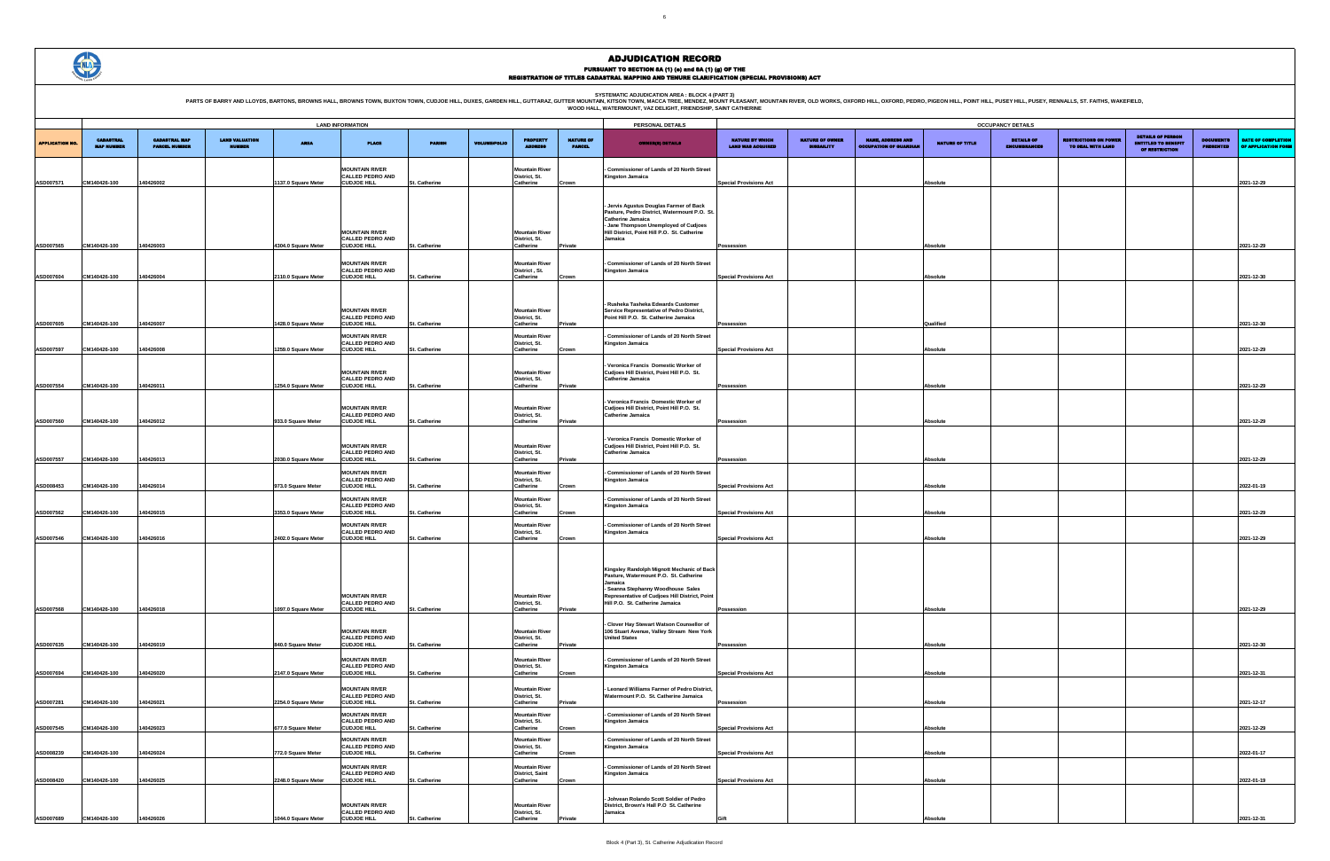SYSTEMATIC ADJUDICATION AREA : BLOCK 4 (PART 3)<br>PARTS OF BARRY AND LLOYDS, BARTONS, BROWNS HALL, BROWNS HALL, BROWNS TOWN, BUXTON TOWN, CUDJOE HILL, DUXES, GARDEN HILL, GUTTARAZ, GUTTER MOUNTAIN (KITSON TOWN, MACCA TREE, M



### ADJUDICATION RECORD PURSUANT TO SECTION 8A (1) (e) and 8A (1) (g) OF THE<br>REGISTRATION OF TITLES CADASTRAL MAPPING AND TENURE CLARIFICATION (SPECIAL PROVISIONS) ACT

| <b>OCCUPANCY DETAILS</b>                           |                                             |                                                           |                 |                                          |                                                   |                                                                          |                                      |                                                  |  |  |  |  |
|----------------------------------------------------|---------------------------------------------|-----------------------------------------------------------|-----------------|------------------------------------------|---------------------------------------------------|--------------------------------------------------------------------------|--------------------------------------|--------------------------------------------------|--|--|--|--|
|                                                    |                                             |                                                           |                 |                                          |                                                   |                                                                          |                                      |                                                  |  |  |  |  |
| <b>NATURE BY WHICH</b><br><b>LAND WAS ACQUIRED</b> | <b>NATURE OF OWNER</b><br><b>DISBAILITY</b> | <b>NAME, ADDRESS AND</b><br><b>OCCUPATION OF GUARDIAN</b> | NATURE OF TITLE | <b>DETAILS OF</b><br><b>ENCUMBRANCES</b> | <b>RESTRICTIONS ON POWER</b><br>TO DEAL WITH LAND | <b>DETAILS OF PERSON</b><br><b>ENTITLED TO BENEFIT</b><br>OF RESTRICTION | <b>DOCUMENTS</b><br><b>PRESENTED</b> | <b>DATE OF COMPLETION</b><br>OF APPLICATION FORM |  |  |  |  |
|                                                    |                                             |                                                           |                 |                                          |                                                   |                                                                          |                                      |                                                  |  |  |  |  |
|                                                    |                                             |                                                           |                 |                                          |                                                   |                                                                          |                                      | 2021-12-29                                       |  |  |  |  |
| <b>Special Provisions Act</b>                      |                                             |                                                           | Absolute        |                                          |                                                   |                                                                          |                                      |                                                  |  |  |  |  |
|                                                    |                                             |                                                           |                 |                                          |                                                   |                                                                          |                                      |                                                  |  |  |  |  |
|                                                    |                                             |                                                           |                 |                                          |                                                   |                                                                          |                                      |                                                  |  |  |  |  |
|                                                    |                                             |                                                           |                 |                                          |                                                   |                                                                          |                                      |                                                  |  |  |  |  |
| Possession                                         |                                             |                                                           | Absolute        |                                          |                                                   |                                                                          |                                      | 2021-12-29                                       |  |  |  |  |
|                                                    |                                             |                                                           |                 |                                          |                                                   |                                                                          |                                      |                                                  |  |  |  |  |
| <b>Special Provisions Act</b>                      |                                             |                                                           | Absolute        |                                          |                                                   |                                                                          |                                      | 2021-12-30                                       |  |  |  |  |
|                                                    |                                             |                                                           |                 |                                          |                                                   |                                                                          |                                      |                                                  |  |  |  |  |
|                                                    |                                             |                                                           |                 |                                          |                                                   |                                                                          |                                      |                                                  |  |  |  |  |
|                                                    |                                             |                                                           |                 |                                          |                                                   |                                                                          |                                      |                                                  |  |  |  |  |
| Possession                                         |                                             |                                                           | Qualified       |                                          |                                                   |                                                                          |                                      | 2021-12-30                                       |  |  |  |  |
| <b>Special Provisions Act</b>                      |                                             |                                                           | Absolute        |                                          |                                                   |                                                                          |                                      | 2021-12-29                                       |  |  |  |  |
|                                                    |                                             |                                                           |                 |                                          |                                                   |                                                                          |                                      |                                                  |  |  |  |  |
|                                                    |                                             |                                                           |                 |                                          |                                                   |                                                                          |                                      |                                                  |  |  |  |  |
| Possession                                         |                                             |                                                           | Absolute        |                                          |                                                   |                                                                          |                                      | 2021-12-29                                       |  |  |  |  |
|                                                    |                                             |                                                           |                 |                                          |                                                   |                                                                          |                                      |                                                  |  |  |  |  |
|                                                    |                                             |                                                           | Absolute        |                                          |                                                   |                                                                          |                                      | 2021-12-29                                       |  |  |  |  |
| Possession                                         |                                             |                                                           |                 |                                          |                                                   |                                                                          |                                      |                                                  |  |  |  |  |
|                                                    |                                             |                                                           |                 |                                          |                                                   |                                                                          |                                      |                                                  |  |  |  |  |
| Possession                                         |                                             |                                                           | Absolute        |                                          |                                                   |                                                                          |                                      | 2021-12-29                                       |  |  |  |  |
|                                                    |                                             |                                                           |                 |                                          |                                                   |                                                                          |                                      |                                                  |  |  |  |  |
| <b>Special Provisions Act</b>                      |                                             |                                                           | Absolute        |                                          |                                                   |                                                                          |                                      | 2022-01-19                                       |  |  |  |  |
|                                                    |                                             |                                                           |                 |                                          |                                                   |                                                                          |                                      |                                                  |  |  |  |  |
| <b>Special Provisions Act</b>                      |                                             |                                                           | Absolute        |                                          |                                                   |                                                                          |                                      | 2021-12-29                                       |  |  |  |  |
|                                                    |                                             |                                                           |                 |                                          |                                                   |                                                                          |                                      |                                                  |  |  |  |  |
| <b>Special Provisions Act</b>                      |                                             |                                                           | Absolute        |                                          |                                                   |                                                                          |                                      | 2021-12-29                                       |  |  |  |  |
|                                                    |                                             |                                                           |                 |                                          |                                                   |                                                                          |                                      |                                                  |  |  |  |  |
|                                                    |                                             |                                                           |                 |                                          |                                                   |                                                                          |                                      |                                                  |  |  |  |  |
|                                                    |                                             |                                                           |                 |                                          |                                                   |                                                                          |                                      |                                                  |  |  |  |  |
|                                                    |                                             |                                                           |                 |                                          |                                                   |                                                                          |                                      |                                                  |  |  |  |  |
| Possession                                         |                                             |                                                           | Absolute        |                                          |                                                   |                                                                          |                                      | 2021-12-29                                       |  |  |  |  |
|                                                    |                                             |                                                           |                 |                                          |                                                   |                                                                          |                                      |                                                  |  |  |  |  |
| Possession                                         |                                             |                                                           | Absolute        |                                          |                                                   |                                                                          |                                      | 2021-12-30                                       |  |  |  |  |
|                                                    |                                             |                                                           |                 |                                          |                                                   |                                                                          |                                      |                                                  |  |  |  |  |
| <b>Special Provisions Act</b>                      |                                             |                                                           | Absolute        |                                          |                                                   |                                                                          |                                      | 2021-12-31                                       |  |  |  |  |
|                                                    |                                             |                                                           |                 |                                          |                                                   |                                                                          |                                      |                                                  |  |  |  |  |
|                                                    |                                             |                                                           |                 |                                          |                                                   |                                                                          |                                      |                                                  |  |  |  |  |
| Possession                                         |                                             |                                                           | Absolute        |                                          |                                                   |                                                                          |                                      | 2021-12-17                                       |  |  |  |  |
| <b>Special Provisions Act</b>                      |                                             |                                                           | Absolute        |                                          |                                                   |                                                                          |                                      | 2021-12-29                                       |  |  |  |  |
|                                                    |                                             |                                                           |                 |                                          |                                                   |                                                                          |                                      |                                                  |  |  |  |  |
| <b>Special Provisions Act</b>                      |                                             |                                                           | Absolute        |                                          |                                                   |                                                                          |                                      | 2022-01-17                                       |  |  |  |  |
|                                                    |                                             |                                                           |                 |                                          |                                                   |                                                                          |                                      |                                                  |  |  |  |  |
| <b>Special Provisions Act</b>                      |                                             |                                                           | Absolute        |                                          |                                                   |                                                                          |                                      | 2022-01-19                                       |  |  |  |  |
|                                                    |                                             |                                                           |                 |                                          |                                                   |                                                                          |                                      |                                                  |  |  |  |  |
|                                                    |                                             |                                                           |                 |                                          |                                                   |                                                                          |                                      |                                                  |  |  |  |  |
| Gift                                               |                                             |                                                           | Absolute        |                                          |                                                   |                                                                          |                                      | 2021-12-31                                       |  |  |  |  |

|                        |                                       |                                              |                                        |                                           | <b>LAND INFORMATION</b>                                                                      |                                |                     |                                                                  |                                   | PERSONAL DETAILS                                                                                                                                                                                                           |                                                    |                                             |                                                           |                      | <b>OCCUPANCY DETAILS</b>           |
|------------------------|---------------------------------------|----------------------------------------------|----------------------------------------|-------------------------------------------|----------------------------------------------------------------------------------------------|--------------------------------|---------------------|------------------------------------------------------------------|-----------------------------------|----------------------------------------------------------------------------------------------------------------------------------------------------------------------------------------------------------------------------|----------------------------------------------------|---------------------------------------------|-----------------------------------------------------------|----------------------|------------------------------------|
| <b>APPLICATION NO.</b> | <b>CADASTRAL</b><br><b>MAP NUMBER</b> | <b>CADASTRAL MAP</b><br><b>PARCEL NUMBER</b> | <b>LAND VALUATION</b><br><b>NUMBER</b> | <b>AREA</b>                               | <b>PLACE</b>                                                                                 | <b>PARISH</b>                  | <b>VOLUME/FOLIO</b> | <b>PROPERTY</b><br><b>ADDRESS</b>                                | <b>NATURE OF</b><br><b>PARCEL</b> | <b>OWNER(8) DETAILS</b>                                                                                                                                                                                                    | <b>NATURE BY WHICH</b><br><b>LAND WAS ACQUIRED</b> | <b>NATURE OF OWNER</b><br><b>DISBAILITY</b> | <b>NAME, ADDRESS AND</b><br><b>OCCUPATION OF GUARDIAN</b> | NATURE OF TITLE      | <b>DETAILS</b><br><b>ENCUMBRAN</b> |
| ASD007571              | CM140426-100                          | 140426002                                    |                                        | 1137.0 Square Meter                       | <b>MOUNTAIN RIVER</b><br><b>CALLED PEDRO AND</b><br><b>CUDJOE HILL</b>                       | St. Catherine                  |                     | <b>Mountain River</b><br>District, St.<br>Catherine              | Crown                             | Commissioner of Lands of 20 North Street<br><b>Kingston Jamaica</b>                                                                                                                                                        | <b>Special Provisions Act</b>                      |                                             |                                                           | Absolute             |                                    |
| ASD007565              | CM140426-100                          | 140426003                                    |                                        | 4304.0 Square Meter                       | <b>MOUNTAIN RIVER</b><br>CALLED PEDRO AND<br><b>CUDJOE HILL</b>                              | St. Catherine                  |                     | <b>Mountain River</b><br>District, St.<br>Catherine              | Private                           | Jervis Agustus Douglas Farmer of Back<br>Pasture, Pedro District, Watermount P.O. St<br>Catherine Jamaica<br>Jane Thompson Unemployed of Cudjoes<br>Hill District, Point Hill P.O. St. Catherine<br>Jamaica                | Possession                                         |                                             |                                                           | Absolute             |                                    |
|                        |                                       |                                              |                                        |                                           | <b>MOUNTAIN RIVER</b><br><b>CALLED PEDRO AND</b>                                             |                                |                     | <b>Mountain River</b><br>District, St.                           |                                   | Commissioner of Lands of 20 North Street<br>Kingston Jamaica                                                                                                                                                               |                                                    |                                             |                                                           |                      |                                    |
| ASD007604              | CM140426-100                          | 140426004                                    |                                        | 2110.0 Square Meter                       | <b>CUDJOE HILL</b>                                                                           | St. Catherine                  |                     | Catherine                                                        | Crown                             |                                                                                                                                                                                                                            | <b>Special Provisions Act</b>                      |                                             |                                                           | Absolute             |                                    |
| ASD007605              | CM140426-100                          | 140426007                                    |                                        | 1428.0 Square Meter                       | <b>MOUNTAIN RIVER</b><br><b>CALLED PEDRO AND</b><br><b>CUDJOE HILL</b>                       | St. Catherine                  |                     | <b>Mountain River</b><br>District, St.<br>Catherine              | Private                           | Rusheka Tasheka Edwards Customer<br>Service Representative of Pedro District,<br>Point Hill P.O. St. Catherine Jamaica                                                                                                     | Possession                                         |                                             |                                                           | Qualified            |                                    |
| <b>ASD007597</b>       | CM140426-100                          | 140426008                                    |                                        | 1259.0 Square Meter                       | <b>MOUNTAIN RIVER</b><br><b>CALLED PEDRO AND</b><br><b>CUDJOE HILL</b>                       | St. Catherine                  |                     | <b>Mountain River</b><br>District, St.<br>Catherine              | Crown                             | <b>Commissioner of Lands of 20 North Street</b><br>Kingston Jamaica                                                                                                                                                        | <b>Special Provisions Act</b>                      |                                             |                                                           | Absolute             |                                    |
|                        |                                       |                                              |                                        |                                           | <b>MOUNTAIN RIVER</b><br><b>CALLED PEDRO AND</b>                                             |                                |                     | <b>Mountain River</b><br>District, St.                           |                                   | Veronica Francis Domestic Worker of<br>Cudjoes Hill District, Point Hill P.O. St.<br>Catherine Jamaica                                                                                                                     |                                                    |                                             |                                                           |                      |                                    |
| ASD007554<br>ASD007560 | CM140426-100<br>CM140426-100          | 140426011<br>140426012                       |                                        | 1254.0 Square Meter<br>933.0 Square Meter | <b>CUDJOE HILL</b><br><b>MOUNTAIN RIVER</b><br><b>CALLED PEDRO AND</b><br><b>CUDJOE HILL</b> | St. Catherine<br>St. Catherine |                     | Catherine<br><b>Mountain River</b><br>District, St.<br>Catherine | Private<br>Private                | Veronica Francis Domestic Worker of<br>Cudjoes Hill District, Point Hill P.O. St.<br>Catherine Jamaica                                                                                                                     | Possession<br>Possession                           |                                             |                                                           | Absolute<br>Absolute |                                    |
| ASD007557              | CM140426-100                          | 140426013                                    |                                        | 2030.0 Square Meter                       | <b>MOUNTAIN RIVER</b><br>CALLED PEDRO AND<br><b>CUDJOE HILL</b>                              | St. Catherine                  |                     | <b>Mountain River</b><br>District, St.<br>Catherine              | Private                           | Veronica Francis Domestic Worker of<br>Cudjoes Hill District, Point Hill P.O. St.<br><b>Catherine Jamaica</b>                                                                                                              | Possession                                         |                                             |                                                           | Absolute             |                                    |
| ASD008453              | CM140426-100                          | 140426014                                    |                                        | 973.0 Square Meter                        | <b>MOUNTAIN RIVER</b><br><b>CALLED PEDRO AND</b><br><b>CUDJOE HILL</b>                       | St. Catherine                  |                     | <b>Mountain River</b><br>District, St.<br>Catherine              | Crown                             | Commissioner of Lands of 20 North Street<br><b>Kingston Jamaica</b>                                                                                                                                                        | <b>Special Provisions Act</b>                      |                                             |                                                           | Absolute             |                                    |
| ASD007562              | CM140426-100                          | 140426015                                    |                                        | 3353.0 Square Meter                       | <b>MOUNTAIN RIVER</b><br><b>CALLED PEDRO AND</b><br><b>CUDJOE HILL</b>                       | St. Catherine                  |                     | <b>Mountain River</b><br>District, St.<br>Catherine              | Crown                             | <b>Commissioner of Lands of 20 North Street</b><br>Kingston Jamaica                                                                                                                                                        | <b>Special Provisions Act</b>                      |                                             |                                                           | Absolute             |                                    |
| ASD007546              | CM140426-100                          | 140426016                                    |                                        | 2402.0 Square Meter                       | <b>MOUNTAIN RIVER</b><br><b>CALLED PEDRO AND</b><br><b>CUDJOE HILL</b>                       | St. Catherine                  |                     | <b>Mountain River</b><br>District, St.<br>Catherine              | Crown                             | <b>Commissioner of Lands of 20 North Street</b><br>Kingston Jamaica                                                                                                                                                        | <b>Special Provisions Act</b>                      |                                             |                                                           | Absolute             |                                    |
| ASD007568              | CM140426-100                          | 140426018                                    |                                        | 1097.0 Square Meter                       | <b>MOUNTAIN RIVER</b><br>CALLED PEDRO AND<br><b>CUDJOE HILL</b>                              | St. Catherine                  |                     | <b>Mountain River</b><br>District, St.<br>Catherine              | Private                           | Kingsley Randolph Mignott Mechanic of Back<br>Pasture, Watermount P.O. St. Catherine<br>Jamaica<br>- Seanna Stephanny Woodhouse Sales<br>Representative of Cudjoes Hill District, Point<br>Hill P.O. St. Catherine Jamaica | Possession                                         |                                             |                                                           | Absolute             |                                    |
| ASD007635              | CM140426-100                          | 140426019                                    |                                        | 840.0 Square Meter                        | <b>MOUNTAIN RIVER</b><br><b>CALLED PEDRO AND</b><br><b>CUDJOE HILL</b>                       | St. Catherine                  |                     | <b>Mountain River</b><br>District, St.<br>Catherine              | Private                           | Clover Hay Stewart Watson Counsellor of<br>106 Stuart Avenue, Valley Stream New York<br><b>United States</b>                                                                                                               | Possession                                         |                                             |                                                           | Absolute             |                                    |
| ASD007694              | CM140426-100                          | 140426020                                    |                                        | 2147.0 Square Meter                       | <b>MOUNTAIN RIVER</b><br><b>CALLED PEDRO AND</b><br><b>CUDJOE HILL</b>                       | St. Catherine                  |                     | <b>Mountain River</b><br>District, St.<br>Catherine              | Crown                             | Commissioner of Lands of 20 North Street<br>Kingston Jamaica                                                                                                                                                               | <b>Special Provisions Act</b>                      |                                             |                                                           | Absolute             |                                    |
| ASD007281              | CM140426-100                          | 140426021                                    |                                        | 2254.0 Square Meter                       | <b>MOUNTAIN RIVER</b><br><b>CALLED PEDRO AND</b><br><b>CUDJOE HILL</b>                       | St. Catherine                  |                     | <b>Mountain River</b><br>District, St.<br>Catherine              | Private                           | Leonard Williams Farmer of Pedro District,<br>Watermount P.O. St. Catherine Jamaica                                                                                                                                        | Possession                                         |                                             |                                                           | Absolute             |                                    |
| ASD007545              | CM140426-100                          | 140426023                                    |                                        | 677.0 Square Meter                        | <b>MOUNTAIN RIVER</b><br><b>CALLED PEDRO AND</b><br><b>CUDJOE HILL</b>                       | St. Catherine                  |                     | <b>Mountain River</b><br>District, St.<br>Catherine              | Crown                             | <b>Commissioner of Lands of 20 North Street</b><br>Kingston Jamaica                                                                                                                                                        | <b>Special Provisions Act</b>                      |                                             |                                                           | Absolute             |                                    |
| ASD008239              | CM140426-100                          | 140426024                                    |                                        | 772.0 Square Meter                        | <b>MOUNTAIN RIVER</b><br>CALLED PEDRO AND<br><b>CUDJOE HILL</b>                              | St. Catherine                  |                     | <b>Mountain River</b><br>District, St.<br>Catherine              | Crown                             | <b>Commissioner of Lands of 20 North Street</b><br>Kingston Jamaica                                                                                                                                                        | <b>Special Provisions Act</b>                      |                                             |                                                           | Absolute             |                                    |
| ASD008420              | CM140426-100                          | 140426025                                    |                                        | 2248.0 Square Meter                       | <b>MOUNTAIN RIVER</b><br><b>CALLED PEDRO AND</b><br><b>CUDJOE HILL</b>                       | St. Catherine                  |                     | <b>Mountain River</b><br><b>District, Saint</b><br>Catherine     | Crown                             | Commissioner of Lands of 20 North Street<br>Kingston Jamaica                                                                                                                                                               | <b>Special Provisions Act</b>                      |                                             |                                                           | Absolute             |                                    |
|                        |                                       |                                              |                                        |                                           | <b>MOUNTAIN RIVER</b><br><b>CALLED PEDRO AND</b>                                             |                                |                     | <b>Mountain River</b><br>District, St.                           |                                   | Johvean Rolando Scott Soldier of Pedro<br>District, Brown's Hall P.O St. Catherine<br>Jamaica                                                                                                                              |                                                    |                                             |                                                           |                      |                                    |
| ASD007689              | CM140426-100                          | 140426026                                    |                                        | 1044.0 Square Meter                       | <b>CUDJOE HILL</b>                                                                           | St. Catherine                  |                     | Catherine                                                        | Private                           |                                                                                                                                                                                                                            | Gift                                               |                                             |                                                           | Absolute             |                                    |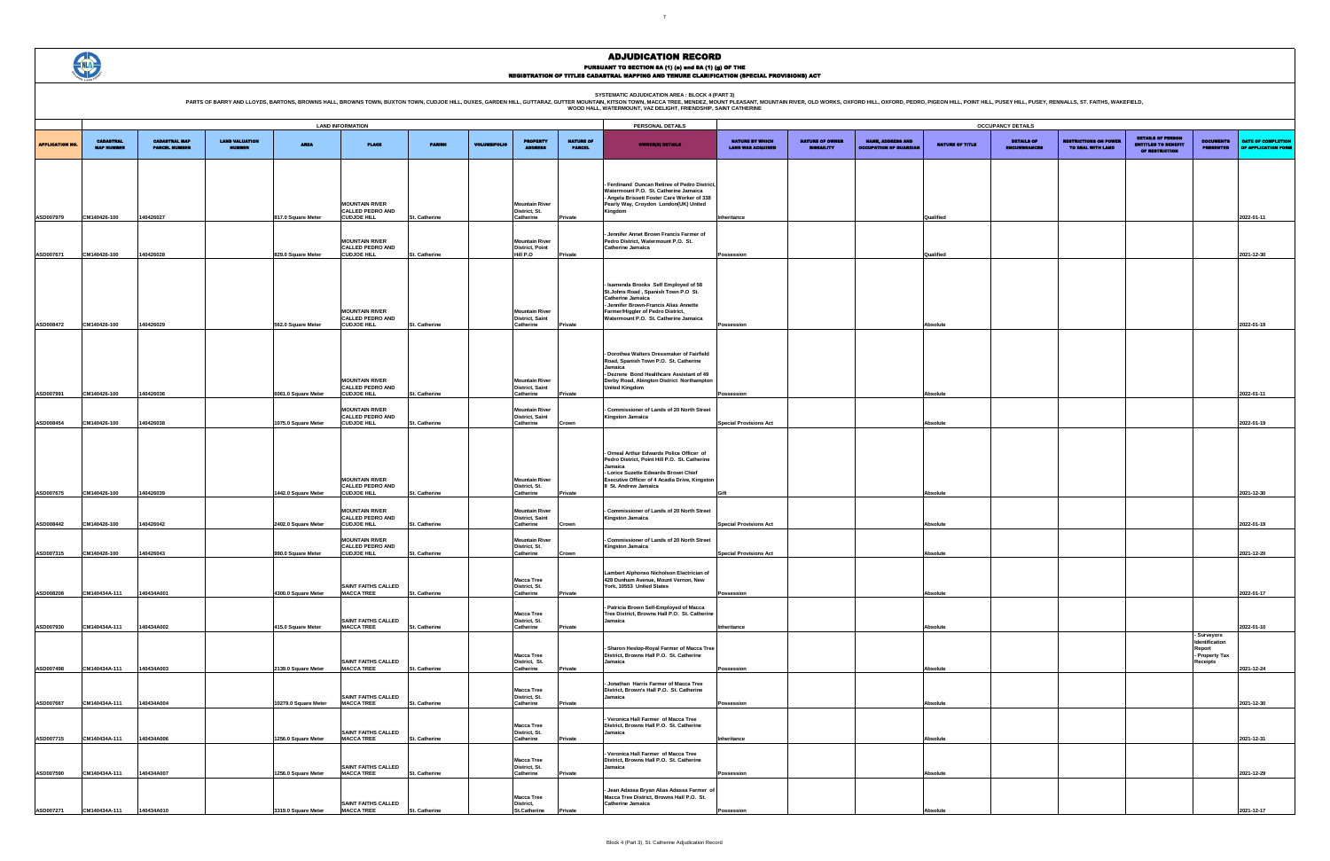SYSTEMATIC ADJUDICATION AREA : BLOCK 4 (PART 3)<br>PARTS OF BARRY AND LLOYDS, BARTONS, BROWNS HALL, BROWNS HALL, BROWNS TOWN, BUXTON TOWN, CUDJOE HILL, DUXES, GARDEN HILL, GUTTARAZ, GUTTER MOUNTAIN (KITSON TOWN, MACCA TREE, M

# ADJUDICATION RECORD PURSUANT TO SECTION 8A (1) (e) and 8A (1) (g) OF THE<br>REGISTRATION OF TITLES CADASTRAL MAPPING AND TENURE CLARIFICATION (SPECIAL PROVISIONS) ACT



|                                                    |                                             |                                                           |                 | <b>OCCUPANCY DETAILS</b>                 |                                                   |                                                                   |                                      |                                                  |
|----------------------------------------------------|---------------------------------------------|-----------------------------------------------------------|-----------------|------------------------------------------|---------------------------------------------------|-------------------------------------------------------------------|--------------------------------------|--------------------------------------------------|
| <b>NATURE BY WHICH</b><br><b>LAND WAS ACQUIRED</b> | <b>NATURE OF OWNER</b><br><b>DISBAILITY</b> | <b>NAME, ADDRESS AND</b><br><b>OCCUPATION OF GUARDIAN</b> | NATURE OF TITLE | <b>DETAILS OF</b><br><b>ENCUMBRANCES</b> | <b>RESTRICTIONS ON POWER</b><br>TO DEAL WITH LAND | DETAILS OF PERSON<br><b>ENTITLED TO BENEFIT</b><br>OF RESTRICTION | <b>DOCUMENTS</b><br><b>PRESENTED</b> | <b>DATE OF COMPLETION</b><br>OF APPLICATION FORM |
|                                                    |                                             |                                                           |                 |                                          |                                                   |                                                                   |                                      |                                                  |
|                                                    |                                             |                                                           |                 |                                          |                                                   |                                                                   |                                      |                                                  |
|                                                    |                                             |                                                           |                 |                                          |                                                   |                                                                   |                                      |                                                  |
| <b>Inheritance</b>                                 |                                             |                                                           | Qualified       |                                          |                                                   |                                                                   |                                      | 2022-01-11                                       |
|                                                    |                                             |                                                           |                 |                                          |                                                   |                                                                   |                                      |                                                  |
| Possession                                         |                                             |                                                           | Qualified       |                                          |                                                   |                                                                   |                                      | 2021-12-30                                       |
|                                                    |                                             |                                                           |                 |                                          |                                                   |                                                                   |                                      |                                                  |
|                                                    |                                             |                                                           |                 |                                          |                                                   |                                                                   |                                      |                                                  |
|                                                    |                                             |                                                           |                 |                                          |                                                   |                                                                   |                                      |                                                  |
| Possession                                         |                                             |                                                           | Absolute        |                                          |                                                   |                                                                   |                                      | 2022-01-19                                       |
|                                                    |                                             |                                                           |                 |                                          |                                                   |                                                                   |                                      |                                                  |
|                                                    |                                             |                                                           |                 |                                          |                                                   |                                                                   |                                      |                                                  |
|                                                    |                                             |                                                           |                 |                                          |                                                   |                                                                   |                                      |                                                  |
| Possession                                         |                                             |                                                           | Absolute        |                                          |                                                   |                                                                   |                                      | 2022-01-11                                       |
| <b>Special Provisions Act</b>                      |                                             |                                                           | Absolute        |                                          |                                                   |                                                                   |                                      | 2022-01-19                                       |
|                                                    |                                             |                                                           |                 |                                          |                                                   |                                                                   |                                      |                                                  |
|                                                    |                                             |                                                           |                 |                                          |                                                   |                                                                   |                                      |                                                  |
|                                                    |                                             |                                                           |                 |                                          |                                                   |                                                                   |                                      |                                                  |
| Gift                                               |                                             |                                                           | Absolute        |                                          |                                                   |                                                                   |                                      | 2021-12-30                                       |
|                                                    |                                             |                                                           |                 |                                          |                                                   |                                                                   |                                      |                                                  |
| <b>Special Provisions Act</b>                      |                                             |                                                           | Absolute        |                                          |                                                   |                                                                   |                                      | 2022-01-19                                       |
|                                                    |                                             |                                                           |                 |                                          |                                                   |                                                                   |                                      |                                                  |
| <b>Special Provisions Act</b>                      |                                             |                                                           | Absolute        |                                          |                                                   |                                                                   |                                      | 2021-12-20                                       |
|                                                    |                                             |                                                           |                 |                                          |                                                   |                                                                   |                                      |                                                  |
| Possession                                         |                                             |                                                           | Absolute        |                                          |                                                   |                                                                   |                                      | 2022-01-17                                       |
|                                                    |                                             |                                                           |                 |                                          |                                                   |                                                                   |                                      |                                                  |
| Inheritance                                        |                                             |                                                           | Absolute        |                                          |                                                   |                                                                   | - Surveyors                          | 2022-01-10                                       |
|                                                    |                                             |                                                           |                 |                                          |                                                   |                                                                   | Identification<br>Report             |                                                  |
| Possession                                         |                                             |                                                           | Absolute        |                                          |                                                   |                                                                   | - Property Tax<br>Receipts           | 2021-12-24                                       |
|                                                    |                                             |                                                           |                 |                                          |                                                   |                                                                   |                                      |                                                  |
| Possession                                         |                                             |                                                           | Absolute        |                                          |                                                   |                                                                   |                                      | 2021-12-30                                       |
|                                                    |                                             |                                                           |                 |                                          |                                                   |                                                                   |                                      |                                                  |
| Inheritance                                        |                                             |                                                           | Absolute        |                                          |                                                   |                                                                   |                                      | 2021-12-31                                       |
|                                                    |                                             |                                                           |                 |                                          |                                                   |                                                                   |                                      |                                                  |
| Possession                                         |                                             |                                                           | Absolute        |                                          |                                                   |                                                                   |                                      | 2021-12-29                                       |
|                                                    |                                             |                                                           |                 |                                          |                                                   |                                                                   |                                      |                                                  |
| Possession                                         |                                             |                                                           | Absolute        |                                          |                                                   |                                                                   |                                      | 2021-12-17                                       |

|                        |                                       |                                              |                                        |                      | <b>LAND INFORMATION</b>                                                |               |                     |                                                              |                                   | PERSONAL DETAILS                                                                                                                                                                                                        |                                                    |                                             |                                                           |                        | <b>OCCUPANCY DETAILS</b>           |
|------------------------|---------------------------------------|----------------------------------------------|----------------------------------------|----------------------|------------------------------------------------------------------------|---------------|---------------------|--------------------------------------------------------------|-----------------------------------|-------------------------------------------------------------------------------------------------------------------------------------------------------------------------------------------------------------------------|----------------------------------------------------|---------------------------------------------|-----------------------------------------------------------|------------------------|------------------------------------|
| <b>APPLICATION NO.</b> | <b>CADASTRAL</b><br><b>MAP NUMBER</b> | <b>CADASTRAL MAP</b><br><b>PARCEL NUMBER</b> | <b>LAND VALUATION</b><br><b>NUMBER</b> | <b>AREA</b>          | <b>PLACE</b>                                                           | <b>PARISH</b> | <b>VOLUME/FOLIO</b> | <b>PROPERTY</b><br><b>ADDRESS</b>                            | <b>NATURE OF</b><br><b>PARCEL</b> | <b>OWNER(8) DETAILS</b>                                                                                                                                                                                                 | <b>NATURE BY WHICH</b><br><b>LAND WAS ACQUIRED</b> | <b>NATURE OF OWNER</b><br><b>DISBAILITY</b> | <b>NAME, ADDRESS AND</b><br><b>OCCUPATION OF GUARDIAN</b> | <b>NATURE OF TITLE</b> | <b>DETAILS</b><br><b>ENCUMBRAN</b> |
| ASD007979              | CM140426-100                          | 140426027                                    |                                        | 817.0 Square Meter   | <b>MOUNTAIN RIVER</b><br><b>CALLED PEDRO AND</b><br><b>CUDJOE HILL</b> | St. Catherine |                     | <b>Mountain River</b><br>District, St.<br>Catherine          | Private                           | Ferdinand Duncan Retiree of Pedro District<br>Watermount P.O. St. Catherine Jamaica<br>- Angela Brissett Foster Care Worker of 338<br>Pearly Way, Croydon London(UK) United<br>Kingdom                                  | Inheritance                                        |                                             |                                                           | Qualified              |                                    |
| ASD007671              | CM140426-100                          | 140426028                                    |                                        | 829.0 Square Meter   | <b>MOUNTAIN RIVER</b><br><b>CALLED PEDRO AND</b><br><b>CUDJOE HILL</b> | St. Catherine |                     | <b>Mountain River</b><br><b>District, Point</b><br>Hill P.O  | Private                           | Jennifer Annet Brown Francis Farmer of<br>Pedro District, Watermount P.O. St.<br>Catherine Jamaica                                                                                                                      | Possession                                         |                                             |                                                           | Qualified              |                                    |
| ASD008472              | CM140426-100                          | 140426029                                    |                                        | 562.0 Square Meter   | <b>MOUNTAIN RIVER</b><br><b>CALLED PEDRO AND</b><br><b>CUDJOE HILL</b> | St. Catherine |                     | <b>Mountain River</b><br><b>District, Saint</b><br>Catherine | Private                           | Isamenda Brooks Self Employed of 58<br>St.Johns Road, Spanish Town P.O St.<br>Catherine Jamaica<br>- Jennifer Brown-Francis Alias Annette<br>Farmer/Higgler of Pedro District,<br>Watermount P.O. St. Catherine Jamaica | Possession                                         |                                             |                                                           | Absolute               |                                    |
| ASD007991              | CM140426-100                          | 140426036                                    |                                        | 6061.0 Square Meter  | <b>MOUNTAIN RIVER</b><br><b>CALLED PEDRO AND</b><br><b>CUDJOE HILL</b> | St. Catherine |                     | <b>Mountain River</b><br>District, Saint<br>Catherine        | Private                           | - Dorothea Walters Dressmaker of Fairfield<br>Road, Spanish Town P.O. St. Catherine<br>Jamaica<br>- Dezrene Bond Healthcare Assistant of 49<br>Derby Road, Abington District Northampton<br><b>United Kingdom</b>       | Possession                                         |                                             |                                                           | Absolute               |                                    |
| ASD008454              | CM140426-100                          | 140426038                                    |                                        | 1075.0 Square Meter  | <b>MOUNTAIN RIVER</b><br><b>CALLED PEDRO AND</b><br><b>CUDJOE HILL</b> | St. Catherine |                     | <b>Mountain River</b><br>District, Saint<br>Catherine        | Crown                             | <b>Commissioner of Lands of 20 North Street</b><br>Kingston Jamaica                                                                                                                                                     | <b>Special Provisions Act</b>                      |                                             |                                                           | Absolute               |                                    |
| ASD007675              | CM140426-100                          | 140426039                                    |                                        | 1442.0 Square Meter  | <b>MOUNTAIN RIVER</b><br><b>CALLED PEDRO AND</b><br><b>CUDJOE HILL</b> | St. Catherine |                     | <b>Mountain River</b><br>District, St.<br>Catherine          | Private                           | Orneal Arthur Edwards Police Officer of<br>Pedro District, Point Hill P.O. St. Catherine<br>Jamaica<br>- Lorice Suzette Edwards Brown Chief<br>Executive Officer of 4 Acadia Drive, Kingston<br>8 St. Andrew Jamaica    | Gift                                               |                                             |                                                           | Absolute               |                                    |
| ASD008442              | CM140426-100                          | 140426042                                    |                                        | 2402.0 Square Meter  | <b>MOUNTAIN RIVER</b><br><b>CALLED PEDRO AND</b><br><b>CUDJOE HILL</b> | St. Catherine |                     | <b>Mountain River</b><br>District, Saint<br>Catherine        | Crown                             | Commissioner of Lands of 20 North Street<br>Kingston Jamaica                                                                                                                                                            | <b>Special Provisions Act</b>                      |                                             |                                                           | Absolute               |                                    |
| ASD007315              | CM140426-100                          | 140426043                                    |                                        | 990.0 Square Meter   | <b>MOUNTAIN RIVER</b><br><b>CALLED PEDRO AND</b><br><b>CUDJOE HILL</b> | St. Catherine |                     | <b>Mountain River</b><br>District, St.<br>Catherine          | Crown                             | Commissioner of Lands of 20 North Street<br><b>Kingston Jamaica</b>                                                                                                                                                     | <b>Special Provisions Act</b>                      |                                             |                                                           | Absolute               |                                    |
| ASD008208              | CM140434A-111                         | 140434A001                                   |                                        | 4300.0 Square Meter  | SAINT FAITHS CALLED<br><b>MACCA TREE</b>                               | St. Catherine |                     | <b>Macca Tree</b><br>District, St.<br>Catherine              | Private                           | Lambert Alphonso Nicholson Electrician of<br>428 Dunham Avenue, Mount Vernon, New<br>York, 10553 United States                                                                                                          | Possession                                         |                                             |                                                           | Absolute               |                                    |
| ASD007930              | CM140434A-111                         | 140434A002                                   |                                        | 415.0 Square Meter   | <b>SAINT FAITHS CALLED</b><br><b>MACCA TREE</b>                        | St. Catherine |                     | <b>Macca Tree</b><br>District, St.<br>Catherine              | Private                           | - Patricia Brown Self-Employed of Macca<br>Tree District, Browns Hall P.O. St. Catherine<br>Jamaica                                                                                                                     | Inheritance                                        |                                             |                                                           | Absolute               |                                    |
| ASD007498              | CM140434A-111                         | 140434A003                                   |                                        | 2139.0 Square Meter  | SAINT FAITHS CALLED<br><b>MACCA TREE</b>                               | St. Catherine |                     | <b>Macca Tree</b><br>District, St.<br>Catherine              | Private                           | Sharon Heslop-Royal Farmer of Macca Tree<br>District, Browns Hall P.O. St. Catherine<br>Jamaica                                                                                                                         | Possession                                         |                                             |                                                           | Absolute               |                                    |
| ASD007667              | CM140434A-111                         | 140434A004                                   |                                        | 10279.0 Square Meter | SAINT FAITHS CALLED<br><b>MACCA TREE</b>                               | St. Catherine |                     | <b>Macca Tree</b><br>District, St.<br>Catherine              | Private                           | Jonathan Harris Farmer of Macca Tree<br>District, Brown's Hall P.O. St. Catherine<br>Jamaica                                                                                                                            | Possession                                         |                                             |                                                           | Absolute               |                                    |
| ASD007715              | CM140434A-111                         | 140434A006                                   |                                        | 1256.0 Square Meter  | <b>SAINT FAITHS CALLED</b><br><b>MACCA TREE</b>                        | St. Catherine |                     | <b>Macca Tree</b><br>District, St.<br>Catherine              | Private                           | Veronica Hall Farmer of Macca Tree<br>District, Browns Hall P.O. St. Catherine<br>Jamaica                                                                                                                               | Inheritance                                        |                                             |                                                           | Absolute               |                                    |
| ASD007590              | CM140434A-111                         | 140434A007                                   |                                        | 1256.0 Square Meter  | SAINT FAITHS CALLED<br><b>MACCA TREE</b>                               | St. Catherine |                     | <b>Macca Tree</b><br>District, St.<br>Catherine              | Private                           | Veronica Hall Farmer of Macca Tree<br>District, Browns Hall P.O. St. Catherine<br>Jamaica                                                                                                                               | Possession                                         |                                             |                                                           | Absolute               |                                    |
| ASD007271              | CM140434A-111                         | 140434A010                                   |                                        | 3319.0 Square Meter  | SAINT FAITHS CALLED<br><b>MACCA TREE</b>                               | St. Catherine |                     | <b>Macca Tree</b><br>District,<br><b>St.Catherine</b>        | Private                           | Jean Adassa Bryan Alias Adassa Farmer of<br>Macca Tree District, Browns Hall P.O. St.<br><b>Catherine Jamaica</b>                                                                                                       | Possession                                         |                                             |                                                           | Absolute               |                                    |
|                        |                                       |                                              |                                        |                      |                                                                        |               |                     |                                                              |                                   |                                                                                                                                                                                                                         |                                                    |                                             |                                                           |                        |                                    |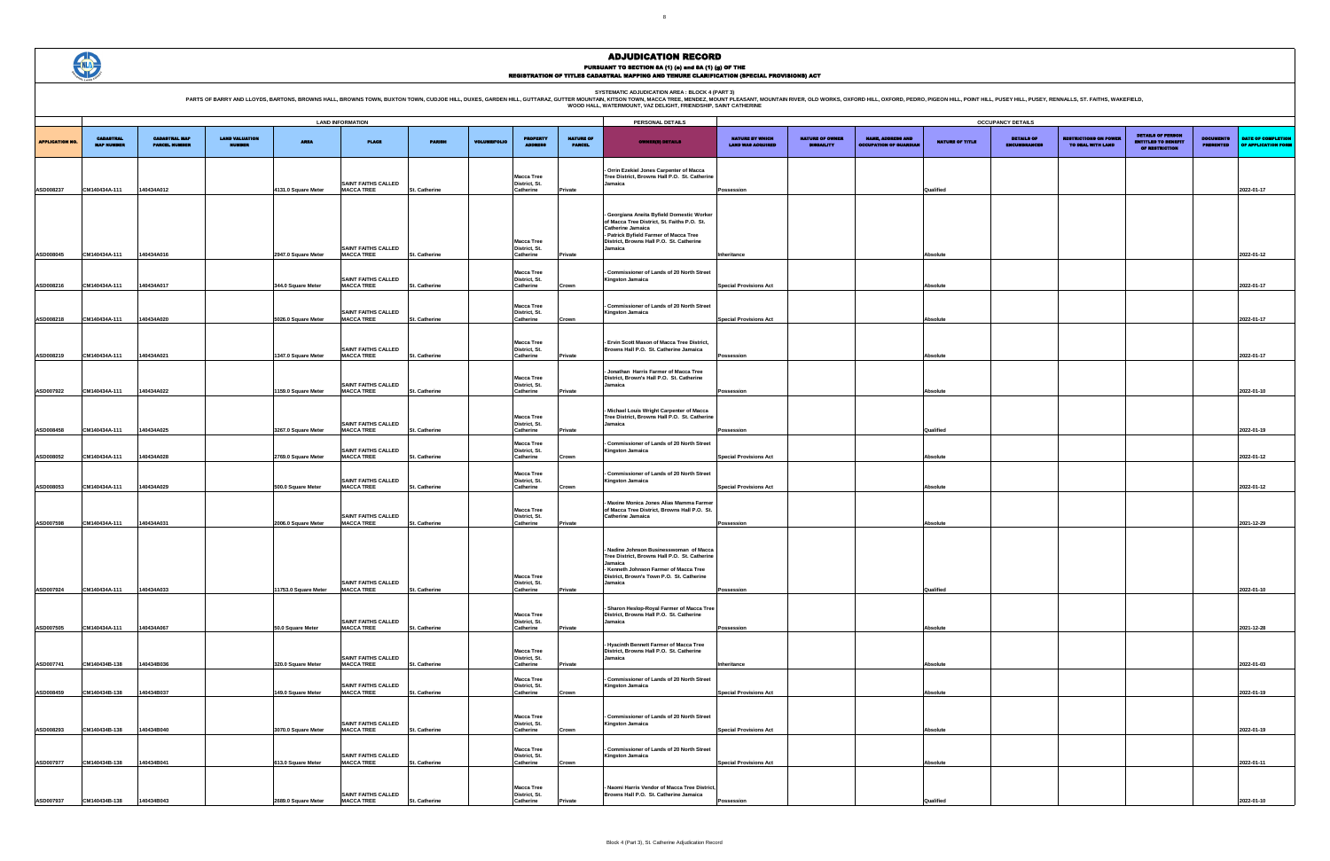SYSTEMATIC ADJUDICATION AREA : BLOCK 4 (PART 3)<br>PARTS OF BARRY AND LLOYDS, BARTONS, BROWNS HALL, BROWNS HALL, BROWNS TOWN, BUXTON TOWN, CUDJOE HILL, DUXES, GARDEN HILL, GUTTARAZ, GUTTER MOUNTAIN (KITSON TOWN, MACCA TREE, M



# ADJUDICATION RECORD PURSUANT TO SECTION 8A (1) (e) and 8A (1) (g) OF THE<br>REGISTRATION OF TITLES CADASTRAL MAPPING AND TENURE CLARIFICATION (SPECIAL PROVISIONS) ACT

|                        |                                       |                                              |                                 |                                 | <b>LAND INFORMATION</b>                         |               |                     |                                    |                                   | PERSONAL DETAILS                                                                        |                                             |                                             |                                                           |                 | <b>OCCUPANCY DETAILS</b>                 |                                                   |                                                                         |                                      |                                           |
|------------------------|---------------------------------------|----------------------------------------------|---------------------------------|---------------------------------|-------------------------------------------------|---------------|---------------------|------------------------------------|-----------------------------------|-----------------------------------------------------------------------------------------|---------------------------------------------|---------------------------------------------|-----------------------------------------------------------|-----------------|------------------------------------------|---------------------------------------------------|-------------------------------------------------------------------------|--------------------------------------|-------------------------------------------|
| <b>APPLICATION NO.</b> | <b>CADASTRAL</b><br><b>MAP NUMBER</b> | <b>CADASTRAL MAP</b><br><b>PARCEL NUMBER</b> | <b>LAND VALUATION</b><br>NUMBER | AREA                            | <b>PLACE</b>                                    | <b>PARISH</b> | <b>VOLUME/FOLIO</b> | <b>PROPERTY</b>                    | <b>NATURE OF</b><br><b>PARCEL</b> | <b>OWNER(8) DETAILS</b>                                                                 | NATURE BY WHICH<br><b>LAND WAS ACQUIRED</b> | <b>NATURE OF OWNER</b><br><b>DISBAILITY</b> | <b>NAME, ADDRESS AND</b><br><b>OCCUPATION OF GUARDIAL</b> | NATURE OF TITLE | <b>DETAILS OF</b><br><b>ENCUMBRANCES</b> | <b>LESTRICTIONS ON POWER</b><br>TO DEAL WITH LAND | <b>DETAILS OF PERSON</b><br><b>ENTITLED TO BENEFT</b><br>OF RESTRICTION | <b>DOCUMENTS</b><br><b>PRESENTED</b> | DATE OF COMPLETION<br>OF APPLICATION FORM |
|                        |                                       |                                              |                                 |                                 |                                                 |               |                     |                                    |                                   |                                                                                         |                                             |                                             |                                                           |                 |                                          |                                                   |                                                                         |                                      |                                           |
|                        |                                       |                                              |                                 |                                 |                                                 |               |                     |                                    |                                   | - Orrin Ezekiel Jones Carpenter of Macca                                                |                                             |                                             |                                                           |                 |                                          |                                                   |                                                                         |                                      |                                           |
|                        |                                       |                                              |                                 |                                 | <b>SAINT FAITHS CALLED</b>                      |               |                     | <b>Macca Tree</b><br>District, St. |                                   | Tree District, Browns Hall P.O. St. Catherine<br>Jamaica                                |                                             |                                             |                                                           |                 |                                          |                                                   |                                                                         |                                      |                                           |
| <b>ASD008237</b>       | CM140434A-111                         | 140434A012                                   |                                 | 4131.0 Square Meter             | <b>MACCA TREE</b>                               | St. Catherine |                     | Catherine                          | Private                           |                                                                                         | Possession                                  |                                             |                                                           | Qualified       |                                          |                                                   |                                                                         |                                      | 2022-01-17                                |
|                        |                                       |                                              |                                 |                                 |                                                 |               |                     |                                    |                                   |                                                                                         |                                             |                                             |                                                           |                 |                                          |                                                   |                                                                         |                                      |                                           |
|                        |                                       |                                              |                                 |                                 |                                                 |               |                     |                                    |                                   | Georgiana Aneita Byfield Domestic Worker<br>of Macca Tree District, St. Faiths P.O. St. |                                             |                                             |                                                           |                 |                                          |                                                   |                                                                         |                                      |                                           |
|                        |                                       |                                              |                                 |                                 |                                                 |               |                     |                                    |                                   | Catherine Jamaica<br>- Patrick Byfield Farmer of Macca Tree                             |                                             |                                             |                                                           |                 |                                          |                                                   |                                                                         |                                      |                                           |
|                        |                                       |                                              |                                 |                                 | <b>SAINT FAITHS CALLED</b>                      |               |                     | <b>Macca Tree</b><br>District, St. |                                   | District, Browns Hall P.O. St. Catherine<br>Jamaica                                     |                                             |                                             |                                                           |                 |                                          |                                                   |                                                                         |                                      |                                           |
| ASD008045              | CM140434A-111                         | 140434A016                                   |                                 | 2947.0 Square Meter             | <b>MACCA TREE</b>                               | St. Catherine |                     | Catherine                          | Private                           |                                                                                         | Inheritance                                 |                                             |                                                           | Absolute        |                                          |                                                   |                                                                         |                                      | 2022-01-12                                |
|                        |                                       |                                              |                                 |                                 |                                                 |               |                     | <b>Macca Tree</b>                  |                                   | Commissioner of Lands of 20 North Street                                                |                                             |                                             |                                                           |                 |                                          |                                                   |                                                                         |                                      |                                           |
| <b>ASD008216</b>       | CM140434A-111                         | 140434A017                                   |                                 | 344.0 Square Meter              | <b>SAINT FAITHS CALLED</b><br><b>MACCA TREE</b> | St. Catherine |                     | District, St.<br>Catherine         | Crown                             | Kingston Jamaica                                                                        | <b>Special Provisions Act</b>               |                                             |                                                           | Absolute        |                                          |                                                   |                                                                         |                                      | 2022-01-17                                |
|                        |                                       |                                              |                                 |                                 |                                                 |               |                     |                                    |                                   |                                                                                         |                                             |                                             |                                                           |                 |                                          |                                                   |                                                                         |                                      |                                           |
|                        |                                       |                                              |                                 |                                 |                                                 |               |                     | <b>Macca Tree</b>                  |                                   | - Commissioner of Lands of 20 North Street                                              |                                             |                                             |                                                           |                 |                                          |                                                   |                                                                         |                                      |                                           |
| <b>ASD008218</b>       | CM140434A-111                         | 140434A020                                   |                                 | 5026.0 Square Meter             | <b>SAINT FAITHS CALLED</b><br><b>MACCA TREE</b> | St. Catherine |                     | District, St.<br>Catherine         | Crown                             | Kingston Jamaica                                                                        | <b>Special Provisions Act</b>               |                                             |                                                           | <b>Ahsolute</b> |                                          |                                                   |                                                                         |                                      | 2022-01-17                                |
|                        |                                       |                                              |                                 |                                 |                                                 |               |                     |                                    |                                   |                                                                                         |                                             |                                             |                                                           |                 |                                          |                                                   |                                                                         |                                      |                                           |
|                        |                                       |                                              |                                 |                                 | <b>SAINT FAITHS CALLED</b>                      |               |                     | <b>Macca Tree</b><br>District, St. |                                   | - Ervin Scott Mason of Macca Tree District,<br>Browns Hall P.O. St. Catherine Jamaica   |                                             |                                             |                                                           |                 |                                          |                                                   |                                                                         |                                      |                                           |
| <b>ASD008219</b>       | CM140434A-111                         | 140434A021                                   |                                 | 1347.0 Square Meter             | <b>MACCA TREE</b>                               | St. Catherine |                     | Catherine                          | Private                           |                                                                                         | Possession                                  |                                             |                                                           | Absolute        |                                          |                                                   |                                                                         |                                      | 2022-01-17                                |
|                        |                                       |                                              |                                 |                                 |                                                 |               |                     |                                    |                                   | Jonathan Harris Farmer of Macca Tree                                                    |                                             |                                             |                                                           |                 |                                          |                                                   |                                                                         |                                      |                                           |
|                        |                                       |                                              |                                 |                                 | SAINT FAITHS CALLED                             |               |                     | <b>Macca Tree</b><br>District, St. |                                   | District, Brown's Hall P.O. St. Catherine<br>Jamaica                                    |                                             |                                             |                                                           |                 |                                          |                                                   |                                                                         |                                      |                                           |
| <b>ASD007922</b>       | CM140434A-111                         | 140434A022                                   |                                 | 1159.0 Square Meter             | <b>MACCA TREE</b>                               | St. Catherine |                     | Catherine                          | Private                           |                                                                                         | Possession                                  |                                             |                                                           | <b>Absolute</b> |                                          |                                                   |                                                                         |                                      | 2022-01-10                                |
|                        |                                       |                                              |                                 |                                 |                                                 |               |                     |                                    |                                   | Michael Louis Wright Carpenter of Macca                                                 |                                             |                                             |                                                           |                 |                                          |                                                   |                                                                         |                                      |                                           |
|                        |                                       |                                              |                                 |                                 | <b>SAINT FAITHS CALLED</b>                      |               |                     | <b>Macca Tree</b><br>District, St. |                                   | Tree District, Browns Hall P.O. St. Catherine<br>Jamaica                                |                                             |                                             |                                                           |                 |                                          |                                                   |                                                                         |                                      |                                           |
| <b>ASD008458</b>       | CM140434A-111                         | 140434A025                                   |                                 | 3267.0 Square Meter             | <b>MACCA TREE</b>                               | St. Catherine |                     | Catherine                          | Private                           |                                                                                         | Possession                                  |                                             |                                                           | Qualified       |                                          |                                                   |                                                                         |                                      | 2022-01-19                                |
|                        |                                       |                                              |                                 |                                 |                                                 |               |                     | <b>Macca Tree</b>                  |                                   | Commissioner of Lands of 20 North Street                                                |                                             |                                             |                                                           |                 |                                          |                                                   |                                                                         |                                      |                                           |
| <b>ASD008052</b>       | CM140434A-111                         | 140434A028                                   |                                 | 2769.0 Square Meter             | <b>SAINT FAITHS CALLED</b><br><b>MACCA TREE</b> | St. Catherine |                     | District, St.<br>Catherine         | Crown                             | Kingston Jamaica                                                                        | <b>Special Provisions Act</b>               |                                             |                                                           | Absolute        |                                          |                                                   |                                                                         |                                      | 2022-01-12                                |
|                        |                                       |                                              |                                 |                                 |                                                 |               |                     |                                    |                                   |                                                                                         |                                             |                                             |                                                           |                 |                                          |                                                   |                                                                         |                                      |                                           |
|                        |                                       |                                              |                                 |                                 | <b>SAINT FAITHS CALLED</b>                      |               |                     | <b>Macca Tree</b><br>District, St. |                                   | Commissioner of Lands of 20 North Street<br>Kingston Jamaica                            |                                             |                                             |                                                           |                 |                                          |                                                   |                                                                         |                                      |                                           |
| <b>ASD008053</b>       | CM140434A-111                         | 140434A029                                   |                                 | 500.0 Square Meter              | <b>MACCA TREE</b>                               | St. Catherine |                     | Catherine                          | Crown                             |                                                                                         | pecial Provisions Act                       |                                             |                                                           | <b>Absolute</b> |                                          |                                                   |                                                                         |                                      | 2022-01-12                                |
|                        |                                       |                                              |                                 |                                 |                                                 |               |                     | <b>Macca Tree</b>                  |                                   | Maxine Monica Jones Alias Mamma Farmer<br>of Macca Tree District, Browns Hall P.O. St.  |                                             |                                             |                                                           |                 |                                          |                                                   |                                                                         |                                      |                                           |
| ASD007598              | CM140434A-111                         | 140434A031                                   |                                 | 2006.0 Square Meter             | SAINT FAITHS CALLED<br><b>MACCA TREE</b>        | St. Catherine |                     | District, St.<br>Catherine         |                                   | Catherine Jamaica                                                                       | Possession                                  |                                             |                                                           | <b>Absolute</b> |                                          |                                                   |                                                                         |                                      | 2021-12-29                                |
|                        |                                       |                                              |                                 |                                 |                                                 |               |                     |                                    | Private                           |                                                                                         |                                             |                                             |                                                           |                 |                                          |                                                   |                                                                         |                                      |                                           |
|                        |                                       |                                              |                                 |                                 |                                                 |               |                     |                                    |                                   |                                                                                         |                                             |                                             |                                                           |                 |                                          |                                                   |                                                                         |                                      |                                           |
|                        |                                       |                                              |                                 |                                 |                                                 |               |                     |                                    |                                   | Nadine Johnson Businesswoman of Macca<br>Tree District, Browns Hall P.O. St. Catherine  |                                             |                                             |                                                           |                 |                                          |                                                   |                                                                         |                                      |                                           |
|                        |                                       |                                              |                                 |                                 |                                                 |               |                     |                                    |                                   | Jamaica<br>- Kenneth Johnson Farmer of Macca Tree                                       |                                             |                                             |                                                           |                 |                                          |                                                   |                                                                         |                                      |                                           |
|                        |                                       |                                              |                                 |                                 | <b>SAINT FAITHS CALLED</b>                      |               |                     | <b>Macca Tree</b><br>District, St. |                                   | District, Brown's Town P.O. St. Catherine<br>Jamaica                                    |                                             |                                             |                                                           |                 |                                          |                                                   |                                                                         |                                      |                                           |
|                        | ASD007924 CM140434A-111               | 140434A033                                   |                                 | 11753.0 Square Meter MACCA TREE |                                                 | St. Catherine |                     | Catherine                          | Private                           |                                                                                         | Possession                                  |                                             |                                                           | Qualified       |                                          |                                                   |                                                                         |                                      | 2022-01-10                                |
|                        |                                       |                                              |                                 |                                 |                                                 |               |                     |                                    |                                   | - Sharon Heslop-Royal Farmer of Macca Tree                                              |                                             |                                             |                                                           |                 |                                          |                                                   |                                                                         |                                      |                                           |
|                        |                                       |                                              |                                 |                                 | <b>SAINT FAITHS CALLED</b>                      |               |                     | <b>Macca Tree</b><br>District, St. |                                   | District, Browns Hall P.O. St. Catherine<br>Jamaica                                     |                                             |                                             |                                                           |                 |                                          |                                                   |                                                                         |                                      |                                           |
| ASD007505              | CM140434A-111                         | 140434A067                                   |                                 | 50.0 Square Meter               | <b>MACCA TREE</b>                               | St. Catherine |                     | Catherine                          | Private                           |                                                                                         | Possession                                  |                                             |                                                           | <b>Absolute</b> |                                          |                                                   |                                                                         |                                      | 2021-12-28                                |
|                        |                                       |                                              |                                 |                                 |                                                 |               |                     |                                    |                                   | - Hyacinth Bennett Farmer of Macca Tree                                                 |                                             |                                             |                                                           |                 |                                          |                                                   |                                                                         |                                      |                                           |
|                        |                                       |                                              |                                 |                                 | <b>SAINT FAITHS CALLED</b>                      |               |                     | <b>Macca Tree</b><br>District, St. |                                   | District, Browns Hall P.O. St. Catherine<br>Jamaica                                     |                                             |                                             |                                                           |                 |                                          |                                                   |                                                                         |                                      |                                           |
| <b>ASD007741</b>       | CM140434B-138                         | 140434B036                                   |                                 | 320.0 Square Meter              | <b>MACCA TREE</b>                               | St. Catherine |                     | Catherine                          | Private                           |                                                                                         | Inheritance                                 |                                             |                                                           | <b>Absolute</b> |                                          |                                                   |                                                                         |                                      | 2022-01-03                                |
|                        |                                       |                                              |                                 |                                 | <b>SAINT FAITHS CALLED</b>                      |               |                     | <b>Macca Tree</b><br>District, St. |                                   | Commissioner of Lands of 20 North Street<br>Kingston Jamaica                            |                                             |                                             |                                                           |                 |                                          |                                                   |                                                                         |                                      |                                           |
| <b>ASD008459</b>       | CM140434B-138                         | 140434B037                                   |                                 | 149.0 Square Meter              | <b>MACCA TREE</b>                               | St. Catherine |                     | Catherine                          | Crown                             |                                                                                         | <b>Special Provisions Act</b>               |                                             |                                                           | <b>Absolute</b> |                                          |                                                   |                                                                         |                                      | 2022-01-19                                |
|                        |                                       |                                              |                                 |                                 |                                                 |               |                     |                                    |                                   |                                                                                         |                                             |                                             |                                                           |                 |                                          |                                                   |                                                                         |                                      |                                           |
|                        |                                       |                                              |                                 |                                 | <b>SAINT FAITHS CALLED</b>                      |               |                     | <b>Macca Tree</b><br>District, St. |                                   | - Commissioner of Lands of 20 North Street<br>Kingston Jamaica                          |                                             |                                             |                                                           |                 |                                          |                                                   |                                                                         |                                      |                                           |
| <b>ASD008293</b>       | CM140434B-138                         | 140434B040                                   |                                 | 3070.0 Square Meter             | <b>MACCA TREE</b>                               | St. Catherine |                     | Catherine                          | Crown                             |                                                                                         | <b>Special Provisions Act</b>               |                                             |                                                           | <b>Absolute</b> |                                          |                                                   |                                                                         |                                      | 2022-01-19                                |
|                        |                                       |                                              |                                 |                                 |                                                 |               |                     |                                    |                                   |                                                                                         |                                             |                                             |                                                           |                 |                                          |                                                   |                                                                         |                                      |                                           |
|                        |                                       |                                              |                                 |                                 | SAINT FAITHS CALLED                             |               |                     | <b>Macca Tree</b><br>District, St. |                                   | - Commissioner of Lands of 20 North Street<br>Kingston Jamaica                          |                                             |                                             |                                                           |                 |                                          |                                                   |                                                                         |                                      |                                           |
| <b>ASD007977</b>       | CM140434B-138                         | 140434B041                                   |                                 | 613.0 Square Meter              | <b>MACCA TREE</b>                               | St. Catherine |                     | Catherine                          | Crown                             |                                                                                         | <b>Special Provisions Act</b>               |                                             |                                                           | <b>Absolute</b> |                                          |                                                   |                                                                         |                                      | 2022-01-11                                |
|                        |                                       |                                              |                                 |                                 |                                                 |               |                     |                                    |                                   |                                                                                         |                                             |                                             |                                                           |                 |                                          |                                                   |                                                                         |                                      |                                           |
|                        |                                       |                                              |                                 |                                 | <b>SAINT FAITHS CALLED</b>                      |               |                     | <b>Macca Tree</b><br>District, St. |                                   | Naomi Harris Vendor of Macca Tree District,<br>Browns Hall P.O. St. Catherine Jamaica   |                                             |                                             |                                                           |                 |                                          |                                                   |                                                                         |                                      |                                           |
| ASD007937              | CM140434B-138 140434B043              |                                              |                                 | 2689.0 Square Meter             | <b>MACCA TREE</b>                               | St. Catherine |                     | Catherine                          |                                   |                                                                                         |                                             |                                             |                                                           |                 |                                          |                                                   |                                                                         |                                      | 2022-01-10                                |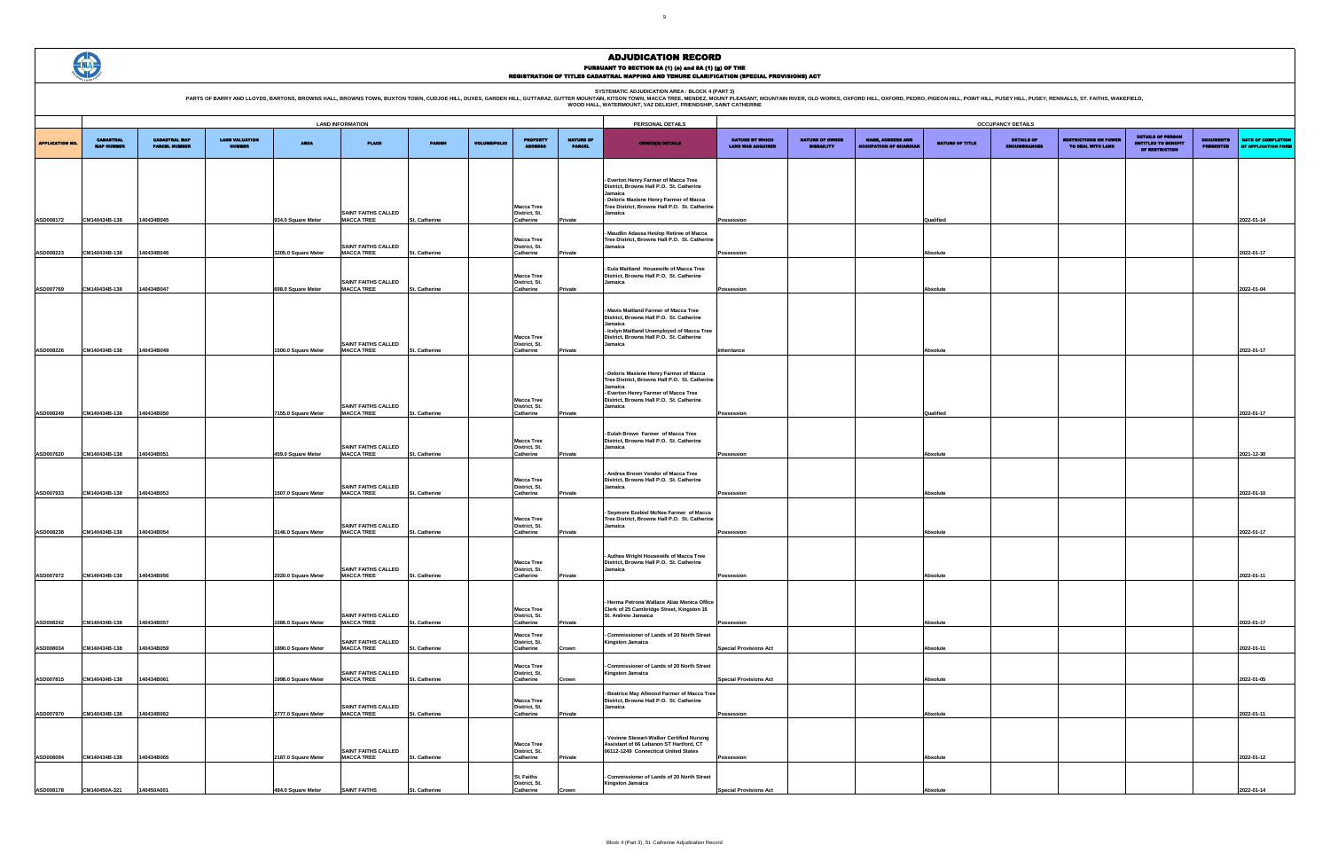SYSTEMATIC ADJUDICATION AREA : BLOCK 4 (PART 3)<br>PARTS OF BARRY AND LLOYDS, BARTONS, BROWNS HALL, BROWNS HALL, BROWNS TOWN, BUXTON TOWN, CUDJOE HILL, DUXES, GARDEN HILL, GUTTARAZ, GUTTER MOUNTAIN (KITSON TOWN, MACCA TREE, M



#### ADJUDICATION RECORD PURSUANT TO SECTION 8A (1) (0) and 8A (1) (g) OF THE<br>REGISTRATION OF TITLES CADASTRAL MAPPING AND TENURE CLARIFICATION (SPECIAL PROVISIONS) ACT

|                        |                                       |                                              |                                        |                                           | <b>LAND INFORMATION</b>                                              |                                |                     |                                                              |                                   | PERSONAL DETAILS                                                                                                                                                                                   |                                                    |                                             |                                                           |                       | <b>OCCUPANCY DETAILS</b>    |
|------------------------|---------------------------------------|----------------------------------------------|----------------------------------------|-------------------------------------------|----------------------------------------------------------------------|--------------------------------|---------------------|--------------------------------------------------------------|-----------------------------------|----------------------------------------------------------------------------------------------------------------------------------------------------------------------------------------------------|----------------------------------------------------|---------------------------------------------|-----------------------------------------------------------|-----------------------|-----------------------------|
| <b>APPLICATION NO.</b> | <b>CADASTRAL</b><br><b>MAP NUMBER</b> | <b>CADASTRAL MAP</b><br><b>PARCEL NUMBER</b> | <b>LAND VALUATION</b><br><b>NUMBER</b> | <b>AREA</b>                               | <b>PLACE</b>                                                         | <b>PARISH</b>                  | <b>VOLUME/FOLIO</b> | <b>PROPERTY</b><br><b>ADDRESS</b>                            | <b>NATURE OF</b><br><b>PARCEL</b> | <b>OWNER(8) DETAILS</b>                                                                                                                                                                            | <b>NATURE BY WHICH</b><br><b>LAND WAS ACQUIRED</b> | <b>NATURE OF OWNER</b><br><b>DISBAILITY</b> | <b>NAME, ADORESS AND</b><br><b>OCCUPATION OF GUARDIAN</b> | NATURE OF TITLE       | <b>DETAILS</b><br>ENCUMBRAN |
| ASD008172              | CM140434B-138                         | 140434B045                                   |                                        | 934.0 Square Meter                        | <b>SAINT FAITHS CALLED</b><br><b>MACCA TREE</b>                      | St. Catherine                  |                     | <b>Macca Tree</b><br>District, St.<br>Catherine              | Private                           | - Everton Henry Farmer of Macca Tree<br>District, Browns Hall P.O. St. Catherine<br>Jamaica<br>- Deloris Maxiene Henry Farmer of Macca<br>Tree District, Browns Hall P.O. St. Catherine<br>Jamaica | Possession                                         |                                             |                                                           | Qualified             |                             |
|                        |                                       |                                              |                                        |                                           | <b>SAINT FAITHS CALLED</b>                                           |                                |                     | <b>Macca Tree</b><br>District, St.                           |                                   | Maudlin Adassa Heslop Retiree of Macca<br>Tree District, Browns Hall P.O. St. Catherine<br>Jamaica                                                                                                 |                                                    |                                             |                                                           |                       |                             |
| <b>ASD008223</b>       | CM140434B-138                         | 140434B046                                   |                                        | 3205.0 Square Meter                       | <b>MACCA TREE</b><br><b>SAINT FAITHS CALLED</b>                      | St. Catherine                  |                     | Catherine<br><b>Macca Tree</b><br>District, St.              | Private                           | - Eula Maitland Housewife of Macca Tree<br>District, Browns Hall P.O. St. Catherine<br>Jamaica                                                                                                     | Possession                                         |                                             |                                                           | Absolute              |                             |
| ASD007769<br>ASD008226 | CM140434B-138<br>CM140434B-138        | 140434B047<br>140434B049                     |                                        | 698.0 Square Meter<br>1500.0 Square Meter | <b>MACCA TREE</b><br><b>SAINT FAITHS CALLED</b><br><b>MACCA TREE</b> | St. Catherine<br>St. Catherine |                     | Catherine<br><b>Macca Tree</b><br>District, St.<br>Catherine | Private<br>Private                | Mavis Maitland Farmer of Macca Tree<br>District, Browns Hall P.O. St. Catherine<br>Jamaica<br>- Icelyn Maitland Unemployed of Macca Tree<br>District, Browns Hall P.O. St. Catherine<br>Jamaica    | Possession<br>Inheritance                          |                                             |                                                           | Absolute<br>Absolute  |                             |
|                        |                                       |                                              |                                        |                                           | <b>SAINT FAITHS CALLED</b>                                           |                                |                     | <b>Macca Tree</b><br>District, St.                           |                                   | - Deloris Maxiene Henry Farmer of Macca<br>Tree District, Browns Hall P.O. St. Catherine<br>Jamaica<br>- Everton Henry Farmer of Macca Tree<br>District, Browns Hall P.O. St. Catherine<br>Jamaica |                                                    |                                             |                                                           |                       |                             |
| ASD008249<br>ASD007620 | CM140434B-138<br>CM140434B-138        | 140434B050<br>140434B051                     |                                        | 7155.0 Square Meter<br>459.0 Square Meter | <b>MACCA TREE</b><br><b>SAINT FAITHS CALLED</b><br><b>MACCA TREE</b> | St. Catherine<br>St. Catherine |                     | Catherine<br><b>Macca Tree</b><br>District, St.<br>Catherine | Private<br>Private                | Eulah Brown Farmer of Macca Tree<br>District, Browns Hall P.O. St. Catherine<br>Jamaica                                                                                                            | Possession<br>Possession                           |                                             |                                                           | Qualified<br>Absolute |                             |
| ASD007933              | CM140434B-138                         | 140434B053                                   |                                        | 1507.0 Square Meter                       | <b>SAINT FAITHS CALLED</b><br><b>MACCA TREE</b>                      | St. Catherine                  |                     | <b>Macca Tree</b><br>District, St.<br>Catherine              | Private                           | - Andrea Brown Vendor of Macca Tree<br>District, Browns Hall P.O. St. Catherine<br>Jamaica                                                                                                         | Possession                                         |                                             |                                                           | Absolute              |                             |
| ASD008238              | CM140434B-138                         | 140434B054                                   |                                        | 3146.0 Square Meter                       | <b>SAINT FAITHS CALLED</b><br><b>MACCA TREE</b>                      | St. Catherine                  |                     | <b>Macca Tree</b><br>District, St.<br>Catherine              | Private                           | Seymore Ezebiel McNee Farmer of Macca<br>Tree District, Browns Hall P.O. St. Catherine<br>Jamaica                                                                                                  | Possession                                         |                                             |                                                           | Absolute              |                             |
| <b>ASD007972</b>       | CM140434B-138                         | 140434B056                                   |                                        | 2020.0 Square Meter                       | <b>SAINT FAITHS CALLED</b><br><b>MACCA TREE</b>                      | St. Catherine                  |                     | <b>Macca Tree</b><br>District, St.<br>Catherine              | Private                           | Authea Wright Housewife of Macca Tree<br>District, Browns Hall P.O. St. Catherine<br>Jamaica                                                                                                       | Possession                                         |                                             |                                                           | Absolute              |                             |
| ASD008242              | CM140434B-138                         | 140434B057                                   |                                        | 1086.0 Square Meter                       | <b>SAINT FAITHS CALLED</b><br><b>MACCA TREE</b>                      | St. Catherine                  |                     | <b>Macca Tree</b><br>District, St.<br>Catherine              | Private                           | - Herma Petrona Wallace Alias Monica Office<br>Clerk of 25 Cambridge Street, Kingston 16<br>St. Andrew Jamaica                                                                                     | Possession                                         |                                             |                                                           | Absolute              |                             |
| ASD008034              | CM140434B-138                         | 140434B059                                   |                                        | 1890.0 Square Meter                       | SAINT FAITHS CALLED<br><b>MACCA TREE</b>                             | St. Catherine                  |                     | <b>Macca Tree</b><br>District, St.<br>Catherine              | Crown                             | Commissioner of Lands of 20 North Street<br><b>Kingston Jamaica</b>                                                                                                                                | <b>Special Provisions Act</b>                      |                                             |                                                           | Absolute              |                             |
| ASD007815              | CM140434B-138                         | 140434B061                                   |                                        | 1998.0 Square Meter                       | <b>SAINT FAITHS CALLED</b><br><b>MACCA TREE</b>                      | St. Catherine                  |                     | <b>Macca Tree</b><br>District, St.<br>Catherine              | Crown                             | - Commissioner of Lands of 20 North Street<br><b>Kingston Jamaica</b>                                                                                                                              | <b>Special Provisions Act</b>                      |                                             |                                                           | <b>Absolute</b>       |                             |
| ASD007970              | CM140434B-138                         | 140434B062                                   |                                        | 2777.0 Square Meter                       | <b>SAINT FAITHS CALLED</b><br><b>MACCA TREE</b>                      | St. Catherine                  |                     | <b>Macca Tree</b><br>District, St.<br>Catherine              | Private                           | Beatrice May Allwood Farmer of Macca Tree<br>District, Browns Hall P.O. St. Catherine<br>Jamaica                                                                                                   | Possession                                         |                                             |                                                           | Absolute              |                             |
| ASD008094              | CM140434B-138                         | 140434B065                                   |                                        | 2187.0 Square Meter                       | <b>SAINT FAITHS CALLED</b><br><b>MACCA TREE</b>                      | St. Catherine                  |                     | <b>Macca Tree</b><br>District, St.<br>Catherine              | Private                           | Vevinne Stewart-Walker Certified Nursing<br>Assistant of 66 Lebanon ST Hartford, CT<br>06112-1249 Connecticut United States                                                                        | Possession                                         |                                             |                                                           | Absolute              |                             |
| ASD008178              | CM140450A-321                         | 140450A001                                   |                                        | 484.0 Square Meter                        | <b>SAINT FAITHS</b>                                                  | St. Catherine                  |                     | St. Faiths<br>District, St.<br>Catherine                     | Crown                             | Commissioner of Lands of 20 North Street<br><b>Kingston Jamaica</b>                                                                                                                                | <b>Special Provisions Act</b>                      |                                             |                                                           | Absolute              |                             |

|                                                    |                                             |                                                           |                 | <b>OCCUPANCY DETAILS</b>                 |                                                   |                                                                          |                                      |                                           |
|----------------------------------------------------|---------------------------------------------|-----------------------------------------------------------|-----------------|------------------------------------------|---------------------------------------------------|--------------------------------------------------------------------------|--------------------------------------|-------------------------------------------|
| <b>NATURE BY WHICH</b><br><b>LAND WAS ACQUIRED</b> | <b>NATURE OF OWNER</b><br><b>DISBAILITY</b> | <b>NAME, ADDRESS AND</b><br><b>OCCUPATION OF GUARDIAN</b> | NATURE OF TITLE | <b>DETAILS OF</b><br><b>ENCUMBRANCES</b> | <b>RESTRICTIONS ON POWER</b><br>TO DEAL WITH LAND | <b>DETAILS OF PERSON</b><br><b>ENTITLED TO BENEFIT</b><br>OF RESTRICTION | <b>DOCUMENTS</b><br><b>PRESENTED</b> | DATE OF COMPLETION<br>OF APPLICATION FORM |
|                                                    |                                             |                                                           |                 |                                          |                                                   |                                                                          |                                      |                                           |
|                                                    |                                             |                                                           |                 |                                          |                                                   |                                                                          |                                      |                                           |
|                                                    |                                             |                                                           |                 |                                          |                                                   |                                                                          |                                      |                                           |
| Possession                                         |                                             |                                                           | Qualified       |                                          |                                                   |                                                                          |                                      | 2022-01-14                                |
|                                                    |                                             |                                                           |                 |                                          |                                                   |                                                                          |                                      |                                           |
| Possession                                         |                                             |                                                           | <b>Absolute</b> |                                          |                                                   |                                                                          |                                      | 2022-01-17                                |
|                                                    |                                             |                                                           |                 |                                          |                                                   |                                                                          |                                      |                                           |
| Possession                                         |                                             |                                                           | Absolute        |                                          |                                                   |                                                                          |                                      | 2022-01-04                                |
|                                                    |                                             |                                                           |                 |                                          |                                                   |                                                                          |                                      |                                           |
|                                                    |                                             |                                                           |                 |                                          |                                                   |                                                                          |                                      |                                           |
| Inheritance                                        |                                             |                                                           | Absolute        |                                          |                                                   |                                                                          |                                      | 2022-01-17                                |
|                                                    |                                             |                                                           |                 |                                          |                                                   |                                                                          |                                      |                                           |
|                                                    |                                             |                                                           |                 |                                          |                                                   |                                                                          |                                      |                                           |
|                                                    |                                             |                                                           |                 |                                          |                                                   |                                                                          |                                      |                                           |
| Possession                                         |                                             |                                                           | Qualified       |                                          |                                                   |                                                                          |                                      | 2022-01-17                                |
|                                                    |                                             |                                                           |                 |                                          |                                                   |                                                                          |                                      |                                           |
| Possession                                         |                                             |                                                           | Absolute        |                                          |                                                   |                                                                          |                                      | 2021-12-30                                |
|                                                    |                                             |                                                           |                 |                                          |                                                   |                                                                          |                                      |                                           |
| Possession                                         |                                             |                                                           | <b>Absolute</b> |                                          |                                                   |                                                                          |                                      | 2022-01-10                                |
|                                                    |                                             |                                                           |                 |                                          |                                                   |                                                                          |                                      |                                           |
| Possession                                         |                                             |                                                           | <b>Absolute</b> |                                          |                                                   |                                                                          |                                      | 2022-01-17                                |
|                                                    |                                             |                                                           |                 |                                          |                                                   |                                                                          |                                      |                                           |
|                                                    |                                             |                                                           |                 |                                          |                                                   |                                                                          |                                      |                                           |
| Possession                                         |                                             |                                                           | Absolute        |                                          |                                                   |                                                                          |                                      | 2022-01-11                                |
|                                                    |                                             |                                                           |                 |                                          |                                                   |                                                                          |                                      |                                           |
| Possession                                         |                                             |                                                           | Absolute        |                                          |                                                   |                                                                          |                                      | 2022-01-17                                |
|                                                    |                                             |                                                           |                 |                                          |                                                   |                                                                          |                                      |                                           |
| <b>Special Provisions Act</b>                      |                                             |                                                           | Absolute        |                                          |                                                   |                                                                          |                                      | 2022-01-11                                |
| <b>Special Provisions Act</b>                      |                                             |                                                           | Absolute        |                                          |                                                   |                                                                          |                                      | 2022-01-05                                |
|                                                    |                                             |                                                           |                 |                                          |                                                   |                                                                          |                                      |                                           |
| Possession                                         |                                             |                                                           | Absolute        |                                          |                                                   |                                                                          |                                      | 2022-01-11                                |
|                                                    |                                             |                                                           |                 |                                          |                                                   |                                                                          |                                      |                                           |
|                                                    |                                             |                                                           |                 |                                          |                                                   |                                                                          |                                      |                                           |
| Possession                                         |                                             |                                                           | Absolute        |                                          |                                                   |                                                                          |                                      | 2022-01-12                                |
|                                                    |                                             |                                                           |                 |                                          |                                                   |                                                                          |                                      |                                           |
| <b>Special Provisions Act</b>                      |                                             |                                                           | Absolute        |                                          |                                                   |                                                                          |                                      | 2022-01-14                                |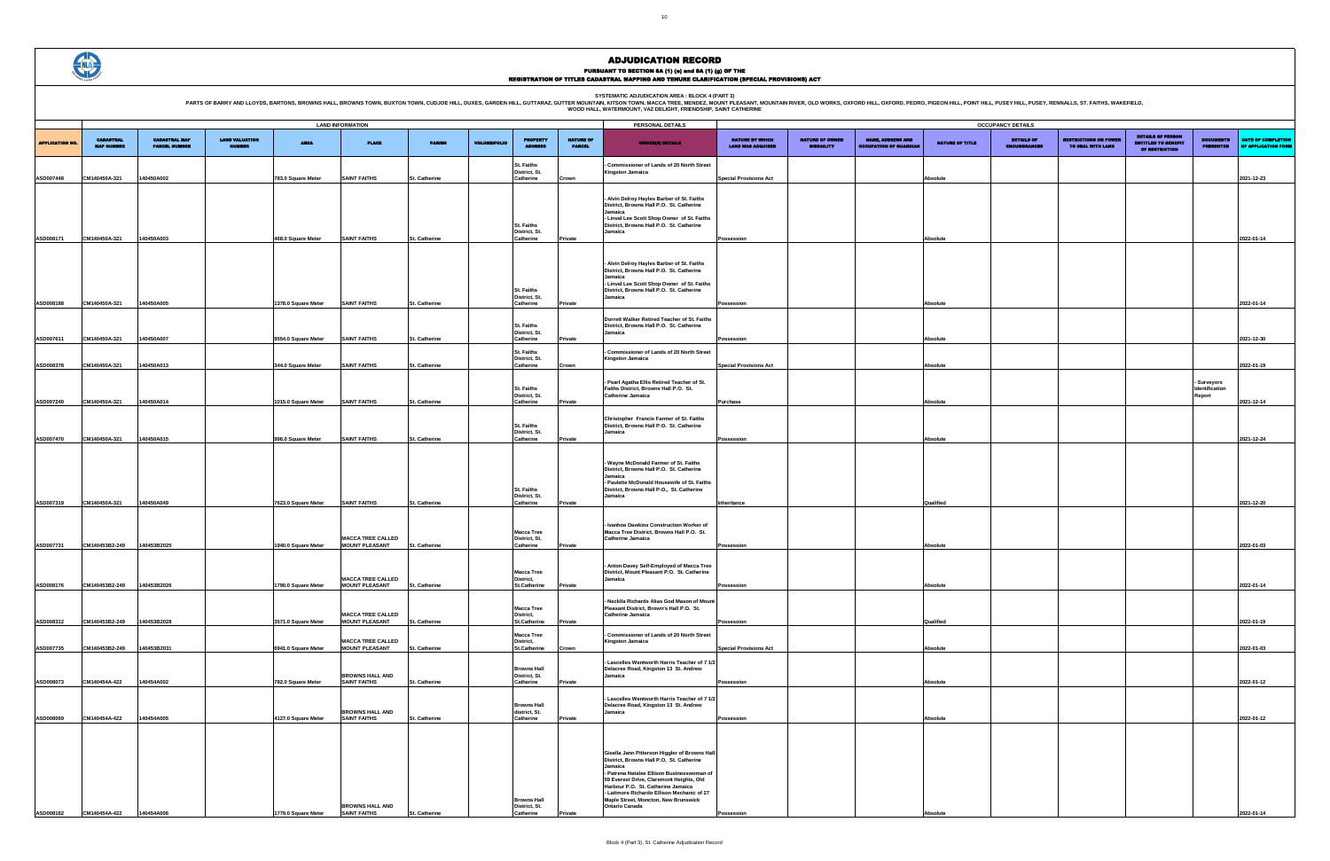|                        |                                       |                                              |                                 |                     |                                                   |                      |                     |                                                       |                                   | WOOD HALL, WATERWOONT, VAZ DELIGHT, FRIENDSHIF, SAINT CATHERINE                                                                                                                                                                                                                                                                                     |                                                    |                                             |                                                           |                 |                                          |                                                  |                                                                          |                                         |                                           |
|------------------------|---------------------------------------|----------------------------------------------|---------------------------------|---------------------|---------------------------------------------------|----------------------|---------------------|-------------------------------------------------------|-----------------------------------|-----------------------------------------------------------------------------------------------------------------------------------------------------------------------------------------------------------------------------------------------------------------------------------------------------------------------------------------------------|----------------------------------------------------|---------------------------------------------|-----------------------------------------------------------|-----------------|------------------------------------------|--------------------------------------------------|--------------------------------------------------------------------------|-----------------------------------------|-------------------------------------------|
|                        |                                       |                                              |                                 |                     | <b>LAND INFORMATION</b>                           |                      |                     |                                                       |                                   | PERSONAL DETAILS                                                                                                                                                                                                                                                                                                                                    |                                                    |                                             |                                                           |                 | <b>OCCUPANCY DETAILS</b>                 |                                                  |                                                                          |                                         |                                           |
| <b>APPLICATION NO.</b> | <b>CADASTRAL</b><br><b>MAP NUMBER</b> | <b>CADASTRAL MAP</b><br><b>PARCEL NUMBER</b> | <b>LAND VALUATION</b><br>NUMBER | <b>AREA</b>         | <b>PLACE</b>                                      | <b>PARISH</b>        | <b>VOLUME/FOLIO</b> | <b>PROPERTY</b>                                       | <b>NATURE OF</b><br><b>PARCEL</b> | <b>OWNER(8) DETAILS</b>                                                                                                                                                                                                                                                                                                                             | <b>NATURE BY WHICH</b><br><b>LAND WAS ACQUIRED</b> | <b>NATURE OF OWNER</b><br><b>DISBAILITY</b> | <b>NAME, ADDRESS AND</b><br><b>OCCUPATION OF GUARDIAL</b> | NATURE OF TITLE | <b>DETAILS OF</b><br><b>ENCUMBRANCES</b> | <b>IESTRICTIONS ON POWE</b><br>TO DEAL WITH LAND | <b>DETAILS OF PERSON</b><br><b>ENTITLED TO BENEFIT</b><br>OF RESTRICTION | <b>DOCUMENTS</b><br><b>PRESENTED</b>    | DATE OF COMPLETION<br>OF APPLICATION FORM |
| ASD007448              | CM140450A-321                         | 140450A002                                   |                                 | 783.0 Square Meter  | <b>SAINT FAITHS</b>                               | St. Catherine        |                     | <b>St. Faiths</b><br>District, St.<br>Catherine       | Crown                             | Commissioner of Lands of 20 North Street<br><b>Kingston Jamaica</b>                                                                                                                                                                                                                                                                                 | <b>Special Provisions Act</b>                      |                                             |                                                           | Absolute        |                                          |                                                  |                                                                          |                                         | 2021-12-23                                |
|                        |                                       |                                              |                                 |                     |                                                   |                      |                     |                                                       |                                   | - Alvin Delroy Hayles Barber of St. Faiths<br>District, Browns Hall P.O. St. Catherine<br>Jamaica<br>- Linval Lee Scott Shop Owner of St. Faiths                                                                                                                                                                                                    |                                                    |                                             |                                                           |                 |                                          |                                                  |                                                                          |                                         |                                           |
| ASD008171              | CM140450A-321                         | 140450A003                                   |                                 | 468.0 Square Meter  | <b>SAINT FAITHS</b>                               | St. Catherine        |                     | <b>St. Faiths</b><br>District, St.<br>Catherine       | Private                           | District, Browns Hall P.O. St. Catherine<br>Jamaica                                                                                                                                                                                                                                                                                                 | ossession                                          |                                             |                                                           | <b>Absolute</b> |                                          |                                                  |                                                                          |                                         | 2022-01-14                                |
|                        |                                       |                                              |                                 |                     |                                                   |                      |                     | St. Faiths<br>District, St.                           |                                   | - Alvin Delroy Hayles Barber of St. Faiths<br>District, Browns Hall P.O. St. Catherine<br>Jamaica<br>- Linval Lee Scott Shop Owner of St. Faiths<br>District, Browns Hall P.O. St. Catherine<br>Jamaica                                                                                                                                             |                                                    |                                             |                                                           |                 |                                          |                                                  |                                                                          |                                         |                                           |
| ASD008188              | CM140450A-321                         | 140450A005                                   |                                 | 1378.0 Square Meter | <b>SAINT FAITHS</b>                               | St. Catherine        |                     | Catherine                                             | Private                           |                                                                                                                                                                                                                                                                                                                                                     | nssession                                          |                                             |                                                           | <b>Absolute</b> |                                          |                                                  |                                                                          |                                         | 2022-01-14                                |
|                        |                                       |                                              |                                 |                     |                                                   |                      |                     | St. Faiths<br>District, St.                           |                                   | Dorrett Walker Retired Teacher of St. Faiths<br>District, Browns Hall P.O. St. Catherine<br>Jamaica                                                                                                                                                                                                                                                 |                                                    |                                             |                                                           |                 |                                          |                                                  |                                                                          |                                         |                                           |
| ASD007611              | CM140450A-321                         | 140450A007                                   |                                 | 9554.0 Square Meter | <b>SAINT FAITHS</b>                               | St. Catherine        |                     | Catherine                                             | Private                           |                                                                                                                                                                                                                                                                                                                                                     | Possession                                         |                                             |                                                           | Absolute        |                                          |                                                  |                                                                          |                                         | 2021-12-30                                |
| ASD008378              | CM140450A-321                         | 140450A013                                   |                                 | 344.0 Square Meter  | <b>SAINT FAITHS</b>                               | St. Catherine        |                     | St. Faiths<br>District, St.<br>Catherine              | Crown                             | - Commissioner of Lands of 20 North Street<br><b>Kingston Jamaica</b>                                                                                                                                                                                                                                                                               | Special Provisions Act                             |                                             |                                                           | Absolute        |                                          |                                                  |                                                                          |                                         | 2022-01-19                                |
|                        |                                       |                                              |                                 |                     |                                                   |                      |                     |                                                       |                                   |                                                                                                                                                                                                                                                                                                                                                     |                                                    |                                             |                                                           |                 |                                          |                                                  |                                                                          |                                         |                                           |
| ASD007240              | CM140450A-321                         | 140450A014                                   |                                 | 1015.0 Square Meter | <b>SAINT FAITHS</b>                               | St. Catherine        |                     | St. Faiths<br>District, St.<br>Catherine              | Private                           | - Pearl Agatha Ellis Retired Teacher of St.<br>Faiths District, Browns Hall P.O. St.<br><b>Catherine Jamaica</b>                                                                                                                                                                                                                                    | Purchase                                           |                                             |                                                           | Absolute        |                                          |                                                  |                                                                          | - Surveyors<br>Identification<br>Report | 2021-12-14                                |
|                        |                                       |                                              |                                 |                     |                                                   |                      |                     | St. Faiths                                            |                                   | Christopher Francis Farmer of St. Faiths<br>District, Browns Hall P.O. St. Catherine                                                                                                                                                                                                                                                                |                                                    |                                             |                                                           |                 |                                          |                                                  |                                                                          |                                         |                                           |
| ASD007470              | CM140450A-321                         | 140450A015                                   |                                 | 996.0 Square Meter  | <b>SAINT FAITHS</b>                               | St. Catherine        |                     | District, St.<br>Catherine                            | Private                           | Jamaica                                                                                                                                                                                                                                                                                                                                             | Possession                                         |                                             |                                                           | <b>Absolute</b> |                                          |                                                  |                                                                          |                                         | 2021-12-24                                |
| ASD007319              | CM140450A-321                         | 140450A049                                   |                                 | 7623.0 Square Meter | <b>SAINT FAITHS</b>                               | St. Catherine        |                     | <b>St. Faiths</b><br>District, St.<br>Catherine       | Private                           | Wayne McDonald Farmer of St. Faiths<br>District, Browns Hall P.O. St. Catherine<br>Jamaica<br>- Paulette McDonald Housewife of St. Faiths<br>District, Browns Hall P.O., St. Catherine<br>Jamaica                                                                                                                                                   | Inheritance                                        |                                             |                                                           | Qualified       |                                          |                                                  |                                                                          |                                         | 2021-12-20                                |
|                        |                                       |                                              |                                 |                     |                                                   |                      |                     | <b>Macca Tree</b>                                     |                                   | - Ivanhoe Dawkins Construction Worker of<br>Macca Tree District, Browns Hall P.O. St.                                                                                                                                                                                                                                                               |                                                    |                                             |                                                           |                 |                                          |                                                  |                                                                          |                                         |                                           |
| ASD007731              | CM140453B2-249                        | 140453B2025                                  |                                 | 1940.0 Square Meter | <b>MACCA TREE CALLED</b><br><b>MOUNT PLEASANT</b> | St. Catherine        |                     | District, St.<br>Catherine                            | Private                           | Catherine Jamaica                                                                                                                                                                                                                                                                                                                                   | Possession                                         |                                             |                                                           | Absolute        |                                          |                                                  |                                                                          |                                         | 2022-01-03                                |
| ASD008176              | CM140453B2-249                        | 140453B2026                                  |                                 | 1790.0 Square Meter | <b>MACCA TREE CALLED</b><br><b>MOUNT PLEASANT</b> | <b>St. Catherine</b> |                     | <b>Macca Tree</b><br>District,<br><b>St.Catherine</b> | Private                           | Anton Davey Self-Employed of Macca Tree<br>District, Mount Pleasant P.O. St. Catherine<br>Jamaica                                                                                                                                                                                                                                                   | Possession                                         |                                             |                                                           | Absolute        |                                          |                                                  |                                                                          |                                         | 2022-01-14                                |
|                        |                                       |                                              |                                 |                     | <b>MACCA TREE CALLED</b>                          |                      |                     | <b>Macca Tree</b><br>District,                        |                                   | Necklla Richards Alias God Mason of Mount<br>Pleasant District, Brown's Hall P.O. St.<br><b>Catherine Jamaica</b>                                                                                                                                                                                                                                   |                                                    |                                             |                                                           |                 |                                          |                                                  |                                                                          |                                         |                                           |
| ASD008312              | CM140453B2-249                        | 140453B2028                                  |                                 | 3571.0 Square Meter | <b>MOUNT PLEASANT</b>                             | St. Catherine        |                     | <b>St.Catherine</b>                                   | Private                           |                                                                                                                                                                                                                                                                                                                                                     | Possession                                         |                                             |                                                           | Qualified       |                                          |                                                  |                                                                          |                                         | 2022-01-19                                |
|                        | CM140453B2-249                        | 140453B2031                                  |                                 | 6941.0 Square Meter | <b>MACCA TREE CALLED</b><br><b>MOUNT PLEASANT</b> |                      |                     | <b>Macca Tree</b><br>District,<br>St.Catherine        |                                   | - Commissioner of Lands of 20 North Street<br><b>Kingston Jamaica</b>                                                                                                                                                                                                                                                                               | <b>Special Provisions Act</b>                      |                                             |                                                           |                 |                                          |                                                  |                                                                          |                                         | 2022-01-03                                |
| ASD007735              |                                       |                                              |                                 |                     |                                                   | St. Catherine        |                     | <b>Browns Hall</b>                                    | Crown                             | - Lascelles Wentworth Harris Teacher of 7 1/2<br>Delacree Road, Kingston 13 St. Andrew                                                                                                                                                                                                                                                              |                                                    |                                             |                                                           | Absolute        |                                          |                                                  |                                                                          |                                         |                                           |
| ASD008073              | CM140454A-422                         | 140454A002                                   |                                 | 782.0 Square Meter  | <b>BROWNS HALL AND</b><br><b>SAINT FAITHS</b>     | St. Catherine        |                     | District, St.<br>Catherine                            | Private                           | Jamaica                                                                                                                                                                                                                                                                                                                                             | Possession                                         |                                             |                                                           | Absolute        |                                          |                                                  |                                                                          |                                         | 2022-01-12                                |
| ASD008069              | CM140454A-422                         | 140454A005                                   |                                 | 4127.0 Square Meter | <b>BROWNS HALL AND</b><br><b>SAINT FAITHS</b>     | St. Catherine        |                     | <b>Browns Hall</b><br>district, St.<br>Catherine      | Private                           | - Lascelles Wentworth Harris Teacher of 7 1/2<br>Delacree Road, Kingston 13 St. Andrew<br>Jamaica                                                                                                                                                                                                                                                   | Possession                                         |                                             |                                                           | Absolute        |                                          |                                                  |                                                                          |                                         | 2022-01-12                                |
| ASD008162              | CM140454A-422                         | 140454A006                                   |                                 | 1779.0 Square Meter | <b>BROWNS HALL AND</b><br><b>SAINT FAITHS</b>     | St. Catherine        |                     | <b>Browns Hall</b><br>District, St.<br>Catherine      | Private                           | Gisella Jann Pitterson Higgler of Browns Hall<br>District, Browns Hall P.O. St. Catherine<br>Jamaica<br>- Patrena Natalee Ellison Businesswoman of<br>59 Everest Drive, Claremont Heights, Old<br>Harbour P.O. St. Catherine Jamaica<br>- Laitmore Richardo Ellison Mechanic of 27<br>Maple Street, Moncton, New Brunswick<br><b>Ontario Canada</b> | Possession                                         |                                             |                                                           | Absolute        |                                          |                                                  |                                                                          |                                         | 2022-01-14                                |

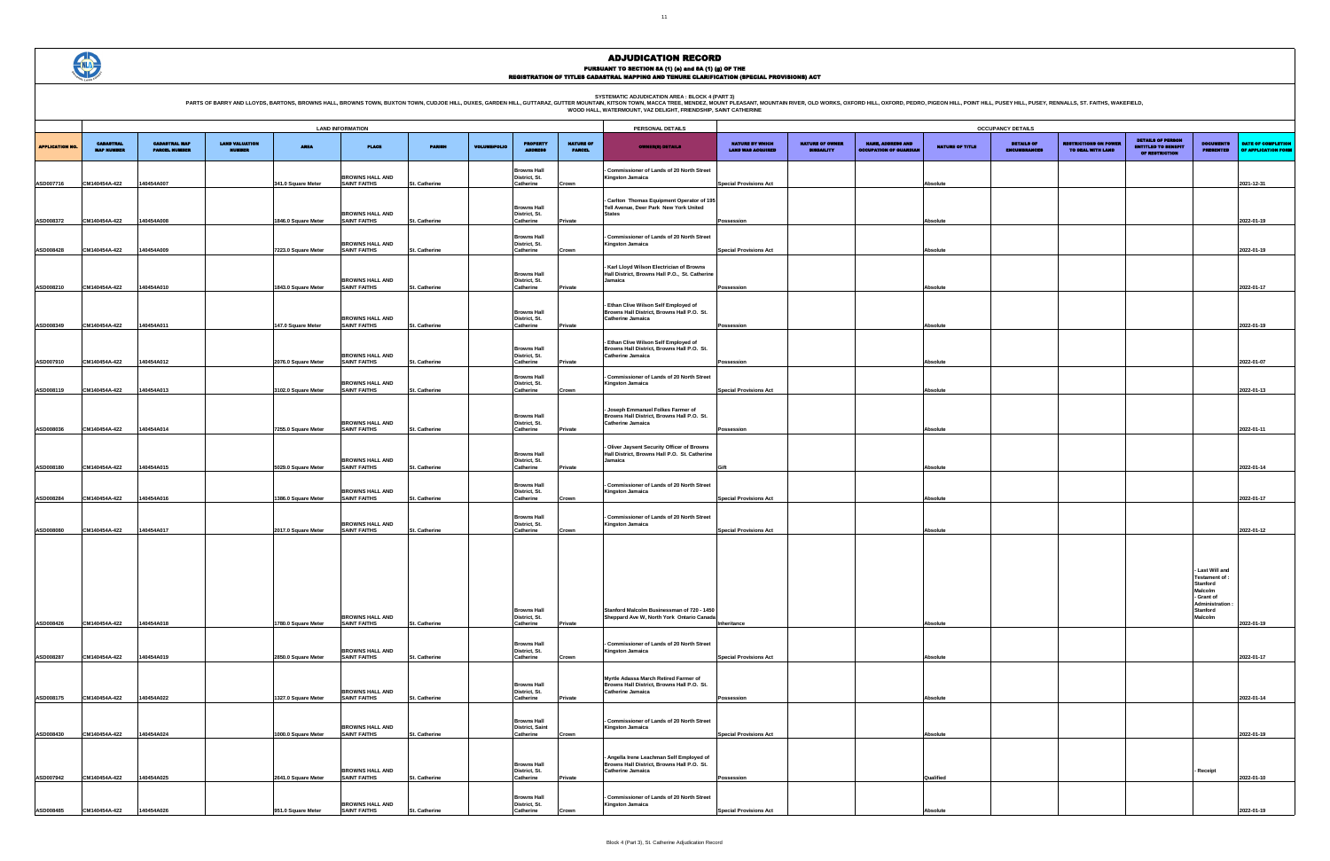

|                                             |                                             |                                                           |                        | <b>OCCUPANCY DETAILS</b>                 |                                                   |                                                                          |                                                                    |                                           |
|---------------------------------------------|---------------------------------------------|-----------------------------------------------------------|------------------------|------------------------------------------|---------------------------------------------------|--------------------------------------------------------------------------|--------------------------------------------------------------------|-------------------------------------------|
| NATURE BY WHICH<br><b>LAND WAS ACQUIRED</b> | <b>NATURE OF OWNER</b><br><b>DISBAILITY</b> | <b>NAME, ADDRESS AND</b><br><b>OCCUPATION OF GUARDIAN</b> | <b>NATURE OF TITLE</b> | <b>DETAILS OF</b><br><b>ENCUMBRANCES</b> | <b>RESTRICTIONS ON POWER</b><br>TO DEAL WITH LAND | <b>DETAILS OF PERSON</b><br><b>ENTITLED TO BENEFIT</b><br>OF RESTRICTION | <b>DOCUMENTS</b><br><b>PRESENTED</b>                               | DATE OF COMPLETION<br>OF APPLICATION FORM |
| <b>Special Provisions Act</b>               |                                             |                                                           | Absolute               |                                          |                                                   |                                                                          |                                                                    | 2021-12-31                                |
|                                             |                                             |                                                           |                        |                                          |                                                   |                                                                          |                                                                    |                                           |
| Possession                                  |                                             |                                                           | Absolute               |                                          |                                                   |                                                                          |                                                                    | 2022-01-19                                |
| <b>Special Provisions Act</b>               |                                             |                                                           | Absolute               |                                          |                                                   |                                                                          |                                                                    | 2022-01-19                                |
|                                             |                                             |                                                           |                        |                                          |                                                   |                                                                          |                                                                    |                                           |
| Possession                                  |                                             |                                                           | Absolute               |                                          |                                                   |                                                                          |                                                                    | 2022-01-17                                |
| Possession                                  |                                             |                                                           | Absolute               |                                          |                                                   |                                                                          |                                                                    | 2022-01-19                                |
|                                             |                                             |                                                           |                        |                                          |                                                   |                                                                          |                                                                    |                                           |
| Possession                                  |                                             |                                                           | Absolute               |                                          |                                                   |                                                                          |                                                                    | 2022-01-07                                |
| <b>Special Provisions Act</b>               |                                             |                                                           | Absolute               |                                          |                                                   |                                                                          |                                                                    | 2022-01-13                                |
|                                             |                                             |                                                           |                        |                                          |                                                   |                                                                          |                                                                    |                                           |
| Possession                                  |                                             |                                                           | Absolute               |                                          |                                                   |                                                                          |                                                                    | 2022-01-11                                |
| Gift                                        |                                             |                                                           | Absolute               |                                          |                                                   |                                                                          |                                                                    | 2022-01-14                                |
|                                             |                                             |                                                           |                        |                                          |                                                   |                                                                          |                                                                    |                                           |
| <b>Special Provisions Act</b>               |                                             |                                                           | Absolute               |                                          |                                                   |                                                                          |                                                                    | 2022-01-17                                |
| <b>Special Provisions Act</b>               |                                             |                                                           | Absolute               |                                          |                                                   |                                                                          |                                                                    | 2022-01-12                                |
|                                             |                                             |                                                           |                        |                                          |                                                   |                                                                          |                                                                    |                                           |
|                                             |                                             |                                                           |                        |                                          |                                                   |                                                                          | Last Will and<br>Testament of :<br>Stanford                        |                                           |
|                                             |                                             |                                                           |                        |                                          |                                                   |                                                                          | <b>Malcolm</b><br>- Grant of<br><b>Administration:</b><br>Stanford |                                           |
| Inheritance                                 |                                             |                                                           | Absolute               |                                          |                                                   |                                                                          | Malcolm                                                            | 2022-01-19                                |
| <b>Special Provisions Act</b>               |                                             |                                                           | Absolute               |                                          |                                                   |                                                                          |                                                                    | 2022-01-17                                |
|                                             |                                             |                                                           |                        |                                          |                                                   |                                                                          |                                                                    |                                           |
| Possession                                  |                                             |                                                           | Absolute               |                                          |                                                   |                                                                          |                                                                    | 2022-01-14                                |
|                                             |                                             |                                                           |                        |                                          |                                                   |                                                                          |                                                                    |                                           |
| <b>Special Provisions Act</b>               |                                             |                                                           | Absolute               |                                          |                                                   |                                                                          |                                                                    | 2022-01-19                                |
| Possession                                  |                                             |                                                           | Qualified              |                                          |                                                   |                                                                          | Receipt                                                            | 2022-01-10                                |
|                                             |                                             |                                                           |                        |                                          |                                                   |                                                                          |                                                                    |                                           |
| <b>Special Provisions Act</b>               |                                             |                                                           | Absolute               |                                          |                                                   |                                                                          |                                                                    | 2022-01-19                                |

|                       | <b>LAND INFORMATION</b>               |                                              |                                        |                     |                                               |                      |                     |                                                           |                                   | PERSONAL DETAILS                                                                                                |                                                    |                                             |                                                           |                 | <b>OCCUPANCY DETAILS</b>    |
|-----------------------|---------------------------------------|----------------------------------------------|----------------------------------------|---------------------|-----------------------------------------------|----------------------|---------------------|-----------------------------------------------------------|-----------------------------------|-----------------------------------------------------------------------------------------------------------------|----------------------------------------------------|---------------------------------------------|-----------------------------------------------------------|-----------------|-----------------------------|
| <b>APPLICATION NO</b> | <b>CADASTRAL</b><br><b>MAP NUMBER</b> | <b>CADASTRAL MAP</b><br><b>PARCEL NUMBER</b> | <b>LAND VALUATION</b><br><b>NUMBER</b> | <b>AREA</b>         | <b>PLACE</b>                                  | <b>PARISH</b>        | <b>VOLUME/FOLIO</b> | <b>PROPERTY</b>                                           | <b>NATURE OF</b><br><b>PARCEL</b> | <b>OWNER(8) DETAILS</b>                                                                                         | <b>NATURE BY WHICH</b><br><b>LAND WAS ACQUIRED</b> | <b>NATURE OF OWNER</b><br><b>DISBAILITY</b> | <b>NAME, ADDRESS AND</b><br><b>OCCUPATION OF GUARDIAL</b> | NATURE OF TITLE | <b>DETAILS</b><br>ENCUMBRAN |
| ASD007716             | CM140454A-422                         | 140454A007                                   |                                        | 341.0 Square Meter  | <b>BROWNS HALL AND</b><br><b>SAINT FAITHS</b> | St. Catherine        |                     | <b>Browns Hall</b><br>District, St.<br>Catherine          | Crown                             | Commissioner of Lands of 20 North Street<br><b>Kingston Jamaica</b>                                             | <b>Special Provisions Act</b>                      |                                             |                                                           | Absolute        |                             |
|                       |                                       |                                              |                                        |                     |                                               |                      |                     | <b>Browns Hall</b>                                        |                                   | - Carlton Thomas Equipment Operator of 195<br>Tell Avenue, Deer Park New York United                            |                                                    |                                             |                                                           |                 |                             |
| ASD008372             | CM140454A-422                         | 140454A008                                   |                                        | 1846.0 Square Meter | <b>BROWNS HALL AND</b><br><b>SAINT FAITHS</b> | St. Catherine        |                     | District, St.<br>Catherine                                | Private                           | <b>States</b>                                                                                                   | Possession                                         |                                             |                                                           | Absolute        |                             |
| <b>ASD008428</b>      | CM140454A-422                         | 140454A009                                   |                                        | 7223.0 Square Meter | <b>BROWNS HALL AND</b><br><b>SAINT FAITHS</b> | St. Catherine        |                     | <b>Browns Hall</b><br>District, St.<br>Catherine          | Crown                             | Commissioner of Lands of 20 North Street<br><b>Kingston Jamaica</b>                                             | <b>Special Provisions Act</b>                      |                                             |                                                           | Absolute        |                             |
|                       |                                       |                                              |                                        |                     | <b>BROWNS HALL AND</b>                        |                      |                     | <b>Browns Hall</b><br>District, St.                       |                                   | - Karl Lloyd Wilson Electrician of Browns<br>Hall District, Browns Hall P.O., St. Catherine<br>Jamaica          |                                                    |                                             |                                                           |                 |                             |
| ASD008210             | CM140454A-422                         | 140454A010                                   |                                        | 1843.0 Square Meter | <b>SAINT FAITHS</b>                           | St. Catherine        |                     | Catherine                                                 | Private                           |                                                                                                                 | Possession                                         |                                             |                                                           | Absolute        |                             |
| ASD008349             | CM140454A-422                         | 140454A011                                   |                                        | 147.0 Square Meter  | <b>BROWNS HALL AND</b><br><b>SAINT FAITHS</b> | St. Catherine        |                     | <b>Browns Hall</b><br>District, St.<br>Catherine          | Private                           | - Ethan Clive Wilson Self Employed of<br>Browns Hall District, Browns Hall P.O. St.<br><b>Catherine Jamaica</b> | Possession                                         |                                             |                                                           | Absolute        |                             |
|                       |                                       |                                              |                                        |                     | <b>BROWNS HALL AND</b>                        |                      |                     | <b>Browns Hall</b><br>District, St.                       |                                   | - Ethan Clive Wilson Self Employed of<br>Browns Hall District, Browns Hall P.O. St.<br>Catherine Jamaica        |                                                    |                                             |                                                           |                 |                             |
| ASD007910             | CM140454A-422                         | 140454A012                                   |                                        | 2076.0 Square Meter | <b>SAINT FAITHS</b>                           | St. Catherine        |                     | Catherine<br><b>Browns Hall</b>                           | Private                           | Commissioner of Lands of 20 North Street                                                                        | Possession                                         |                                             |                                                           | Absolute        |                             |
| ASD008119             | CM140454A-422                         | 140454A013                                   |                                        | 3102.0 Square Meter | <b>BROWNS HALL AND</b><br><b>SAINT FAITHS</b> | St. Catherine        |                     | District, St.<br>Catherine                                | Crown                             | <b>Kingston Jamaica</b>                                                                                         | <b>Special Provisions Act</b>                      |                                             |                                                           | Absolute        |                             |
| ASD008036             | CM140454A-422                         | 140454A014                                   |                                        | 7255.0 Square Meter | <b>BROWNS HALL AND</b><br><b>SAINT FAITHS</b> | St. Catherine        |                     | <b>Browns Hall</b><br>District, St.<br>Catherine          | Private                           | - Joseph Emmanuel Folkes Farmer of<br>Browns Hall District, Browns Hall P.O. St.<br><b>Catherine Jamaica</b>    | Possession                                         |                                             |                                                           | Absolute        |                             |
|                       |                                       |                                              |                                        |                     |                                               |                      |                     |                                                           |                                   | - Oliver Jaysent Security Officer of Browns                                                                     |                                                    |                                             |                                                           |                 |                             |
| ASD008180             | CM140454A-422                         | 140454A015                                   |                                        | 5029.0 Square Meter | <b>BROWNS HALL AND</b><br><b>SAINT FAITHS</b> | St. Catherine        |                     | <b>Browns Hall</b><br>District, St.<br>Catherine          | Private                           | Hall District, Browns Hall P.O. St. Catherine<br>Jamaica                                                        | Gift                                               |                                             |                                                           | Absolute        |                             |
| <b>ASD008284</b>      | CM140454A-422                         | 140454A016                                   |                                        | 1386.0 Square Meter | <b>BROWNS HALL AND</b><br><b>SAINT FAITHS</b> | St. Catherine        |                     | <b>Browns Hall</b><br>District, St.<br>Catherine          | Crown                             | - Commissioner of Lands of 20 North Street<br><b>Kingston Jamaica</b>                                           | <b>Special Provisions Act</b>                      |                                             |                                                           | Absolute        |                             |
|                       |                                       |                                              |                                        |                     |                                               |                      |                     | <b>Browns Hall</b>                                        |                                   | - Commissioner of Lands of 20 North Street                                                                      |                                                    |                                             |                                                           |                 |                             |
| ASD008080             | CM140454A-422                         | 140454A017                                   |                                        | 2017.0 Square Meter | <b>BROWNS HALL AND</b><br><b>SAINT FAITHS</b> | St. Catherine        |                     | District, St.<br>Catherine                                | Crown                             | <b>Kingston Jamaica</b>                                                                                         | <b>Special Provisions Act</b>                      |                                             |                                                           | <b>Absolute</b> |                             |
|                       |                                       |                                              |                                        |                     |                                               |                      |                     |                                                           |                                   |                                                                                                                 |                                                    |                                             |                                                           |                 |                             |
|                       |                                       |                                              |                                        |                     |                                               |                      |                     |                                                           |                                   |                                                                                                                 |                                                    |                                             |                                                           |                 |                             |
| <b>ASD008426</b>      | CM140454A-422                         | 140454A018                                   |                                        | 1780.0 Square Meter | <b>BROWNS HALL AND</b><br><b>SAINT FAITHS</b> | St. Catherine        |                     | <b>Browns Hall</b><br>District, St.<br>Catherine          | Private                           | Stanford Malcolm Businessman of 720 - 1450<br>Sheppard Ave W, North York Ontario Canada                         | Inheritance                                        |                                             |                                                           | Absolute        |                             |
|                       |                                       |                                              |                                        |                     |                                               |                      |                     | <b>Browns Hall</b>                                        |                                   | Commissioner of Lands of 20 North Street                                                                        |                                                    |                                             |                                                           |                 |                             |
| ASD008287             | CM140454A-422                         | 140454A019                                   |                                        | 2850.0 Square Meter | <b>BROWNS HALL AND</b><br><b>SAINT FAITHS</b> | St. Catherine        |                     | District, St.<br>Catherine                                | Crown                             | <b>Kingston Jamaica</b>                                                                                         | <b>Special Provisions Act</b>                      |                                             |                                                           | Absolute        |                             |
|                       |                                       |                                              |                                        |                     | <b>BROWNS HALL AND</b>                        |                      |                     | <b>Browns Hall</b><br>District, St.                       |                                   | Myrtle Adassa March Retired Farmer of<br>Browns Hall District, Browns Hall P.O. St.<br><b>Catherine Jamaica</b> |                                                    |                                             |                                                           |                 |                             |
| ASD008175             | CM140454A-422                         | 140454A022                                   |                                        | 1327.0 Square Meter | <b>SAINT FAITHS</b>                           | St. Catherine        |                     | Catherine                                                 | Private                           |                                                                                                                 | Possession                                         |                                             |                                                           | Absolute        |                             |
| ASD008430             | CM140454A-422                         | 140454A024                                   |                                        | 1000.0 Square Meter | <b>BROWNS HALL AND</b><br><b>SAINT FAITHS</b> | St. Catherine        |                     | <b>Browns Hall</b><br><b>District, Saint</b><br>Catherine | Crown                             | - Commissioner of Lands of 20 North Street<br><b>Kingston Jamaica</b>                                           | <b>Special Provisions Act</b>                      |                                             |                                                           | Absolute        |                             |
|                       |                                       |                                              |                                        |                     |                                               |                      |                     |                                                           |                                   | - Angella Irene Leachman Self Employed of                                                                       |                                                    |                                             |                                                           |                 |                             |
| ASD007942             | CM140454A-422                         | 140454A025                                   |                                        | 2641.0 Square Meter | <b>BROWNS HALL AND</b><br><b>SAINT FAITHS</b> | St. Catherine        |                     | <b>Browns Hall</b><br>District, St.<br>Catherine          | Private                           | Browns Hall District, Browns Hall P.O. St.<br>Catherine Jamaica                                                 | Possession                                         |                                             |                                                           | Qualified       |                             |
| ASD008485             | CM140454A-422                         | 140454A026                                   |                                        | 951.0 Square Meter  | <b>BROWNS HALL AND</b><br><b>SAINT FAITHS</b> | <b>St. Catherine</b> |                     | <b>Browns Hall</b><br>District, St.<br>Catherine          |                                   | - Commissioner of Lands of 20 North Street<br><b>Kingston Jamaica</b>                                           | <b>Special Provisions Act</b>                      |                                             |                                                           | Absolute        |                             |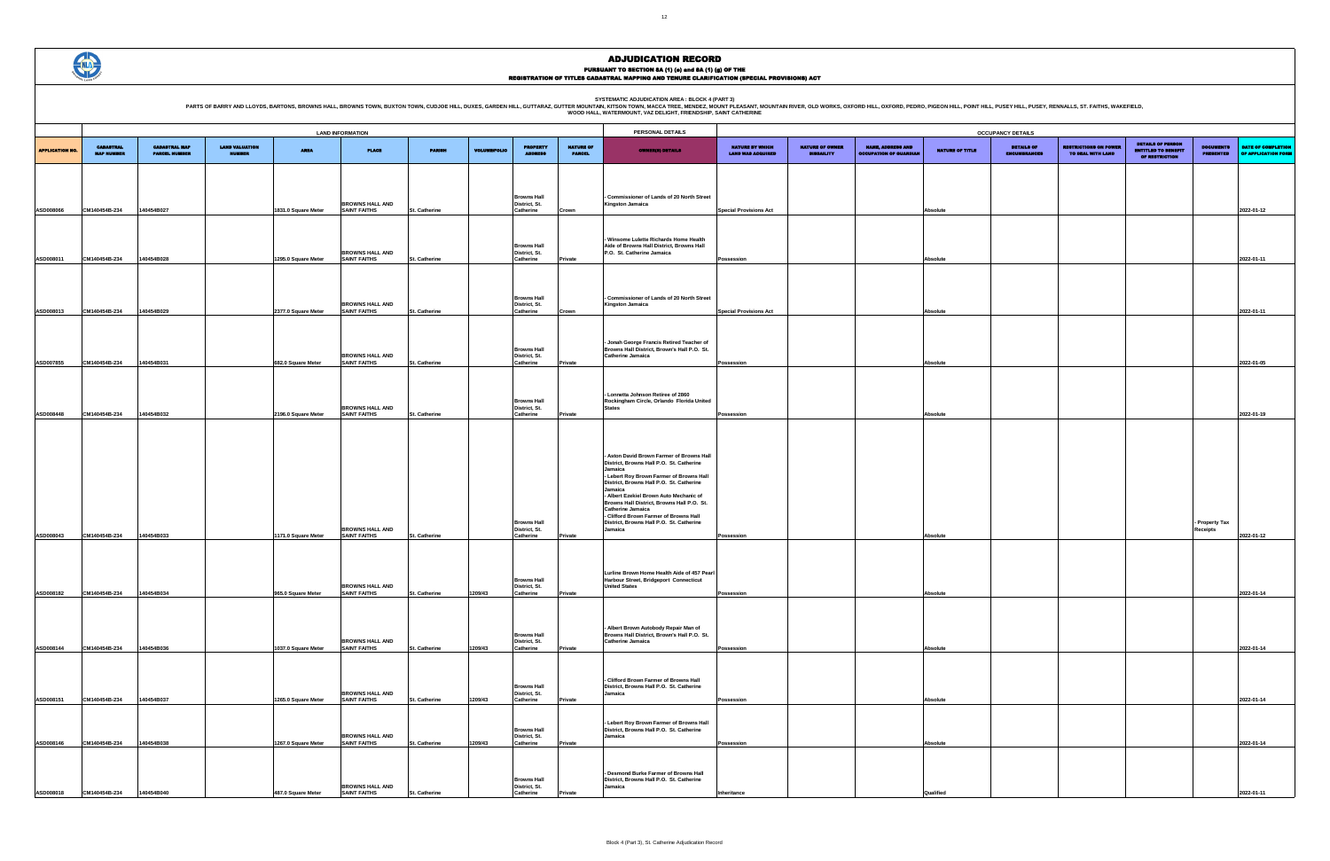

|                                             |                                             |                                                           |                 | <b>OCCUPANCY DETAILS</b>                 |                                                   |                                                                          |                                      |                                           |
|---------------------------------------------|---------------------------------------------|-----------------------------------------------------------|-----------------|------------------------------------------|---------------------------------------------------|--------------------------------------------------------------------------|--------------------------------------|-------------------------------------------|
| NATURE BY WHICH<br><b>LAND WAS ACQUIRED</b> | <b>NATURE OF OWNER</b><br><b>DISBAILITY</b> | <b>NAME, ADDRESS AND</b><br><b>OCCUPATION OF GUARDIAN</b> | NATURE OF TITLE | <b>DETAILS OF</b><br><b>ENCUMBRANCES</b> | <b>RESTRICTIONS ON POWER</b><br>TO DEAL WITH LAND | <b>DETAILS OF PERSON</b><br><b>ENTITLED TO BENEFIT</b><br>OF RESTRICTION | <b>DOCUMENTS</b><br><b>PRESENTED</b> | DATE OF COMPLETION<br>OF APPLICATION FORM |
|                                             |                                             |                                                           |                 |                                          |                                                   |                                                                          |                                      |                                           |
|                                             |                                             |                                                           |                 |                                          |                                                   |                                                                          |                                      |                                           |
|                                             |                                             |                                                           |                 |                                          |                                                   |                                                                          |                                      |                                           |
| <b>Special Provisions Act</b>               |                                             |                                                           | Absolute        |                                          |                                                   |                                                                          |                                      | 2022-01-12                                |
|                                             |                                             |                                                           |                 |                                          |                                                   |                                                                          |                                      |                                           |
|                                             |                                             |                                                           |                 |                                          |                                                   |                                                                          |                                      |                                           |
|                                             |                                             |                                                           |                 |                                          |                                                   |                                                                          |                                      |                                           |
| Possession                                  |                                             |                                                           | Absolute        |                                          |                                                   |                                                                          |                                      | 2022-01-11                                |
|                                             |                                             |                                                           |                 |                                          |                                                   |                                                                          |                                      |                                           |
|                                             |                                             |                                                           |                 |                                          |                                                   |                                                                          |                                      |                                           |
|                                             |                                             |                                                           |                 |                                          |                                                   |                                                                          |                                      |                                           |
| <b>Special Provisions Act</b>               |                                             |                                                           | Absolute        |                                          |                                                   |                                                                          |                                      | 2022-01-11                                |
|                                             |                                             |                                                           |                 |                                          |                                                   |                                                                          |                                      |                                           |
|                                             |                                             |                                                           |                 |                                          |                                                   |                                                                          |                                      |                                           |
| Possession                                  |                                             |                                                           | Absolute        |                                          |                                                   |                                                                          |                                      | 2022-01-05                                |
|                                             |                                             |                                                           |                 |                                          |                                                   |                                                                          |                                      |                                           |
|                                             |                                             |                                                           |                 |                                          |                                                   |                                                                          |                                      |                                           |
|                                             |                                             |                                                           |                 |                                          |                                                   |                                                                          |                                      |                                           |
| Possession                                  |                                             |                                                           | Absolute        |                                          |                                                   |                                                                          |                                      | 2022-01-19                                |
|                                             |                                             |                                                           |                 |                                          |                                                   |                                                                          |                                      |                                           |
|                                             |                                             |                                                           |                 |                                          |                                                   |                                                                          |                                      |                                           |
|                                             |                                             |                                                           |                 |                                          |                                                   |                                                                          |                                      |                                           |
|                                             |                                             |                                                           |                 |                                          |                                                   |                                                                          |                                      |                                           |
|                                             |                                             |                                                           |                 |                                          |                                                   |                                                                          |                                      |                                           |
|                                             |                                             |                                                           |                 |                                          |                                                   |                                                                          |                                      |                                           |
|                                             |                                             |                                                           |                 |                                          |                                                   |                                                                          |                                      |                                           |
|                                             |                                             |                                                           |                 |                                          |                                                   |                                                                          | - Property Tax                       |                                           |
| Possession                                  |                                             |                                                           | Absolute        |                                          |                                                   |                                                                          | Receipts                             | 2022-01-12                                |
|                                             |                                             |                                                           |                 |                                          |                                                   |                                                                          |                                      |                                           |
|                                             |                                             |                                                           |                 |                                          |                                                   |                                                                          |                                      |                                           |
|                                             |                                             |                                                           |                 |                                          |                                                   |                                                                          |                                      |                                           |
| Possession                                  |                                             |                                                           | Absolute        |                                          |                                                   |                                                                          |                                      | 2022-01-14                                |
|                                             |                                             |                                                           |                 |                                          |                                                   |                                                                          |                                      |                                           |
|                                             |                                             |                                                           |                 |                                          |                                                   |                                                                          |                                      |                                           |
|                                             |                                             |                                                           |                 |                                          |                                                   |                                                                          |                                      |                                           |
| Possession                                  |                                             |                                                           | Absolute        |                                          |                                                   |                                                                          |                                      | 2022-01-14                                |
|                                             |                                             |                                                           |                 |                                          |                                                   |                                                                          |                                      |                                           |
|                                             |                                             |                                                           |                 |                                          |                                                   |                                                                          |                                      |                                           |
|                                             |                                             |                                                           |                 |                                          |                                                   |                                                                          |                                      |                                           |
| Possession                                  |                                             |                                                           | Absolute        |                                          |                                                   |                                                                          |                                      | 2022-01-14                                |
|                                             |                                             |                                                           |                 |                                          |                                                   |                                                                          |                                      |                                           |
|                                             |                                             |                                                           |                 |                                          |                                                   |                                                                          |                                      |                                           |
| Possession                                  |                                             |                                                           | Absolute        |                                          |                                                   |                                                                          |                                      | 2022-01-14                                |
|                                             |                                             |                                                           |                 |                                          |                                                   |                                                                          |                                      |                                           |
|                                             |                                             |                                                           |                 |                                          |                                                   |                                                                          |                                      |                                           |
|                                             |                                             |                                                           |                 |                                          |                                                   |                                                                          |                                      |                                           |
| Inheritance                                 |                                             |                                                           | Qualified       |                                          |                                                   |                                                                          |                                      | 2022-01-11                                |

|                        |                                       |                                              |                                        |                     | <b>LAND INFORMATION</b>                       |               |                     |                                                  |                                   | PERSONAL DETAILS                                                                              |                                                    |                                             |                                                           |                 | <b>OCCUPANCY DETAILS</b>           |
|------------------------|---------------------------------------|----------------------------------------------|----------------------------------------|---------------------|-----------------------------------------------|---------------|---------------------|--------------------------------------------------|-----------------------------------|-----------------------------------------------------------------------------------------------|----------------------------------------------------|---------------------------------------------|-----------------------------------------------------------|-----------------|------------------------------------|
| <b>APPLICATION NO.</b> | <b>CADASTRAL</b><br><b>MAP NUMBER</b> | <b>CADASTRAL MAP</b><br><b>PARCEL NUMBER</b> | <b>LAND VALUATION</b><br><b>NUMBER</b> | <b>AREA</b>         | <b>PLACE</b>                                  | <b>PARISH</b> | <b>VOLUME/FOLIO</b> | <b>PROPERTY</b><br><b>ADDRESS</b>                | <b>NATURE OF</b><br><b>PARCEL</b> | <b>OWNER(8) DETAILS</b>                                                                       | <b>NATURE BY WHICH</b><br><b>LAND WAS ACQUIRED</b> | <b>NATURE OF OWNER</b><br><b>DISBAILITY</b> | <b>NAME, ADDRESS AND</b><br><b>OCCUPATION OF GUARDIAN</b> | NATURE OF TITLE | <b>DETAILS</b><br><b>ENCUMBRAN</b> |
|                        |                                       |                                              |                                        |                     |                                               |               |                     |                                                  |                                   |                                                                                               |                                                    |                                             |                                                           |                 |                                    |
|                        |                                       |                                              |                                        |                     |                                               |               |                     |                                                  |                                   |                                                                                               |                                                    |                                             |                                                           |                 |                                    |
|                        |                                       |                                              |                                        |                     | <b>BROWNS HALL AND</b>                        |               |                     | <b>Browns Hall</b><br>District, St.              |                                   | <b>Commissioner of Lands of 20 North Street</b><br><b>Kingston Jamaica</b>                    |                                                    |                                             |                                                           |                 |                                    |
| ASD008066              | CM140454B-234                         | 140454B027                                   |                                        | 1831.0 Square Meter | <b>SAINT FAITHS</b>                           | St. Catherine |                     | Catherine                                        | Crown                             |                                                                                               | <b>Special Provisions Act</b>                      |                                             |                                                           | Absolute        |                                    |
|                        |                                       |                                              |                                        |                     |                                               |               |                     |                                                  |                                   |                                                                                               |                                                    |                                             |                                                           |                 |                                    |
|                        |                                       |                                              |                                        |                     |                                               |               |                     | <b>Browns Hall</b>                               |                                   | - Winsome Lulette Richards Home Health<br>Aide of Browns Hall District, Browns Hall           |                                                    |                                             |                                                           |                 |                                    |
| ASD008011              | CM140454B-234                         | 140454B028                                   |                                        | 1295.0 Square Meter | <b>BROWNS HALL AND</b><br><b>SAINT FAITHS</b> | St. Catherine |                     | District, St.<br>Catherine                       | Private                           | P.O. St. Catherine Jamaica                                                                    | Possession                                         |                                             |                                                           | Absolute        |                                    |
|                        |                                       |                                              |                                        |                     |                                               |               |                     |                                                  |                                   |                                                                                               |                                                    |                                             |                                                           |                 |                                    |
|                        |                                       |                                              |                                        |                     |                                               |               |                     |                                                  |                                   |                                                                                               |                                                    |                                             |                                                           |                 |                                    |
|                        |                                       |                                              |                                        |                     | <b>BROWNS HALL AND</b>                        |               |                     | <b>Browns Hall</b><br>District, St.              |                                   | Commissioner of Lands of 20 North Street<br><b>Kingston Jamaica</b>                           |                                                    |                                             |                                                           |                 |                                    |
| ASD008013              | CM140454B-234                         | 140454B029                                   |                                        | 2377.0 Square Meter | <b>SAINT FAITHS</b>                           | St. Catherine |                     | Catherine                                        | Crown                             |                                                                                               | <b>Special Provisions Act</b>                      |                                             |                                                           | Absolute        |                                    |
|                        |                                       |                                              |                                        |                     |                                               |               |                     |                                                  |                                   |                                                                                               |                                                    |                                             |                                                           |                 |                                    |
|                        |                                       |                                              |                                        |                     |                                               |               |                     | <b>Browns Hall</b>                               |                                   | Jonah George Francis Retired Teacher of<br>Browns Hall District, Brown's Hall P.O. St.        |                                                    |                                             |                                                           |                 |                                    |
| ASD007855              | CM140454B-234                         | 140454B031                                   |                                        | 682.0 Square Meter  | <b>BROWNS HALL AND</b><br><b>SAINT FAITHS</b> | St. Catherine |                     | District, St.<br>Catherine                       | Private                           | <b>Catherine Jamaica</b>                                                                      | Possession                                         |                                             |                                                           | Absolute        |                                    |
|                        |                                       |                                              |                                        |                     |                                               |               |                     |                                                  |                                   |                                                                                               |                                                    |                                             |                                                           |                 |                                    |
|                        |                                       |                                              |                                        |                     |                                               |               |                     |                                                  |                                   | Lonnetta Johnson Retiree of 2860                                                              |                                                    |                                             |                                                           |                 |                                    |
| ASD008448              | CM140454B-234                         | 140454B032                                   |                                        | 2196.0 Square Meter | <b>BROWNS HALL AND</b><br><b>SAINT FAITHS</b> | St. Catherine |                     | <b>Browns Hall</b><br>District, St.<br>Catherine | Private                           | Rockingham Circle, Orlando Florida United<br><b>States</b>                                    |                                                    |                                             |                                                           | Absolute        |                                    |
|                        |                                       |                                              |                                        |                     |                                               |               |                     |                                                  |                                   |                                                                                               | Possession                                         |                                             |                                                           |                 |                                    |
|                        |                                       |                                              |                                        |                     |                                               |               |                     |                                                  |                                   |                                                                                               |                                                    |                                             |                                                           |                 |                                    |
|                        |                                       |                                              |                                        |                     |                                               |               |                     |                                                  |                                   | Aston David Brown Farmer of Browns Hall                                                       |                                                    |                                             |                                                           |                 |                                    |
|                        |                                       |                                              |                                        |                     |                                               |               |                     |                                                  |                                   | District, Browns Hall P.O. St. Catherine<br>Jamaica                                           |                                                    |                                             |                                                           |                 |                                    |
|                        |                                       |                                              |                                        |                     |                                               |               |                     |                                                  |                                   | Lebert Roy Brown Farmer of Browns Hall<br>District, Browns Hall P.O. St. Catherine<br>Jamaica |                                                    |                                             |                                                           |                 |                                    |
|                        |                                       |                                              |                                        |                     |                                               |               |                     |                                                  |                                   | - Albert Ezekiel Brown Auto Mechanic of<br>Browns Hall District, Browns Hall P.O. St.         |                                                    |                                             |                                                           |                 |                                    |
|                        |                                       |                                              |                                        |                     |                                               |               |                     |                                                  |                                   | <b>Catherine Jamaica</b><br>- Clifford Brown Farmer of Browns Hall                            |                                                    |                                             |                                                           |                 |                                    |
|                        |                                       |                                              |                                        |                     | <b>BROWNS HALL AND</b>                        |               |                     | <b>Browns Hall</b><br>District, St.              |                                   | District, Browns Hall P.O. St. Catherine<br>Jamaica                                           |                                                    |                                             |                                                           |                 |                                    |
| ASD008043              | CM140454B-234                         | 140454B033                                   |                                        | 1171.0 Square Meter | SAINT FAITHS                                  | St. Catherine |                     | Catherine                                        | Private                           |                                                                                               | Possession                                         |                                             |                                                           | Absolute        |                                    |
|                        |                                       |                                              |                                        |                     |                                               |               |                     |                                                  |                                   |                                                                                               |                                                    |                                             |                                                           |                 |                                    |
|                        |                                       |                                              |                                        |                     |                                               |               |                     |                                                  |                                   | Lurline Brown Home Health Aide of 457 Pearl                                                   |                                                    |                                             |                                                           |                 |                                    |
| ASD008182              | CM140454B-234                         | 140454B034                                   |                                        | 965.0 Square Meter  | <b>BROWNS HALL AND</b><br><b>SAINT FAITHS</b> | St. Catherine | 1209/43             | <b>Browns Hall</b><br>District, St.<br>Catherine | Private                           | Harbour Street, Bridgeport Connecticut<br><b>United States</b>                                | Possession                                         |                                             |                                                           | Absolute        |                                    |
|                        |                                       |                                              |                                        |                     |                                               |               |                     |                                                  |                                   |                                                                                               |                                                    |                                             |                                                           |                 |                                    |
|                        |                                       |                                              |                                        |                     |                                               |               |                     |                                                  |                                   |                                                                                               |                                                    |                                             |                                                           |                 |                                    |
|                        |                                       |                                              |                                        |                     |                                               |               |                     | <b>Browns Hall</b>                               |                                   | Albert Brown Autobody Repair Man of<br>Browns Hall District, Brown's Hall P.O. St.            |                                                    |                                             |                                                           |                 |                                    |
| ASD008144              | CM140454B-234                         | 140454B036                                   |                                        | 1037.0 Square Meter | <b>BROWNS HALL AND</b><br><b>SAINT FAITHS</b> | St. Catherine | 1209/43             | District, St.<br>Catherine                       | Private                           | Catherine Jamaica                                                                             | Possession                                         |                                             |                                                           | Absolute        |                                    |
|                        |                                       |                                              |                                        |                     |                                               |               |                     |                                                  |                                   |                                                                                               |                                                    |                                             |                                                           |                 |                                    |
|                        |                                       |                                              |                                        |                     |                                               |               |                     |                                                  |                                   | - Clifford Brown Farmer of Browns Hall                                                        |                                                    |                                             |                                                           |                 |                                    |
|                        |                                       |                                              |                                        |                     | <b>BROWNS HALL AND</b>                        |               |                     | <b>Browns Hall</b><br>District, St.              |                                   | District, Browns Hall P.O. St. Catherine<br>Jamaica                                           |                                                    |                                             |                                                           |                 |                                    |
| ASD008151              | CM140454B-234                         | 140454B037                                   |                                        | 1265.0 Square Meter | SAINT FAITHS                                  | St. Catherine | 1209/43             | Catherine                                        | Private                           |                                                                                               | Possession                                         |                                             |                                                           | Absolute        |                                    |
|                        |                                       |                                              |                                        |                     |                                               |               |                     | <b>Browns Hall</b>                               |                                   | Lebert Roy Brown Farmer of Browns Hall<br>District, Browns Hall P.O. St. Catherine            |                                                    |                                             |                                                           |                 |                                    |
| ASD008146              | CM140454B-234                         | 140454B038                                   |                                        | 1267.0 Square Meter | <b>BROWNS HALL AND</b><br><b>SAINT FAITHS</b> | St. Catherine | 1209/43             | District, St.<br>Catherine                       | Private                           | Jamaica                                                                                       | Possession                                         |                                             |                                                           | Absolute        |                                    |
|                        |                                       |                                              |                                        |                     |                                               |               |                     |                                                  |                                   |                                                                                               |                                                    |                                             |                                                           |                 |                                    |
|                        |                                       |                                              |                                        |                     |                                               |               |                     |                                                  |                                   | Desmond Burke Farmer of Browns Hall                                                           |                                                    |                                             |                                                           |                 |                                    |
|                        |                                       |                                              |                                        |                     | <b>BROWNS HALL AND</b>                        |               |                     | <b>Browns Hall</b><br>District, St.              |                                   | District, Browns Hall P.O. St. Catherine<br>Jamaica                                           |                                                    |                                             |                                                           |                 |                                    |
| ASD008018              | CM140454B-234                         | 140454B040                                   |                                        | 487.0 Square Meter  | <b>SAINT FAITHS</b>                           | St. Catherine |                     | Catherine                                        | Private                           |                                                                                               | Inheritance                                        |                                             |                                                           | Qualified       |                                    |